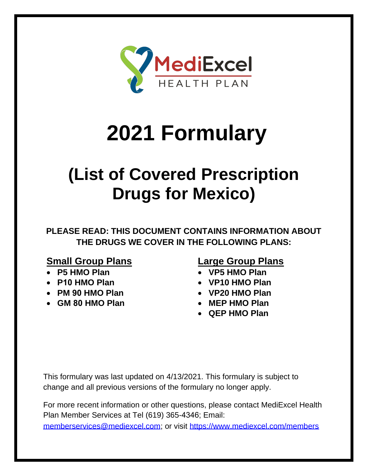

# **2021 Formulary**

# **(List of Covered Prescription Drugs for Mexico)**

**PLEASE READ: THIS DOCUMENT CONTAINS INFORMATION ABOUT THE DRUGS WE COVER IN THE FOLLOWING PLANS:**

# **Small Group Plans Large Group Plans**

- 
- 
- **PM 90 HMO Plan VP20 HMO Plan**
- **GM 80 HMO Plan MEP HMO Plan**

- **P5 HMO Plan VP5 HMO Plan**
- **P10 HMO Plan VP10 HMO Plan** 
	-
	-
	- **QEP HMO Plan**

This formulary was last updated on 4/13/2021. This formulary is subject to change and all previous versions of the formulary no longer apply.

For more recent information or other questions, please contact MediExcel Health Plan Member Services at Tel (619) 365-4346; Email:

[memberservices@mediexcel.com;](mailto:memberservices@mediexcel.com) or visit<https://www.mediexcel.com/members>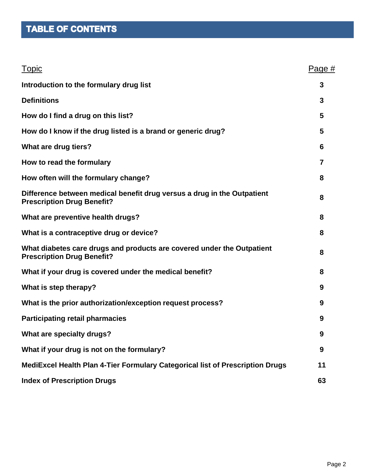# **TABLE OF CONTENTS**

| <u>Topic</u>                                                                                                 | Page #         |
|--------------------------------------------------------------------------------------------------------------|----------------|
| Introduction to the formulary drug list                                                                      | 3              |
| <b>Definitions</b>                                                                                           | 3              |
| How do I find a drug on this list?                                                                           | 5              |
| How do I know if the drug listed is a brand or generic drug?                                                 | 5              |
| What are drug tiers?                                                                                         | 6              |
| How to read the formulary                                                                                    | $\overline{7}$ |
| How often will the formulary change?                                                                         | 8              |
| Difference between medical benefit drug versus a drug in the Outpatient<br><b>Prescription Drug Benefit?</b> | 8              |
| What are preventive health drugs?                                                                            | 8              |
| What is a contraceptive drug or device?                                                                      | 8              |
| What diabetes care drugs and products are covered under the Outpatient<br><b>Prescription Drug Benefit?</b>  | 8              |
| What if your drug is covered under the medical benefit?                                                      | 8              |
| What is step therapy?                                                                                        | 9              |
| What is the prior authorization/exception request process?                                                   | 9              |
| <b>Participating retail pharmacies</b>                                                                       | 9              |
| What are specialty drugs?                                                                                    | 9              |
| What if your drug is not on the formulary?                                                                   | 9              |
| MediExcel Health Plan 4-Tier Formulary Categorical list of Prescription Drugs                                | 11             |
| <b>Index of Prescription Drugs</b>                                                                           | 63             |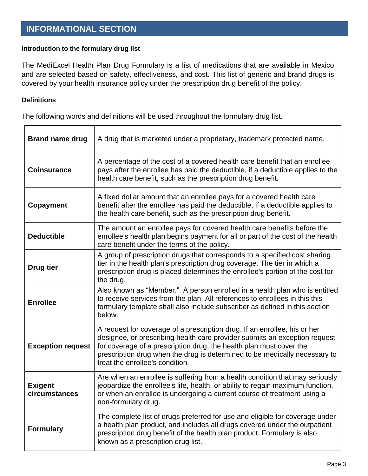#### **Introduction to the formulary drug list**

The MediExcel Health Plan Drug Formulary is a list of medications that are available in Mexico and are selected based on safety, effectiveness, and cost. This list of generic and brand drugs is covered by your health insurance policy under the prescription drug benefit of the policy.

#### **Definitions**

The following words and definitions will be used throughout the formulary drug list.

| <b>Brand name drug</b>          | A drug that is marketed under a proprietary, trademark protected name.                                                                                                                                                                                                                                                                          |
|---------------------------------|-------------------------------------------------------------------------------------------------------------------------------------------------------------------------------------------------------------------------------------------------------------------------------------------------------------------------------------------------|
| <b>Coinsurance</b>              | A percentage of the cost of a covered health care benefit that an enrollee<br>pays after the enrollee has paid the deductible, if a deductible applies to the<br>health care benefit, such as the prescription drug benefit.                                                                                                                    |
| Copayment                       | A fixed dollar amount that an enrollee pays for a covered health care<br>benefit after the enrollee has paid the deductible, if a deductible applies to<br>the health care benefit, such as the prescription drug benefit.                                                                                                                      |
| <b>Deductible</b>               | The amount an enrollee pays for covered health care benefits before the<br>enrollee's health plan begins payment for all or part of the cost of the health<br>care benefit under the terms of the policy.                                                                                                                                       |
| Drug tier                       | A group of prescription drugs that corresponds to a specified cost sharing<br>tier in the health plan's prescription drug coverage. The tier in which a<br>prescription drug is placed determines the enrollee's portion of the cost for<br>the drug.                                                                                           |
| <b>Enrollee</b>                 | Also known as "Member." A person enrolled in a health plan who is entitled<br>to receive services from the plan. All references to enrollees in this this<br>formulary template shall also include subscriber as defined in this section<br>below.                                                                                              |
| <b>Exception request</b>        | A request for coverage of a prescription drug. If an enrollee, his or her<br>designee, or prescribing health care provider submits an exception request<br>for coverage of a prescription drug, the health plan must cover the<br>prescription drug when the drug is determined to be medically necessary to<br>treat the enrollee's condition. |
| <b>Exigent</b><br>circumstances | Are when an enrollee is suffering from a health condition that may seriously<br>jeopardize the enrollee's life, health, or ability to regain maximum function,<br>or when an enrollee is undergoing a current course of treatment using a<br>non-formulary drug.                                                                                |
| <b>Formulary</b>                | The complete list of drugs preferred for use and eligible for coverage under<br>a health plan product, and includes all drugs covered under the outpatient<br>prescription drug benefit of the health plan product. Formulary is also<br>known as a prescription drug list.                                                                     |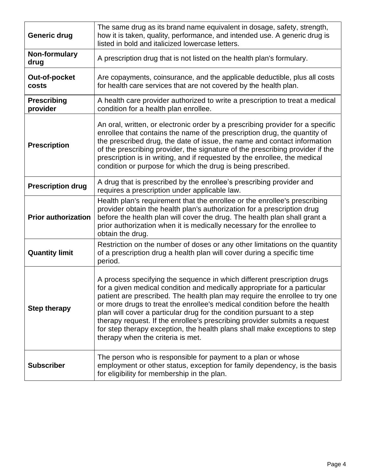| The same drug as its brand name equivalent in dosage, safety, strength,<br>how it is taken, quality, performance, and intended use. A generic drug is<br><b>Generic drug</b><br>listed in bold and italicized lowercase letters. |                                                                                                                                                                                                                                                                                                                                                                                                                                                                                                                                                                                           |
|----------------------------------------------------------------------------------------------------------------------------------------------------------------------------------------------------------------------------------|-------------------------------------------------------------------------------------------------------------------------------------------------------------------------------------------------------------------------------------------------------------------------------------------------------------------------------------------------------------------------------------------------------------------------------------------------------------------------------------------------------------------------------------------------------------------------------------------|
| Non-formulary<br>drug                                                                                                                                                                                                            | A prescription drug that is not listed on the health plan's formulary.                                                                                                                                                                                                                                                                                                                                                                                                                                                                                                                    |
| Out-of-pocket<br>costs                                                                                                                                                                                                           | Are copayments, coinsurance, and the applicable deductible, plus all costs<br>for health care services that are not covered by the health plan.                                                                                                                                                                                                                                                                                                                                                                                                                                           |
| <b>Prescribing</b><br>provider                                                                                                                                                                                                   | A health care provider authorized to write a prescription to treat a medical<br>condition for a health plan enrollee.                                                                                                                                                                                                                                                                                                                                                                                                                                                                     |
| <b>Prescription</b>                                                                                                                                                                                                              | An oral, written, or electronic order by a prescribing provider for a specific<br>enrollee that contains the name of the prescription drug, the quantity of<br>the prescribed drug, the date of issue, the name and contact information<br>of the prescribing provider, the signature of the prescribing provider if the<br>prescription is in writing, and if requested by the enrollee, the medical<br>condition or purpose for which the drug is being prescribed.                                                                                                                     |
| <b>Prescription drug</b>                                                                                                                                                                                                         | A drug that is prescribed by the enrollee's prescribing provider and<br>requires a prescription under applicable law.                                                                                                                                                                                                                                                                                                                                                                                                                                                                     |
| <b>Prior authorization</b>                                                                                                                                                                                                       | Health plan's requirement that the enrollee or the enrollee's prescribing<br>provider obtain the health plan's authorization for a prescription drug<br>before the health plan will cover the drug. The health plan shall grant a<br>prior authorization when it is medically necessary for the enrollee to<br>obtain the drug.                                                                                                                                                                                                                                                           |
| <b>Quantity limit</b>                                                                                                                                                                                                            | Restriction on the number of doses or any other limitations on the quantity<br>of a prescription drug a health plan will cover during a specific time<br>period.                                                                                                                                                                                                                                                                                                                                                                                                                          |
| <b>Step therapy</b>                                                                                                                                                                                                              | A process specifying the sequence in which different prescription drugs<br>for a given medical condition and medically appropriate for a particular<br>patient are prescribed. The health plan may require the enrollee to try one<br>or more drugs to treat the enrollee's medical condition before the health<br>plan will cover a particular drug for the condition pursuant to a step<br>therapy request. If the enrollee's prescribing provider submits a request<br>for step therapy exception, the health plans shall make exceptions to step<br>therapy when the criteria is met. |
| <b>Subscriber</b>                                                                                                                                                                                                                | The person who is responsible for payment to a plan or whose<br>employment or other status, exception for family dependency, is the basis<br>for eligibility for membership in the plan.                                                                                                                                                                                                                                                                                                                                                                                                  |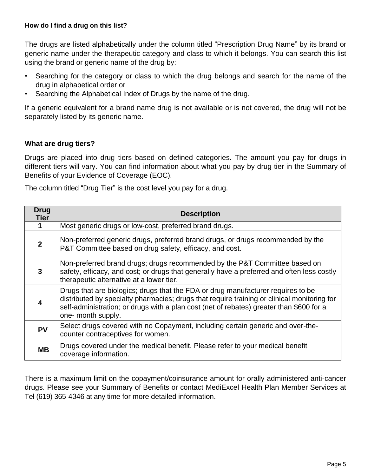#### **How do I find a drug on this list?**

The drugs are listed alphabetically under the column titled "Prescription Drug Name" by its brand or generic name under the therapeutic category and class to which it belongs. You can search this list using the brand or generic name of the drug by:

- Searching for the category or class to which the drug belongs and search for the name of the drug in alphabetical order or
- Searching the Alphabetical Index of Drugs by the name of the drug.

If a generic equivalent for a brand name drug is not available or is not covered, the drug will not be separately listed by its generic name.

#### **What are drug tiers?**

Drugs are placed into drug tiers based on defined categories. The amount you pay for drugs in different tiers will vary. You can find information about what you pay by drug tier in the Summary of Benefits of your Evidence of Coverage (EOC).

The column titled "Drug Tier" is the cost level you pay for a drug.

| <b>Drug</b><br><b>Tier</b> | <b>Description</b>                                                                                                                                                                                                                                                                                |
|----------------------------|---------------------------------------------------------------------------------------------------------------------------------------------------------------------------------------------------------------------------------------------------------------------------------------------------|
|                            | Most generic drugs or low-cost, preferred brand drugs.                                                                                                                                                                                                                                            |
|                            | Non-preferred generic drugs, preferred brand drugs, or drugs recommended by the<br>P&T Committee based on drug safety, efficacy, and cost.                                                                                                                                                        |
| 3                          | Non-preferred brand drugs; drugs recommended by the P&T Committee based on<br>safety, efficacy, and cost; or drugs that generally have a preferred and often less costly<br>therapeutic alternative at a lower tier.                                                                              |
|                            | Drugs that are biologics; drugs that the FDA or drug manufacturer requires to be<br>distributed by specialty pharmacies; drugs that require training or clinical monitoring for<br>self-administration; or drugs with a plan cost (net of rebates) greater than \$600 for a<br>one- month supply. |
| <b>PV</b>                  | Select drugs covered with no Copayment, including certain generic and over-the-<br>counter contraceptives for women.                                                                                                                                                                              |
| <b>MB</b>                  | Drugs covered under the medical benefit. Please refer to your medical benefit<br>coverage information.                                                                                                                                                                                            |

There is a maximum limit on the copayment/coinsurance amount for orally administered anti-cancer drugs. Please see your Summary of Benefits or contact MediExcel Health Plan Member Services at Tel (619) 365-4346 at any time for more detailed information.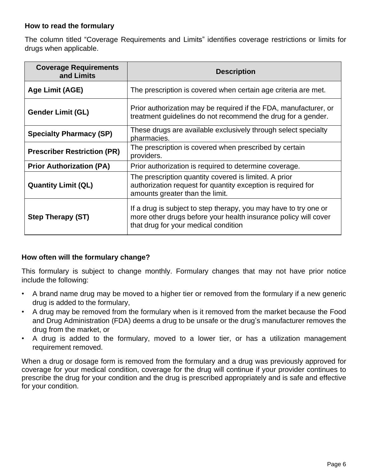### **How to read the formulary**

The column titled "Coverage Requirements and Limits" identifies coverage restrictions or limits for drugs when applicable.

| <b>Coverage Requirements</b><br>and Limits | <b>Description</b>                                                                                                                                                          |  |
|--------------------------------------------|-----------------------------------------------------------------------------------------------------------------------------------------------------------------------------|--|
| Age Limit (AGE)                            | The prescription is covered when certain age criteria are met.                                                                                                              |  |
| <b>Gender Limit (GL)</b>                   | Prior authorization may be required if the FDA, manufacturer, or<br>treatment guidelines do not recommend the drug for a gender.                                            |  |
| <b>Specialty Pharmacy (SP)</b>             | These drugs are available exclusively through select specialty<br>pharmacies.                                                                                               |  |
| <b>Prescriber Restriction (PR)</b>         | The prescription is covered when prescribed by certain<br>providers.                                                                                                        |  |
| <b>Prior Authorization (PA)</b>            | Prior authorization is required to determine coverage.                                                                                                                      |  |
| <b>Quantity Limit (QL)</b>                 | The prescription quantity covered is limited. A prior<br>authorization request for quantity exception is required for<br>amounts greater than the limit.                    |  |
| <b>Step Therapy (ST)</b>                   | If a drug is subject to step therapy, you may have to try one or<br>more other drugs before your health insurance policy will cover<br>that drug for your medical condition |  |

# **How often will the formulary change?**

This formulary is subject to change monthly. Formulary changes that may not have prior notice include the following:

- A brand name drug may be moved to a higher tier or removed from the formulary if a new generic drug is added to the formulary,
- A drug may be removed from the formulary when is it removed from the market because the Food and Drug Administration (FDA) deems a drug to be unsafe or the drug's manufacturer removes the drug from the market, or
- A drug is added to the formulary, moved to a lower tier, or has a utilization management requirement removed.

When a drug or dosage form is removed from the formulary and a drug was previously approved for coverage for your medical condition, coverage for the drug will continue if your provider continues to prescribe the drug for your condition and the drug is prescribed appropriately and is safe and effective for your condition.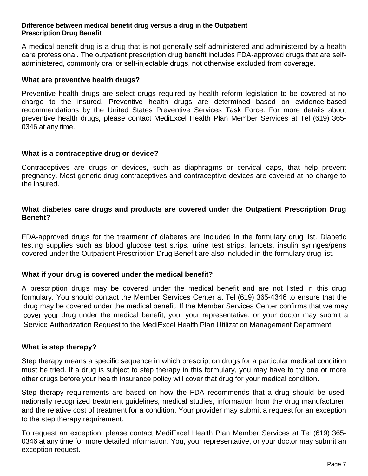#### **Difference between medical benefit drug versus a drug in the Outpatient Prescription Drug Benefit**

A medical benefit drug is a drug that is not generally self-administered and administered by a health care professional. The outpatient prescription drug benefit includes FDA-approved drugs that are selfadministered, commonly oral or self-injectable drugs, not otherwise excluded from coverage.

#### **What are preventive health drugs?**

Preventive health drugs are select drugs required by health reform legislation to be covered at no charge to the insured. Preventive health drugs are determined based on evidence-based recommendations by the United States Preventive Services Task Force. For more details about preventive health drugs, please contact MediExcel Health Plan Member Services at Tel (619) 365- 0346 at any time.

#### **What is a contraceptive drug or device?**

Contraceptives are drugs or devices, such as diaphragms or cervical caps, that help prevent pregnancy. Most generic drug contraceptives and contraceptive devices are covered at no charge to the insured.

#### **What diabetes care drugs and products are covered under the Outpatient Prescription Drug Benefit?**

FDA-approved drugs for the treatment of diabetes are included in the formulary drug list. Diabetic testing supplies such as blood glucose test strips, urine test strips, lancets, insulin syringes/pens covered under the Outpatient Prescription Drug Benefit are also included in the formulary drug list.

# **What if your drug is covered under the medical benefit?**

A prescription drugs may be covered under the medical benefit and are not listed in this drug formulary. You should contact the Member Services Center at Tel (619) 365-4346 to ensure that the drug may be covered under the medical benefit. If the Member Services Center confirms that we may cover your drug under the medical benefit, you, your representative, or your doctor may submit a Service Authorization Request to the MediExcel Health Plan Utilization Management Department.

# **What is step therapy?**

Step therapy means a specific sequence in which prescription drugs for a particular medical condition must be tried. If a drug is subject to step therapy in this formulary, you may have to try one or more other drugs before your health insurance policy will cover that drug for your medical condition.

Step therapy requirements are based on how the FDA recommends that a drug should be used, nationally recognized treatment guidelines, medical studies, information from the drug manufacturer, and the relative cost of treatment for a condition. Your provider may submit a request for an exception to the step therapy requirement.

To request an exception, please contact MediExcel Health Plan Member Services at Tel (619) 365- 0346 at any time for more detailed information. You, your representative, or your doctor may submit an exception request.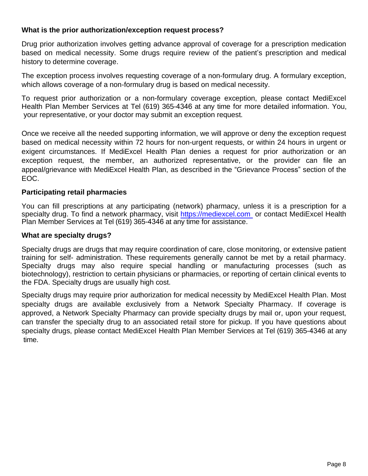#### **What is the prior authorization/exception request process?**

Drug prior authorization involves getting advance approval of coverage for a prescription medication based on medical necessity. Some drugs require review of the patient's prescription and medical history to determine coverage.

The exception process involves requesting coverage of a non-formulary drug. A formulary exception, which allows coverage of a non-formulary drug is based on medical necessity.

To request prior authorization or a non-formulary coverage exception, please contact MediExcel Health Plan Member Services at Tel (619) 365-4346 at any time for more detailed information. You, your representative, or your doctor may submit an exception request.

Once we receive all the needed supporting information, we will approve or deny the exception request based on medical necessity within 72 hours for non-urgent requests, or within 24 hours in urgent or exigent circumstances. If MediExcel Health Plan denies a request for prior authorization or an exception request, the member, an authorized representative, or the provider can file an appeal/grievance with MediExcel Health Plan, as described in the "Grievance Process" section of the EOC.

#### **Participating retail pharmacies**

You can fill prescriptions at any participating (network) pharmacy, unless it is a prescription for a specialty drug. To find a network pharmacy, visit [https://mediexcel.com](https://mediexcel.com/) or contact MediExcel Health Plan Member Services at Tel (619) 365-4346 at any time for assistance.

#### **What are specialty drugs?**

Specialty drugs are drugs that may require coordination of care, close monitoring, or extensive patient training for self- administration. These requirements generally cannot be met by a retail pharmacy. Specialty drugs may also require special handling or manufacturing processes (such as biotechnology), restriction to certain physicians or pharmacies, or reporting of certain clinical events to the FDA. Specialty drugs are usually high cost.

Specialty drugs may require prior authorization for medical necessity by MediExcel Health Plan. Most specialty drugs are available exclusively from a Network Specialty Pharmacy. If coverage is approved, a Network Specialty Pharmacy can provide specialty drugs by mail or, upon your request, can transfer the specialty drug to an associated retail store for pickup. If you have questions about specialty drugs, please contact MediExcel Health Plan Member Services at Tel (619) 365-4346 at any time.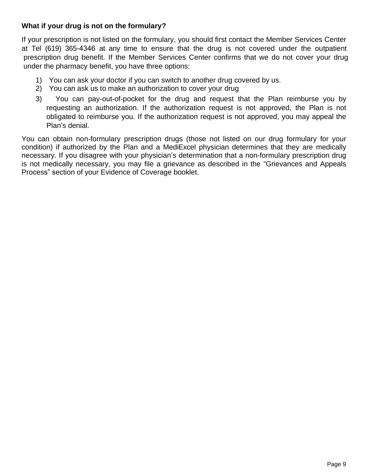# **What if your drug is not on the formulary?**

If your prescription is not listed on the formulary, you should first contact the Member Services Center at Tel (619) 365-4346 at any time to ensure that the drug is not covered under the outpatient prescription drug benefit. If the Member Services Center confirms that we do not cover your drug under the pharmacy benefit, you have three options:

- 1) You can ask your doctor if you can switch to another drug covered by us.
- 2) You can ask us to make an authorization to cover your drug
- 3) You can pay-out-of-pocket for the drug and request that the Plan reimburse you by requesting an authorization. If the authorization request is not approved, the Plan is not obligated to reimburse you. If the authorization request is not approved, you may appeal the Plan's denial.

You can obtain non-formulary prescription drugs (those not listed on our drug formulary for your condition) if authorized by the Plan and a MediExcel physician determines that they are medically necessary. If you disagree with your physician's determination that a non-formulary prescription drug is not medically necessary, you may file a grievance as described in the "Grievances and Appeals Process" section of your Evidence of Coverage booklet.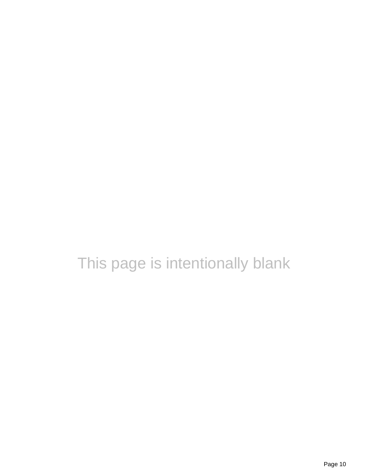# This page is intentionally blank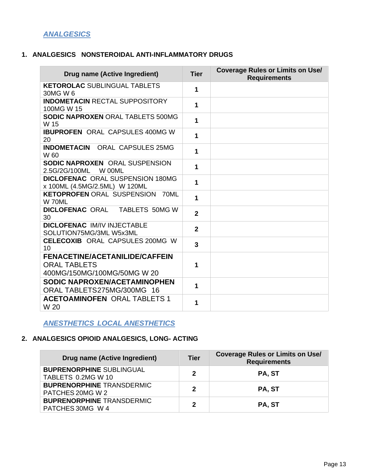# *ANALGESICS*

#### **1. ANALGESICS NONSTEROIDAL ANTI-INFLAMMATORY DRUGS**

| Drug name (Active Ingredient)                                                        | <b>Tier</b>    | <b>Coverage Rules or Limits on Use/</b><br><b>Requirements</b> |
|--------------------------------------------------------------------------------------|----------------|----------------------------------------------------------------|
| <b>KETOROLAC SUBLINGUAL TABLETS</b><br>30MG W 6                                      | 1              |                                                                |
| <b>INDOMETACIN RECTAL SUPPOSITORY</b><br>100MG W 15                                  | 1              |                                                                |
| <b>SODIC NAPROXEN ORAL TABLETS 500MG</b><br>W 15                                     | 1              |                                                                |
| <b>IBUPROFEN ORAL CAPSULES 400MG W</b><br>20                                         | 1              |                                                                |
| <b>INDOMETACIN</b><br><b>ORAL CAPSULES 25MG</b><br>W 60                              | 1              |                                                                |
| <b>SODIC NAPROXEN ORAL SUSPENSION</b><br>2.5G/2G/100ML<br>W 00ML                     | 1              |                                                                |
| <b>DICLOFENAC ORAL SUSPENSION 180MG</b><br>x 100ML (4.5MG/2.5ML) W 120ML             | 1              |                                                                |
| <b>KETOPROFEN ORAL SUSPENSION</b><br>70ML<br>W 70ML                                  | 1              |                                                                |
| <b>DICLOFENAC ORAL TABLETS 50MG W</b><br>30                                          | $\overline{2}$ |                                                                |
| <b>DICLOFENAC IM/IV INJECTABLE</b><br>SOLUTION75MG/3ML W5x3ML                        | $\overline{2}$ |                                                                |
| <b>CELECOXIB ORAL CAPSULES 200MG W</b><br>10                                         | 3              |                                                                |
| FENACETINE/ACETANILIDE/CAFFEIN<br><b>ORAL TABLETS</b><br>400MG/150MG/100MG/50MG W 20 | 1              |                                                                |
| <b>SODIC NAPROXEN/ACETAMINOPHEN</b><br>ORAL TABLETS275MG/300MG 16                    | 1              |                                                                |
| <b>ACETOAMINOFEN ORAL TABLETS 1</b><br>W 20                                          | 1              |                                                                |

# *ANESTHETICS LOCAL ANESTHETICS*

#### **2. ANALGESICS OPIOID ANALGESICS, LONG- ACTING**

| Drug name (Active Ingredient)                         | <b>Tier</b>                | <b>Coverage Rules or Limits on Use/</b><br><b>Requirements</b> |
|-------------------------------------------------------|----------------------------|----------------------------------------------------------------|
| <b>BUPRENORPHINE SUBLINGUAL</b><br>TABLETS 0.2MG W 10 | $\mathbf{2}$               | PA, ST                                                         |
| <b>BUPRENORPHINE TRANSDERMIC</b><br>PATCHES 20MG W 2  | $\boldsymbol{\mathcal{P}}$ | PA, ST                                                         |
| <b>BUPRENORPHINE TRANSDERMIC</b><br>PATCHES 30MG W 4  | 2                          | PA, ST                                                         |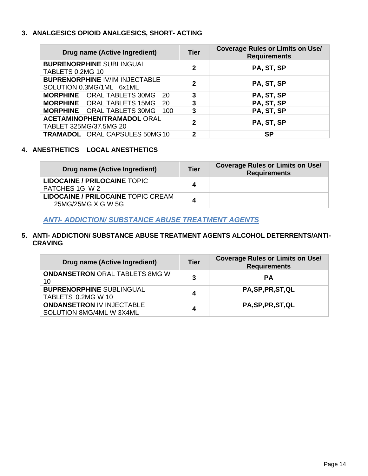#### <span id="page-13-0"></span>**3. ANALGESICS OPIOID ANALGESICS, SHORT- ACTING**

| Drug name (Active Ingredient)                                     | <b>Tier</b>    | <b>Coverage Rules or Limits on Use/</b><br><b>Requirements</b> |
|-------------------------------------------------------------------|----------------|----------------------------------------------------------------|
| <b>BUPRENORPHINE SUBLINGUAL</b><br>TABLETS 0.2MG 10               | $\mathbf{2}$   | PA, ST, SP                                                     |
| <b>BUPRENORPHINE IV/IM INJECTABLE</b><br>SOLUTION 0.3MG/1ML 6x1ML | 2              | PA, ST, SP                                                     |
| <b>MORPHINE</b> ORAL TABLETS 30MG<br>- 20                         | 3              | PA, ST, SP                                                     |
| <b>MORPHINE</b> ORAL TABLETS 15MG 20                              | 3              | PA, ST, SP                                                     |
| <b>MORPHINE</b> ORAL TABLETS 30MG 100                             | 3              | PA, ST, SP                                                     |
| <b>ACETAMINOPHEN/TRAMADOL ORAL</b><br>TABLET 325MG/37.5MG 20      | 2              | PA, ST, SP                                                     |
| <b>TRAMADOL ORAL CAPSULES 50MG10</b>                              | $\mathfrak{p}$ | <b>SP</b>                                                      |

#### **4. ANESTHETICS LOCAL ANESTHETICS**

| Drug name (Active Ingredient)                                   | <b>Tier</b> | <b>Coverage Rules or Limits on Use/</b><br><b>Requirements</b> |
|-----------------------------------------------------------------|-------------|----------------------------------------------------------------|
| <b>LIDOCAINE / PRILOCAINE TOPIC</b><br>PATCHES 1G W 2           | 4           |                                                                |
| <b>LIDOCAINE / PRILOCAINE TOPIC CREAM</b><br>25MG/25MG X G W 5G |             |                                                                |

*ANTI- ADDICTION/ SUBSTANCE ABUSE TREATMENT AGENTS* 

#### **5. ANTI- ADDICTION/ SUBSTANCE ABUSE TREATMENT AGENTS ALCOHOL DETERRENTS/ANTI-CRAVING**

<span id="page-13-1"></span>

| Drug name (Active Ingredient)                                | <b>Tier</b> | <b>Coverage Rules or Limits on Use/</b><br><b>Requirements</b> |
|--------------------------------------------------------------|-------------|----------------------------------------------------------------|
| <b>ONDANSETRON ORAL TABLETS 8MG W</b><br>10                  | 3           | PА                                                             |
| <b>BUPRENORPHINE SUBLINGUAL</b><br>TABLETS 0.2MG W 10        | 4           | PA, SP, PR, ST, QL                                             |
| <b>ONDANSETRON IV INJECTABLE</b><br>SOLUTION 8MG/4ML W 3X4ML | 4           | PA, SP, PR, ST, QL                                             |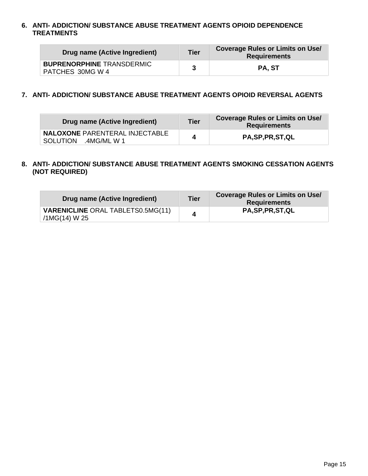#### **6. ANTI- ADDICTION/ SUBSTANCE ABUSE TREATMENT AGENTS OPIOID DEPENDENCE TREATMENTS**

| Drug name (Active Ingredient)                        | <b>Tier</b> | <b>Coverage Rules or Limits on Use/</b><br><b>Requirements</b> |
|------------------------------------------------------|-------------|----------------------------------------------------------------|
| <b>BUPRENORPHINE TRANSDERMIC</b><br>PATCHES 30MG W 4 |             | PA, ST                                                         |

#### **7. ANTI- ADDICTION/ SUBSTANCE ABUSE TREATMENT AGENTS OPIOID REVERSAL AGENTS**

| Drug name (Active Ingredient)                                    | <b>Tier</b> | <b>Coverage Rules or Limits on Use/</b><br><b>Requirements</b> |
|------------------------------------------------------------------|-------------|----------------------------------------------------------------|
| <b>NALOXONE PARENTERAL INJECTABLE</b><br>SOLUTION<br>.4MG/ML W 1 |             | <b>PA, SP, PR, ST, QL</b>                                      |

#### **8. ANTI- ADDICTION/ SUBSTANCE ABUSE TREATMENT AGENTS SMOKING CESSATION AGENTS (NOT REQUIRED)**

<span id="page-14-0"></span>

| Drug name (Active Ingredient)                             | <b>Tier</b> | <b>Coverage Rules or Limits on Use/</b><br><b>Requirements</b> |
|-----------------------------------------------------------|-------------|----------------------------------------------------------------|
| <b>VARENICLINE ORAL TABLETS0.5MG(11)</b><br>/1MG(14) W 25 |             | PA, SP, PR, ST, QL                                             |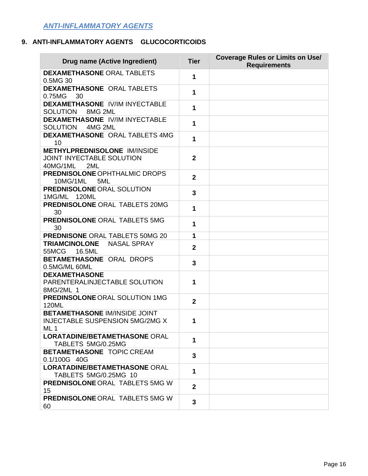# **9. ANTI-INFLAMMATORY AGENTS GLUCOCORTICOIDS**

| Drug name (Active Ingredient)                                                              | <b>Tier</b>    | <b>Coverage Rules or Limits on Use/</b><br><b>Requirements</b> |
|--------------------------------------------------------------------------------------------|----------------|----------------------------------------------------------------|
| <b>DEXAMETHASONE ORAL TABLETS</b><br>0.5MG 30                                              | 1              |                                                                |
| <b>DEXAMETHASONE ORAL TABLETS</b><br>0.75MG<br>30                                          | 1              |                                                                |
| <b>DEXAMETHASONE IV/IM INYECTABLE</b><br><b>SOLUTION</b><br>8MG 2ML                        | 1              |                                                                |
| <b>DEXAMETHASONE IV/IM INYECTABLE</b><br><b>SOLUTION</b><br>4MG 2ML                        | 1              |                                                                |
| DEXAMETHASONE ORAL TABLETS 4MG<br>10                                                       | 1              |                                                                |
| <b>METHYLPREDNISOLONE IM/INSIDE</b><br>JOINT INYECTABLE SOLUTION<br>40MG/1ML<br>2ML        | $\mathbf{2}$   |                                                                |
| <b>PREDNISOLONE OPHTHALMIC DROPS</b><br>10MG/1ML<br>5ML                                    | $\overline{2}$ |                                                                |
| <b>PREDNISOLONE ORAL SOLUTION</b><br>1MG/ML 120ML                                          | 3              |                                                                |
| PREDNISOLONE ORAL TABLETS 20MG<br>30                                                       | 1              |                                                                |
| PREDNISOLONE ORAL TABLETS 5MG<br>30                                                        | 1              |                                                                |
| <b>PREDNISONE ORAL TABLETS 50MG 20</b>                                                     | 1              |                                                                |
| <b>TRIAMCINOLONE</b><br><b>NASAL SPRAY</b><br>16.5ML<br>55MCG                              | $\overline{2}$ |                                                                |
| <b>BETAMETHASONE ORAL DROPS</b><br>0.5MG/ML 60ML                                           | 3              |                                                                |
| <b>DEXAMETHASONE</b><br>PARENTERALINJECTABLE SOLUTION<br>8MG/2ML 1                         | 1              |                                                                |
| PREDINSOLONE ORAL SOLUTION 1MG<br>120ML                                                    | $\overline{2}$ |                                                                |
| <b>BETAMETHASONE IM/INSIDE JOINT</b><br>INJECTABLE SUSPENSION 5MG/2MG X<br>ML <sub>1</sub> | 1              |                                                                |
| <b>LORATADINE/BETAMETHASONE ORAL</b><br>TABLETS 5MG/0.25MG                                 | 1              |                                                                |
| <b>BETAMETHASONE TOPIC CREAM</b><br>0.1/100G 40G                                           | 3              |                                                                |
| <b>LORATADINE/BETAMETHASONE ORAL</b><br>TABLETS 5MG/0.25MG 10                              | 1              |                                                                |
| <b>PREDNISOLONE ORAL TABLETS 5MG W</b><br>15                                               | $\mathbf{2}$   |                                                                |
| <b>PREDNISOLONE ORAL TABLETS 5MG W</b><br>60                                               | 3              |                                                                |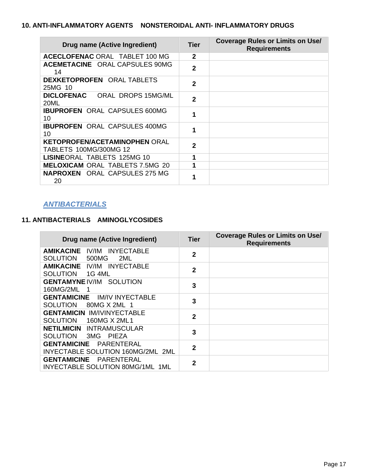#### <span id="page-16-0"></span>**10. ANTI-INFLAMMATORY AGENTS NONSTEROIDAL ANTI- INFLAMMATORY DRUGS**

| Drug name (Active Ingredient)                                  | <b>Tier</b>    | <b>Coverage Rules or Limits on Use/</b><br><b>Requirements</b> |
|----------------------------------------------------------------|----------------|----------------------------------------------------------------|
| <b>ACECLOFENAC ORAL TABLET 100 MG</b>                          | $\mathbf{2}$   |                                                                |
| <b>ACEMETACINE ORAL CAPSULES 90MG</b><br>14                    | $\mathbf{2}$   |                                                                |
| <b>DEXKETOPROFEN ORAL TABLETS</b><br>25MG 10                   | $\mathbf{2}$   |                                                                |
| ORAL DROPS 15MG/ML<br><b>DICLOFENAC</b><br>20ML                | $\mathbf{2}$   |                                                                |
| <b>IBUPROFEN ORAL CAPSULES 600MG</b><br>10                     |                |                                                                |
| <b>IBUPROFEN ORAL CAPSULES 400MG</b><br>10                     |                |                                                                |
| <b>KETOPROFEN/ACETAMINOPHEN ORAL</b><br>TABLETS 100MG/300MG 12 | $\mathfrak{p}$ |                                                                |
| <b>LISINEORAL TABLETS 125MG 10</b>                             |                |                                                                |
| <b>MELOXICAM ORAL TABLETS 7.5MG 20</b>                         |                |                                                                |
| <b>NAPROXEN</b> ORAL CAPSULES 275 MG<br>20                     |                |                                                                |

#### *ANTIBACTERIALS*

#### **11. ANTIBACTERIALS AMINOGLYCOSIDES**

| Drug name (Active Ingredient)                                                     | Tier         | <b>Coverage Rules or Limits on Use/</b><br><b>Requirements</b> |
|-----------------------------------------------------------------------------------|--------------|----------------------------------------------------------------|
| <b>INYECTABLE</b><br><b>AMIKACINE</b><br>IV/IM<br><b>SOLUTION</b><br>500MG<br>2ML | $\mathbf{2}$ |                                                                |
| <b>AMIKACINE</b><br>IV/IM INYECTABLE<br>SOLUTION<br><b>1G 4ML</b>                 | $\mathbf{2}$ |                                                                |
| <b>GENTAMYNE IV/IM SOLUTION</b><br>160MG/2ML<br>-1                                | 3            |                                                                |
| <b>GENTAMICINE</b><br><b>IM/IV INYECTABLE</b><br><b>SOLUTION</b><br>80MG X 2ML 1  | 3            |                                                                |
| <b>GENTAMICIN IM/IVINYECTABLE</b><br>SOLUTION<br>160MG X 2ML1                     | $\mathbf{2}$ |                                                                |
| <b>NETILMICIN</b><br><b>INTRAMUSCULAR</b><br>SOLUTION<br>3MG PIFZA                | 3            |                                                                |
| <b>GENTAMICINE</b><br>PARENTERAL<br>INYECTABLE SOLUTION 160MG/2ML 2ML             | $\mathbf{2}$ |                                                                |
| <b>GENTAMICINE</b><br>PARFNTFRAL<br>INYECTABLE SOLUTION 80MG/1ML 1ML              | $\mathbf{2}$ |                                                                |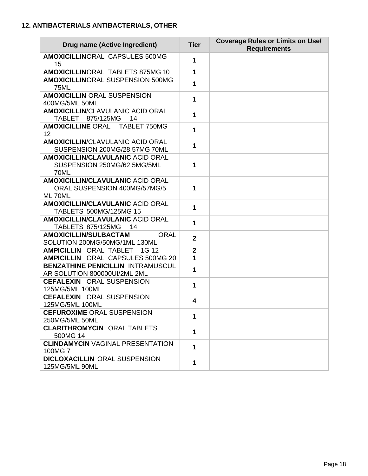# **12. ANTIBACTERIALS ANTIBACTERIALS, OTHER**

<span id="page-17-0"></span>

| Drug name (Active Ingredient)                                                      | <b>Tier</b>             | <b>Coverage Rules or Limits on Use/</b><br><b>Requirements</b> |
|------------------------------------------------------------------------------------|-------------------------|----------------------------------------------------------------|
| <b>AMOXICILLINORAL CAPSULES 500MG</b><br>15                                        | 1                       |                                                                |
| <b>AMOXICILLINORAL TABLETS 875MG 10</b>                                            | 1                       |                                                                |
| <b>AMOXICILLINORAL SUSPENSION 500MG</b><br><b>75ML</b>                             | 1                       |                                                                |
| <b>AMOXICILLIN ORAL SUSPENSION</b><br>400MG/5ML 50ML                               | 1                       |                                                                |
| <b>AMOXICILLIN/CLAVULANIC ACID ORAL</b><br>TABLET 875/125MG<br>14                  | 1                       |                                                                |
| <b>AMOXICILLINE ORAL TABLET 750MG</b><br>12                                        | 1                       |                                                                |
| <b>AMOXICILLIN/CLAVULANIC ACID ORAL</b><br>SUSPENSION 200MG/28.57MG 70ML           | 1                       |                                                                |
| <b>AMOXICILLIN/CLAVULANIC ACID ORAL</b><br>SUSPENSION 250MG/62.5MG/5ML<br>70ML     | 1                       |                                                                |
| <b>AMOXICILLIN/CLAVULANIC ACID ORAL</b><br>ORAL SUSPENSION 400MG/57MG/5<br>ML 70ML | 1                       |                                                                |
| <b>AMOXICILLIN/CLAVULANIC ACID ORAL</b><br>TABLETS 500MG/125MG 15                  | 1                       |                                                                |
| <b>AMOXICILLIN/CLAVULANIC ACID ORAL</b><br><b>TABLETS 875/125MG</b><br>14          | 1                       |                                                                |
| <b>AMOXICILLIN/SULBACTAM</b><br><b>ORAL</b><br>SOLUTION 200MG/50MG/1ML 130ML       | $\overline{2}$          |                                                                |
| <b>AMPICILLIN ORAL TABLET</b><br>1G 12                                             | $\overline{\mathbf{2}}$ |                                                                |
| <b>AMPICILLIN ORAL CAPSULES 500MG 20</b>                                           | 1                       |                                                                |
| <b>BENZATHINE PENICILLIN INTRAMUSCUL</b><br>AR SOLUTION 800000UI/2ML 2ML           | 1                       |                                                                |
| <b>CEFALEXIN ORAL SUSPENSION</b><br>125MG/5ML 100ML                                | 1                       |                                                                |
| <b>CEFALEXIN ORAL SUSPENSION</b><br>125MG/5ML 100ML                                | 4                       |                                                                |
| <b>CEFUROXIME ORAL SUSPENSION</b><br>250MG/5ML 50ML                                | 1                       |                                                                |
| <b>CLARITHROMYCIN ORAL TABLETS</b><br>500MG 14                                     | $\mathbf{1}$            |                                                                |
| <b>CLINDAMYCIN VAGINAL PRESENTATION</b><br>100MG 7                                 | 1                       |                                                                |
| <b>DICLOXACILLIN ORAL SUSPENSION</b><br>125MG/5ML 90ML                             | 1                       |                                                                |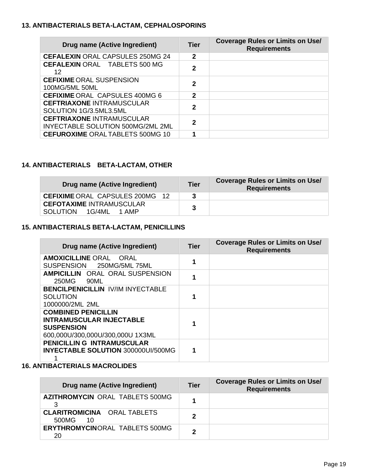#### **13. ANTIBACTERIALS BETA-LACTAM, CEPHALOSPORINS**

| Drug name (Active Ingredient)                                         | <b>Tier</b>  | <b>Coverage Rules or Limits on Use/</b><br><b>Requirements</b> |
|-----------------------------------------------------------------------|--------------|----------------------------------------------------------------|
| <b>CEFALEXIN ORAL CAPSULES 250MG 24</b>                               | $\mathbf{2}$ |                                                                |
| <b>CEFALEXIN ORAL TABLETS 500 MG</b><br>12                            | $\mathbf{2}$ |                                                                |
| <b>CEFIXIME ORAL SUSPENSION</b><br>100MG/5ML 50ML                     | 2            |                                                                |
| <b>CEFIXIME ORAL CAPSULES 400MG 6</b>                                 | $\mathbf{2}$ |                                                                |
| <b>CEFTRIAXONE INTRAMUSCULAR</b><br>SOLUTION 1G/3.5ML3.5ML            | 2            |                                                                |
| <b>CEFTRIAXONE INTRAMUSCULAR</b><br>INYECTABLE SOLUTION 500MG/2ML 2ML | 2            |                                                                |
| <b>CEFUROXIME ORAL TABLETS 500MG 10</b>                               |              |                                                                |

# **14. ANTIBACTERIALS BETA-LACTAM, OTHER**

| Drug name (Active Ingredient)                                         | <b>Tier</b> | <b>Coverage Rules or Limits on Use/</b><br><b>Requirements</b> |
|-----------------------------------------------------------------------|-------------|----------------------------------------------------------------|
| <b>CEFIXIME ORAL CAPSULES 200MG 12</b>                                | 3           |                                                                |
| <b>CEFOTAXIME INTRAMUSCULAR</b><br><b>SOLUTION</b><br>1G/4ML<br>1 AMP | 2           |                                                                |

#### **15. ANTIBACTERIALS BETA-LACTAM, PENICILLINS**

| Drug name (Active Ingredient)                                                                                          | <b>Tier</b> | <b>Coverage Rules or Limits on Use/</b><br><b>Requirements</b> |
|------------------------------------------------------------------------------------------------------------------------|-------------|----------------------------------------------------------------|
| <b>AMOXICILLINE ORAL ORAL</b><br>SUSPENSION<br>250MG/5ML 75ML                                                          |             |                                                                |
| <b>AMPICILLIN</b> ORAL ORAL SUSPENSION<br>250MG 90ML                                                                   |             |                                                                |
| <b>BENCILPENICILLIN IV/IM INYECTABLE</b><br><b>SOLUTION</b><br>1000000/2ML 2ML                                         |             |                                                                |
| <b>COMBINED PENICILLIN</b><br><b>INTRAMUSCULAR INJECTABLE</b><br><b>SUSPENSION</b><br>600,000U/300,000U/300,000U 1X3ML |             |                                                                |
| <b>PENICILLIN G INTRAMUSCULAR</b><br><b>INYECTABLE SOLUTION 300000UI/500MG</b>                                         |             |                                                                |

#### **16. ANTIBACTERIALS MACROLIDES**

| Drug name (Active Ingredient)                     | <b>Tier</b> | <b>Coverage Rules or Limits on Use/</b><br><b>Requirements</b> |
|---------------------------------------------------|-------------|----------------------------------------------------------------|
| <b>AZITHROMYCIN ORAL TABLETS 500MG</b>            |             |                                                                |
| <b>CLARITROMICINA</b> ORAL TABLETS<br>500MG<br>10 | 2           |                                                                |
| <b>ERYTHROMYCINORAL TABLETS 500MG</b><br>20       | າ           |                                                                |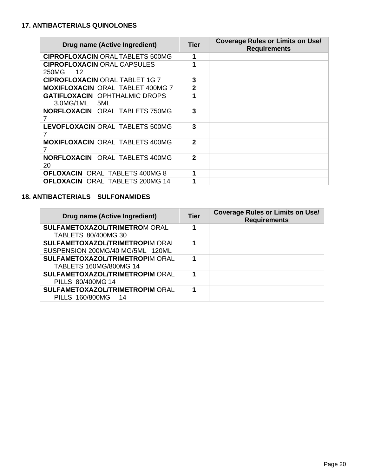#### **17. ANTIBACTERIALS QUINOLONES**

| Drug name (Active Ingredient)                         | <b>Tier</b>    | <b>Coverage Rules or Limits on Use/</b><br><b>Requirements</b> |
|-------------------------------------------------------|----------------|----------------------------------------------------------------|
| <b>CIPROFLOXACIN ORAL TABLETS 500MG</b>               | 1              |                                                                |
| <b>CIPROFLOXACIN ORAL CAPSULES</b><br>250MG<br>12     | 1              |                                                                |
| <b>CIPROFLOXACIN ORAL TABLET 1G 7</b>                 | 3              |                                                                |
| <b>MOXIFLOXACIN ORAL TABLET 400MG 7</b>               | $\mathbf{2}$   |                                                                |
| <b>GATIFLOXACIN</b> OPHTHALMIC DROPS<br>3.0MG/1ML 5ML |                |                                                                |
| <b>NORFLOXACIN</b> ORAL TABLETS 750MG                 | 3              |                                                                |
| <b>LEVOFLOXACIN ORAL TABLETS 500MG</b>                | 3              |                                                                |
| <b>MOXIFLOXACIN ORAL TABLETS 400MG</b>                | $\mathfrak{p}$ |                                                                |
| <b>NORFLOXACIN</b> ORAL TABLETS 400MG<br>20           | $\mathbf{c}$   |                                                                |
| ORAL TABLETS 400MG 8<br><b>OFLOXACIN</b>              | 1              |                                                                |
| ORAL TABLETS 200MG 14<br><b>OFLOXACIN</b>             |                |                                                                |

# **18. ANTIBACTERIALS SULFONAMIDES**

| Drug name (Active Ingredient)                                              | <b>Tier</b> | <b>Coverage Rules or Limits on Use/</b><br><b>Requirements</b> |
|----------------------------------------------------------------------------|-------------|----------------------------------------------------------------|
| <b>SULFAMETOXAZOL/TRIMETROM ORAL</b><br>TABLETS 80/400MG 30                | 1           |                                                                |
| <b>SULFAMETOXAZOL/TRIMETROPIM ORAL</b><br>SUSPENSION 200MG/40 MG/5ML 120ML | 1           |                                                                |
| <b>SULFAMETOXAZOL/TRIMETROPIM ORAL</b><br><b>TABLETS 160MG/800MG 14</b>    | 1           |                                                                |
| <b>SULFAMETOXAZOL/TRIMETROPIM ORAL</b><br>PILLS 80/400MG 14                | 1           |                                                                |
| SULFAMETOXAZOL/TRIMETROPIM ORAL<br><b>PILLS 160/800MG</b><br>14            | 1           |                                                                |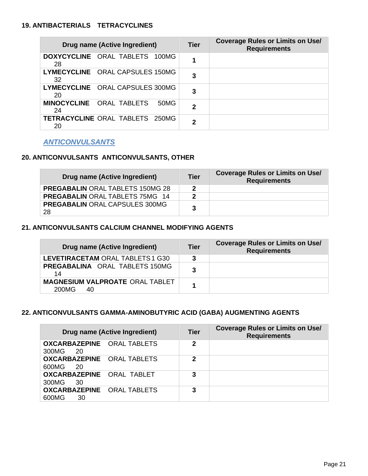#### **19. ANTIBACTERIALS TETRACYCLINES**

|    | <b>Drug name (Active Ingredient)</b>   |       | <b>Tier</b> | <b>Coverage Rules or Limits on Use/</b><br><b>Requirements</b> |
|----|----------------------------------------|-------|-------------|----------------------------------------------------------------|
| 28 | DOXYCYCLINE ORAL TABLETS               | 100MG |             |                                                                |
| 32 | <b>LYMECYCLINE</b> ORAL CAPSULES 150MG |       |             |                                                                |
| 20 | LYMECYCLINE ORAL CAPSULES 300MG        |       | 3           |                                                                |
| 24 | <b>MINOCYCLINE</b> ORAL TABLETS        | 50MG  | 2           |                                                                |
| 20 | <b>TETRACYCLINE ORAL TABLETS 250MG</b> |       |             |                                                                |

#### *ANTICONVULSANTS*

#### **20. ANTICONVULSANTS ANTICONVULSANTS, OTHER**

| Drug name (Active Ingredient)               | <b>Tier</b> | <b>Coverage Rules or Limits on Use/</b><br><b>Requirements</b> |
|---------------------------------------------|-------------|----------------------------------------------------------------|
| <b>PREGABALIN ORAL TABLETS 150MG 28</b>     | 2           |                                                                |
| <b>PREGABALIN ORAL TABLETS 75MG 14</b>      | 2           |                                                                |
| <b>PREGABALIN ORAL CAPSULES 300MG</b><br>28 |             |                                                                |

#### **21. ANTICONVULSANTS CALCIUM CHANNEL MODIFYING AGENTS**

| Drug name (Active Ingredient)                         | <b>Tier</b> | <b>Coverage Rules or Limits on Use/</b><br><b>Requirements</b> |
|-------------------------------------------------------|-------------|----------------------------------------------------------------|
| LEVETIRACETAM ORAL TABLETS 1 G30                      | 3           |                                                                |
| <b>PREGABALINA ORAL TABLETS 150MG</b><br>14           | 3           |                                                                |
| <b>MAGNESIUM VALPROATE ORAL TABLET</b><br>200MG<br>40 |             |                                                                |

#### **22. ANTICONVULSANTS GAMMA-AMINOBUTYRIC ACID (GABA) AUGMENTING AGENTS**

|                                                   | Drug name (Active Ingredient) | <b>Tier</b>  | <b>Coverage Rules or Limits on Use/</b><br><b>Requirements</b> |
|---------------------------------------------------|-------------------------------|--------------|----------------------------------------------------------------|
| <b>OXCARBAZEPINE</b> ORAL TABLETS<br>300MG<br>-20 |                               | $\mathbf{2}$ |                                                                |
| <b>OXCARBAZEPINE</b> ORAL TABLETS<br>600MG<br>20  |                               | $\mathbf{2}$ |                                                                |
| OXCARBAZEPINE ORAL TABLET<br>300MG<br>30          |                               | 3            |                                                                |
| <b>OXCARBAZEPINE</b> ORAL TABLETS<br>600MG<br>30  |                               | 3            |                                                                |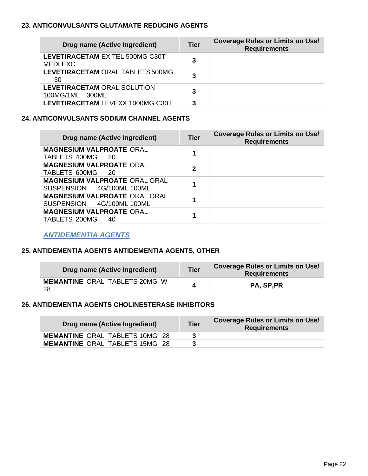#### **23. ANTICONVULSANTS GLUTAMATE REDUCING AGENTS**

| Drug name (Active Ingredient)                      | <b>Tier</b> | <b>Coverage Rules or Limits on Use/</b><br><b>Requirements</b> |
|----------------------------------------------------|-------------|----------------------------------------------------------------|
| LEVETIRACETAM EXITEL 500MG C30T<br><b>MEDI EXC</b> | 3           |                                                                |
| LEVETIRACETAM ORAL TABLETS 500MG<br>30             | 3           |                                                                |
| LEVETIRACETAM ORAL SOLUTION<br>100MG/1ML 300ML     | 3           |                                                                |
| LEVETIRACETAM LEVEXX 1000MG C30T                   | 3           |                                                                |

#### **24. ANTICONVULSANTS SODIUM CHANNEL AGENTS**

<span id="page-21-0"></span>

| Drug name (Active Ingredient)                                     | <b>Tier</b> | <b>Coverage Rules or Limits on Use/</b><br><b>Requirements</b> |
|-------------------------------------------------------------------|-------------|----------------------------------------------------------------|
| <b>MAGNESIUM VALPROATE ORAL</b><br><b>TABLETS 400MG</b><br>- 20   |             |                                                                |
| <b>MAGNESIUM VALPROATE ORAL</b><br><b>TABLETS 600MG</b><br>-20    | $\mathbf 2$ |                                                                |
| <b>MAGNESIUM VALPROATE ORAL ORAL</b><br>SUSPENSION 4G/100ML 100ML |             |                                                                |
| <b>MAGNESIUM VALPROATE ORAL ORAL</b><br>SUSPENSION 4G/100ML 100ML |             |                                                                |
| <b>MAGNESIUM VALPROATE ORAL</b><br>TABLETS 200MG<br>40            |             |                                                                |

#### *ANTIDEMENTIA AGENTS*

#### **25. ANTIDEMENTIA AGENTS ANTIDEMENTIA AGENTS, OTHER**

| Drug name (Active Ingredient)              | <b>Tier</b> | <b>Coverage Rules or Limits on Use/</b><br><b>Requirements</b> |
|--------------------------------------------|-------------|----------------------------------------------------------------|
| <b>MEMANTINE ORAL TABLETS 20MG W</b><br>28 |             | <b>PA, SP, PR</b>                                              |

#### **26. ANTIDEMENTIA AGENTS CHOLINESTERASE INHIBITORS**

| Drug name (Active Ingredient)         | <b>Tier</b> | <b>Coverage Rules or Limits on Use/</b><br><b>Requirements</b> |
|---------------------------------------|-------------|----------------------------------------------------------------|
| <b>MEMANTINE ORAL TABLETS 10MG 28</b> |             |                                                                |
| <b>MEMANTINE ORAL TABLETS 15MG 28</b> |             |                                                                |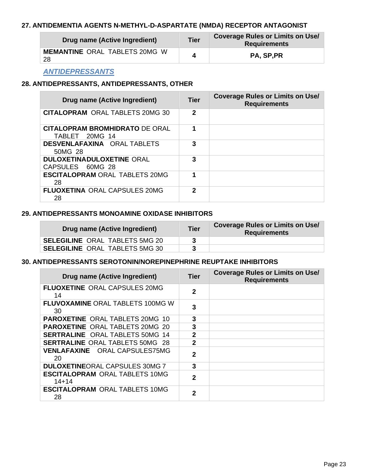#### **27. ANTIDEMENTIA AGENTS N-METHYL-D-ASPARTATE (NMDA) RECEPTOR ANTAGONIST**

| Drug name (Active Ingredient)              | <b>Tier</b> | <b>Coverage Rules or Limits on Use/</b><br><b>Requirements</b> |
|--------------------------------------------|-------------|----------------------------------------------------------------|
| <b>MEMANTINE ORAL TABLETS 20MG W</b><br>28 |             | <b>PA, SP, PR</b>                                              |

### *ANTIDEPRESSANTS*

# **28. ANTIDEPRESSANTS, ANTIDEPRESSANTS, OTHER**

| Drug name (Active Ingredient)                           | <b>Tier</b>    | <b>Coverage Rules or Limits on Use/</b><br><b>Requirements</b> |
|---------------------------------------------------------|----------------|----------------------------------------------------------------|
| <b>CITALOPRAM ORAL TABLETS 20MG 30</b>                  | $\mathbf{2}$   |                                                                |
| <b>CITALOPRAM BROMHIDRATO DE ORAL</b><br>TABLET 20MG 14 | 1              |                                                                |
| <b>DESVENLAFAXINA ORAL TABLETS</b><br>50MG 28           | 3              |                                                                |
| <b>DULOXETINADULOXETINE ORAL</b><br>CAPSULES 60MG 28    | 3              |                                                                |
| <b>ESCITALOPRAM ORAL TABLETS 20MG</b><br>28             | 1              |                                                                |
| <b>FLUOXETINA ORAL CAPSULES 20MG</b><br>28              | $\mathfrak{p}$ |                                                                |

#### <span id="page-22-0"></span>**29. ANTIDEPRESSANTS MONOAMINE OXIDASE INHIBITORS**

| Drug name (Active Ingredient)         | <b>Tier</b> | <b>Coverage Rules or Limits on Use/</b><br><b>Requirements</b> |
|---------------------------------------|-------------|----------------------------------------------------------------|
| <b>SELEGILINE ORAL TABLETS 5MG 20</b> |             |                                                                |
| <b>SELEGILINE ORAL TABLETS 5MG 30</b> |             |                                                                |

#### **30. ANTIDEPRESSANTS SEROTONIN/NOREPINEPHRINE REUPTAKE INHIBITORS**

| Drug name (Active Ingredient)                      | <b>Tier</b>    | <b>Coverage Rules or Limits on Use/</b><br><b>Requirements</b> |
|----------------------------------------------------|----------------|----------------------------------------------------------------|
| <b>FLUOXETINE ORAL CAPSULES 20MG</b><br>14         | $\overline{2}$ |                                                                |
| <b>FLUVOXAMINE ORAL TABLETS 100MG W</b><br>30      | 3              |                                                                |
| <b>PAROXETINE ORAL TABLETS 20MG 10</b>             | 3              |                                                                |
| <b>PAROXETINE ORAL TABLETS 20MG 20</b>             | 3              |                                                                |
| <b>SERTRALINE ORAL TABLETS 50MG 14</b>             | $\mathbf{2}$   |                                                                |
| <b>SERTRALINE ORAL TABLETS 50MG 28</b>             | $\mathbf{2}$   |                                                                |
| <b>VENLAFAXINE ORAL CAPSULES75MG</b><br>20         | $\mathbf{2}$   |                                                                |
| <b>DULOXETINEORAL CAPSULES 30MG 7</b>              | 3              |                                                                |
| <b>ESCITALOPRAM ORAL TABLETS 10MG</b><br>$14 + 14$ | $\mathbf{2}$   |                                                                |
| <b>ESCITALOPRAM ORAL TABLETS 10MG</b><br>28        | $\mathfrak{p}$ |                                                                |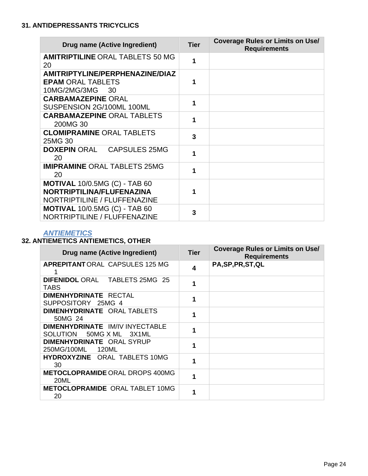# **31. ANTIDEPRESSANTS TRICYCLICS**

<span id="page-23-0"></span>

| Drug name (Active Ingredient)                                                                     | <b>Tier</b> | <b>Coverage Rules or Limits on Use/</b><br><b>Requirements</b> |
|---------------------------------------------------------------------------------------------------|-------------|----------------------------------------------------------------|
| <b>AMITRIPTILINE ORAL TABLETS 50 MG</b><br>20                                                     | 1           |                                                                |
| AMITRIPTYLINE/PERPHENAZINE/DIAZ<br><b>EPAM ORAL TABLETS</b><br>10MG/2MG/3MG<br>- 30               |             |                                                                |
| <b>CARBAMAZEPINE ORAL</b><br>SUSPENSION 2G/100ML 100ML                                            | 1           |                                                                |
| <b>CARBAMAZEPINE ORAL TABLETS</b><br>200MG 30                                                     | 1           |                                                                |
| <b>CLOMIPRAMINE ORAL TABLETS</b><br>25MG 30                                                       | 3           |                                                                |
| <b>DOXEPIN ORAL CAPSULES 25MG</b><br>20                                                           | 1           |                                                                |
| <b>IMIPRAMINE ORAL TABLETS 25MG</b><br>20                                                         | 1           |                                                                |
| <b>MOTIVAL</b> 10/0.5MG (C) - TAB 60<br>NORTRIPTILINA/FLUFENAZINA<br>NORTRIPTILINE / FLUFFENAZINE | 1           |                                                                |
| <b>MOTIVAL 10/0.5MG (C) - TAB 60</b><br>NORTRIPTILINE / FLUFFENAZINE                              | 3           |                                                                |

#### *ANTIEMETICS*

#### **32. ANTIEMETICS ANTIEMETICS, OTHER**

| Drug name (Active Ingredient)                                                   | <b>Tier</b>             | <b>Coverage Rules or Limits on Use/</b><br><b>Requirements</b> |
|---------------------------------------------------------------------------------|-------------------------|----------------------------------------------------------------|
| <b>APREPITANT ORAL CAPSULES 125 MG</b>                                          | $\overline{\mathbf{4}}$ | PA, SP, PR, ST, QL                                             |
| <b>DIFENIDOL ORAL TABLETS 25MG 25</b><br>TABS                                   |                         |                                                                |
| <b>DIMENHYDRINATE RECTAL</b><br>SUPPOSITORY 25MG 4                              | 1                       |                                                                |
| <b>DIMENHYDRINATE ORAL TABLETS</b><br>50MG 24                                   | 1                       |                                                                |
| <b>DIMENHYDRINATE IM/IV INYECTABLE</b><br><b>SOLUTION</b><br>50MG X ML<br>3X1ML |                         |                                                                |
| <b>DIMENHYDRINATE ORAL SYRUP</b><br>250MG/100ML<br>120ML                        | 1                       |                                                                |
| <b>HYDROXYZINE</b> ORAL TABLETS 10MG<br>30                                      |                         |                                                                |
| <b>METOCLOPRAMIDE ORAL DROPS 400MG</b><br>20ML                                  |                         |                                                                |
| <b>METOCLOPRAMIDE ORAL TABLET 10MG</b><br>20                                    |                         |                                                                |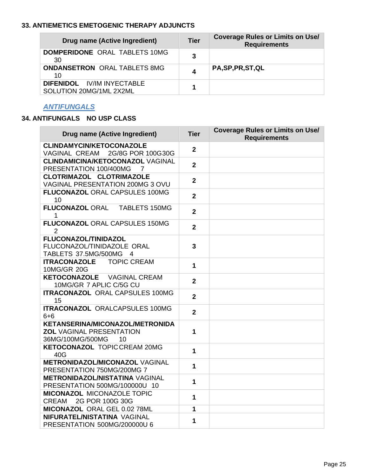# **33. ANTIEMETICS EMETOGENIC THERAPY ADJUNCTS**

| Drug name (Active Ingredient)                                | <b>Tier</b> | <b>Coverage Rules or Limits on Use/</b><br><b>Requirements</b> |
|--------------------------------------------------------------|-------------|----------------------------------------------------------------|
| <b>DOMPERIDONE ORAL TABLETS 10MG</b><br>30                   | 3           |                                                                |
| <b>ONDANSETRON ORAL TABLETS 8MG</b><br>10                    |             | <b>PA,SP,PR,ST,QL</b>                                          |
| <b>DIFENIDOL</b> IV/IM INYECTABLE<br>SOLUTION 20MG/1ML 2X2ML |             |                                                                |

# *ANTIFUNGALS*

# **34. ANTIFUNGALS NO USP CLASS**

<span id="page-24-0"></span>

| <b>Drug name (Active Ingredient)</b>                                                         | <b>Tier</b>    | <b>Coverage Rules or Limits on Use/</b><br><b>Requirements</b> |
|----------------------------------------------------------------------------------------------|----------------|----------------------------------------------------------------|
| <b>CLINDAMYCIN/KETOCONAZOLE</b><br>VAGINAL CREAM 2G/8G POR 100G30G                           | $\mathbf{2}$   |                                                                |
| <b>CLINDAMICINA/KETOCONAZOL VAGINAL</b><br>PRESENTATION 100/400MG<br>$\overline{7}$          | $\mathbf{2}$   |                                                                |
| CLOTRIMAZOL CLOTRIMAZOLE<br>VAGINAL PRESENTATION 200MG 3 OVU                                 | $\overline{2}$ |                                                                |
| <b>FLUCONAZOL ORAL CAPSULES 100MG</b><br>10                                                  | $\overline{2}$ |                                                                |
| <b>FLUCONAZOL ORAL</b><br><b>TABLETS 150MG</b><br>1                                          | $\overline{2}$ |                                                                |
| <b>FLUCONAZOL ORAL CAPSULES 150MG</b><br>2                                                   | $\overline{2}$ |                                                                |
| FLUCONAZOL/TINIDAZOL<br>FLUCONAZOL/TINIDAZOLE ORAL<br>TABLETS 37.5MG/500MG 4                 | 3              |                                                                |
| <b>ITRACONAZOLE</b><br><b>TOPIC CREAM</b><br>10MG/GR 20G                                     | 1              |                                                                |
| KETOCONAZOLE VAGINAL CREAM<br>10MG/GR 7 APLIC C/5G CU                                        | $\mathbf{2}$   |                                                                |
| <b>ITRACONAZOL ORAL CAPSULES 100MG</b><br>15                                                 | $\overline{2}$ |                                                                |
| <b>ITRACONAZOL ORALCAPSULES 100MG</b><br>$6 + 6$                                             | $\overline{2}$ |                                                                |
| KETANSERINA/MICONAZOL/METRONIDA<br><b>ZOL VAGINAL PRESENTATION</b><br>36MG/100MG/500MG<br>10 | 1              |                                                                |
| <b>KETOCONAZOL TOPIC CREAM 20MG</b><br>40G                                                   | 1              |                                                                |
| <b>METRONIDAZOL/MICONAZOL VAGINAL</b><br>PRESENTATION 750MG/200MG 7                          | $\mathbf 1$    |                                                                |
| <b>METRONIDAZOL/NISTATINA VAGINAL</b><br>PRESENTATION 500MG/100000U 10                       | $\mathbf 1$    |                                                                |
| <b>MICONAZOL MICONAZOLE TOPIC</b><br>CREAM 2G POR 100G 30G                                   | $\mathbf 1$    |                                                                |
| MICONAZOL ORAL GEL 0.02 78ML                                                                 | $\mathbf 1$    |                                                                |
| NIFURATEL/NISTATINA VAGINAL<br>PRESENTATION 500MG/200000U 6                                  | 1              |                                                                |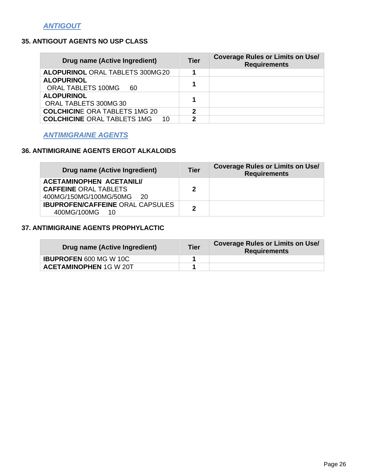# *ANTIGOUT*

#### **35. ANTIGOUT AGENTS NO USP CLASS**

| Drug name (Active Ingredient)                 | <b>Tier</b> | <b>Coverage Rules or Limits on Use/</b><br><b>Requirements</b> |
|-----------------------------------------------|-------------|----------------------------------------------------------------|
| <b>ALOPURINOL ORAL TABLETS 300MG20</b>        |             |                                                                |
| <b>ALOPURINOL</b><br>ORAL TABLETS 100MG<br>60 |             |                                                                |
| <b>ALOPURINOL</b><br>ORAL TABLETS 300MG 30    |             |                                                                |
| <b>COLCHICINE ORA TABLETS 1MG 20</b>          | 2           |                                                                |
| <b>COLCHICINE ORAL TABLETS 1MG</b><br>10      | 2           |                                                                |

# <span id="page-25-0"></span>*ANTIMIGRAINE AGENTS*

#### **36. ANTIMIGRAINE AGENTS ERGOT ALKALOIDS**

| Drug name (Active Ingredient)                                                                   | <b>Tier</b> | <b>Coverage Rules or Limits on Use/</b><br><b>Requirements</b> |
|-------------------------------------------------------------------------------------------------|-------------|----------------------------------------------------------------|
| <b>ACETAMINOPHEN ACETANILI/</b><br><b>CAFFEINE ORAL TABLETS</b><br>400MG/150MG/100MG/50MG<br>20 | 2           |                                                                |
| <b>IBUPROFEN/CAFFEINE ORAL CAPSULES</b><br>400MG/100MG<br>10                                    | 2           |                                                                |

#### **37. ANTIMIGRAINE AGENTS PROPHYLACTIC**

| Drug name (Active Ingredient) | <b>Tier</b> | <b>Coverage Rules or Limits on Use/</b><br><b>Requirements</b> |
|-------------------------------|-------------|----------------------------------------------------------------|
| <b>IBUPROFEN 600 MG W 10C</b> |             |                                                                |
| <b>ACETAMINOPHEN 1G W 20T</b> |             |                                                                |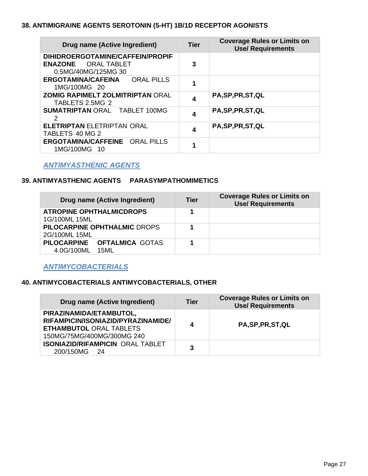#### <span id="page-26-0"></span>**38. ANTIMIGRAINE AGENTS SEROTONIN (5-HT) 1B/1D RECEPTOR AGONISTS**

| Drug name (Active Ingredient)                                                         | <b>Tier</b> | <b>Coverage Rules or Limits on</b><br><b>Use/ Requirements</b> |
|---------------------------------------------------------------------------------------|-------------|----------------------------------------------------------------|
| DIHIDROERGOTAMINE/CAFFEIN/PROPIF<br><b>ENAZONE</b> ORAL TABLET<br>0.5MG/40MG/125MG 30 | 3           |                                                                |
| <b>ERGOTAMINA/CAFEINA ORAL PILLS</b><br>1MG/100MG 20                                  |             |                                                                |
| <b>ZOMIG RAPIMELT ZOLMITRIPTAN ORAL</b><br>TABLETS 2.5MG 2                            |             | PA, SP, PR, ST, QL                                             |
| <b>SUMATRIPTAN ORAL TABLET 100MG</b><br>2                                             |             | PA, SP, PR, ST, QL                                             |
| <b>ELETRIPTAN ELETRIPTAN ORAL</b><br>TABLETS 40 MG 2                                  | 4           | PA, SP, PR, ST, QL                                             |
| <b>ERGOTAMINA/CAFFEINE ORAL PILLS</b><br>1MG/100MG 10                                 |             |                                                                |

#### <span id="page-26-1"></span>*ANTIMYASTHENIC AGENTS*

#### **39. ANTIMYASTHENIC AGENTS PARASYMPATHOMIMETICS**

| Drug name (Active Ingredient)                    | <b>Tier</b> | <b>Coverage Rules or Limits on</b><br><b>Use/ Requirements</b> |
|--------------------------------------------------|-------------|----------------------------------------------------------------|
| <b>ATROPINE OPHTHALMICDROPS</b><br>1G/100ML 15ML |             |                                                                |
| PILOCARPINE OPHTHALMIC DROPS<br>2G/100ML 15ML    |             |                                                                |
| PILOCARPINE OFTALMICA GOTAS<br>4.0G/100ML 15ML   |             |                                                                |

#### *ANTIMYCOBACTERIALS*

# **40. ANTIMYCOBACTERIALS ANTIMYCOBACTERIALS, OTHER**

| <b>Drug name (Active Ingredient)</b>                                                                                          | <b>Tier</b> | <b>Coverage Rules or Limits on</b><br><b>Use/ Requirements</b> |
|-------------------------------------------------------------------------------------------------------------------------------|-------------|----------------------------------------------------------------|
| PIRAZINAMIDA/ETAMBUTOL,<br>RIFAMPICIN/ISONIAZID/PYRAZINAMIDE/<br><b>ETHAMBUTOL ORAL TABLETS</b><br>150MG/75MG/400MG/300MG 240 | 4           | PA, SP, PR, ST, QL                                             |
| <b>ISONIAZID/RIFAMPICIN ORAL TABLET</b><br>200/150MG<br>24                                                                    | 3           |                                                                |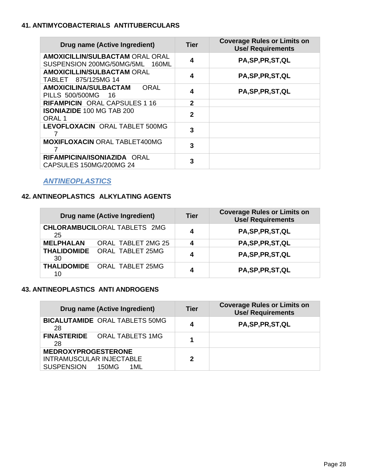# **41. ANTIMYCOBACTERIALS ANTITUBERCULARS**

| Drug name (Active Ingredient)                                                | Tier                    | <b>Coverage Rules or Limits on</b><br><b>Use/ Requirements</b> |
|------------------------------------------------------------------------------|-------------------------|----------------------------------------------------------------|
| <b>AMOXICILLIN/SULBACTAM ORAL ORAL</b><br>SUSPENSION 200MG/50MG/5ML<br>160ML | $\overline{\mathbf{4}}$ | PA, SP, PR, ST, QL                                             |
| <b>AMOXICILLIN/SULBACTAM ORAL</b><br>TABLET 875/125MG 14                     | 4                       | PA, SP, PR, ST, QL                                             |
| AMOXICILINA/SULBACTAM<br>ORAL<br>PILLS 500/500MG 16                          | 4                       | PA, SP, PR, ST, QL                                             |
| <b>RIFAMPICIN ORAL CAPSULES 1 16</b>                                         | $\overline{2}$          |                                                                |
| <b>ISONIAZIDE 100 MG TAB 200</b><br>ORAL 1                                   | $\mathbf{2}$            |                                                                |
| <b>LEVOFLOXACIN ORAL TABLET 500MG</b>                                        | 3                       |                                                                |
| <b>MOXIFLOXACIN ORAL TABLET400MG</b>                                         | 3                       |                                                                |
| RIFAMPICINA/ISONIAZIDA ORAL<br>CAPSULES 150MG/200MG 24                       | 3                       |                                                                |

<span id="page-27-0"></span>*ANTINEOPLASTICS*

#### **42. ANTINEOPLASTICS ALKYLATING AGENTS**

| Drug name (Active Ingredient)             | <b>Tier</b> | <b>Coverage Rules or Limits on</b><br><b>Use/ Requirements</b> |
|-------------------------------------------|-------------|----------------------------------------------------------------|
| <b>CHLORAMBUCILORAL TABLETS 2MG</b><br>25 | 4           | PA, SP, PR, ST, QL                                             |
| <b>MELPHALAN</b><br>ORAL TABLET 2MG 25    | 4           | PA, SP, PR, ST, QL                                             |
| <b>THALIDOMIDE</b> ORAL TABLET 25MG<br>30 | 4           | PA, SP, PR, ST, QL                                             |
| <b>THALIDOMIDE</b> ORAL TABLET 25MG<br>10 | 4           | PA, SP, PR, ST, QL                                             |

# <span id="page-27-1"></span>**43. ANTINEOPLASTICS ANTI ANDROGENS**

| Drug name (Active Ingredient)                                                                      | <b>Tier</b> | <b>Coverage Rules or Limits on</b><br><b>Use/ Requirements</b> |
|----------------------------------------------------------------------------------------------------|-------------|----------------------------------------------------------------|
| <b>BICALUTAMIDE ORAL TABLETS 50MG</b><br>28                                                        | 4           | PA, SP, PR, ST, QL                                             |
| <b>FINASTERIDE</b> ORAL TABLETS 1MG<br>28                                                          |             |                                                                |
| <b>MEDROXYPROGESTERONE</b><br><b>INTRAMUSCULAR INJECTABLE</b><br><b>SUSPENSION</b><br>1ML<br>150MG | 2           |                                                                |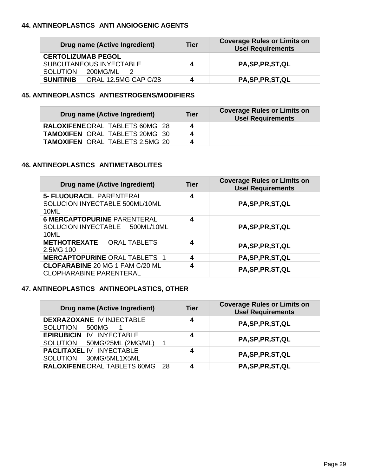#### **44. ANTINEOPLASTICS ANTI ANGIOGENIC AGENTS**

| Drug name (Active Ingredient)                                                       | <b>Tier</b> | <b>Coverage Rules or Limits on</b><br><b>Use/ Requirements</b> |
|-------------------------------------------------------------------------------------|-------------|----------------------------------------------------------------|
| <b>CERTOLIZUMAB PEGOL</b><br>SUBCUTANEOUS INYECTABLE<br><b>SOLUTION</b><br>200MG/ML | 4           | <b>PA,SP,PR,ST,QL</b>                                          |
| ORAL 12.5MG CAP C/28<br><b>SUNITINIB</b>                                            | 4           | PA, SP, PR, ST, QL                                             |

#### **45. ANTINEOPLASTICS ANTIESTROGENS/MODIFIERS**

| Drug name (Active Ingredient)          | <b>Tier</b>  | <b>Coverage Rules or Limits on</b><br><b>Use/ Requirements</b> |
|----------------------------------------|--------------|----------------------------------------------------------------|
| <b>RALOXIFENEORAL TABLETS 60MG 28</b>  | 4            |                                                                |
| <b>TAMOXIFEN ORAL TABLETS 20MG 30</b>  | $\mathbf{A}$ |                                                                |
| <b>TAMOXIFEN ORAL TABLETS 2.5MG 20</b> |              |                                                                |

#### <span id="page-28-0"></span>**46. ANTINEOPLASTICS ANTIMETABOLITES**

| <b>Drug name (Active Ingredient)</b>                                         | <b>Tier</b> | <b>Coverage Rules or Limits on</b><br><b>Use/ Requirements</b> |
|------------------------------------------------------------------------------|-------------|----------------------------------------------------------------|
| <b>5- FLUOURACIL PARENTERAL</b><br>SOLUCION INYECTABLE 500ML/10ML<br>10ML    | 4           | PA, SP, PR, ST, QL                                             |
| <b>6 MERCAPTOPURINE PARENTERAL</b><br>SOLUCION INYECTABLE 500ML/10ML<br>10ML | 4           | PA, SP, PR, ST, QL                                             |
| <b>METHOTREXATE</b><br>ORAL TABLETS<br>2.5MG 100                             | 4           | PA, SP, PR, ST, QL                                             |
| <b>MERCAPTOPURINE ORAL TABLETS 1</b>                                         | 4           | PA, SP, PR, ST, QL                                             |
| <b>CLOFARABINE 20 MG 1 FAM C/20 ML</b><br><b>CLOPHARABINE PARENTERAL</b>     | 4           | PA, SP, PR, ST, QL                                             |

# **47. ANTINEOPLASTICS ANTINEOPLASTICS, OTHER**

| Drug name (Active Ingredient)                                       | <b>Tier</b> | <b>Coverage Rules or Limits on</b><br><b>Use/ Requirements</b> |
|---------------------------------------------------------------------|-------------|----------------------------------------------------------------|
| <b>DEXRAZOXANE IV INJECTABLE</b><br><b>SOLUTION</b><br>500MG        | 4           | PA, SP, PR, ST, QL                                             |
| <b>EPIRUBICIN IV INYECTABLE</b><br>SOLUTION 50MG/25ML (2MG/ML) 1    | 4           | PA, SP, PR, ST, QL                                             |
| <b>PACLITAXEL IV INYECTABLE</b><br>30MG/5ML1X5ML<br><b>SOLUTION</b> | 4           | PA, SP, PR, ST, QL                                             |
| RALOXIFENEORAL TABLETS 60MG<br>-28                                  | 4           | PA, SP, PR, ST, QL                                             |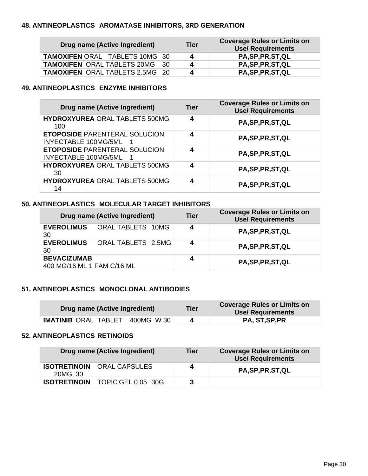#### **48. ANTINEOPLASTICS AROMATASE INHIBITORS, 3RD GENERATION**

| Drug name (Active Ingredient)          | <b>Tier</b> | <b>Coverage Rules or Limits on</b><br><b>Use/ Requirements</b> |
|----------------------------------------|-------------|----------------------------------------------------------------|
| <b>TAMOXIFEN ORAL TABLETS 10MG 30</b>  | 4           | PA, SP, PR, ST, QL                                             |
| <b>TAMOXIFEN ORAL TABLETS 20MG 30</b>  | 4           | PA, SP, PR, ST, QL                                             |
| <b>TAMOXIFEN ORAL TABLETS 2.5MG 20</b> | 4           | PA, SP, PR, ST, QL                                             |

#### **49. ANTINEOPLASTICS ENZYME INHIBITORS**

| Drug name (Active Ingredient)                                      | <b>Tier</b> | <b>Coverage Rules or Limits on</b><br><b>Use/ Requirements</b> |
|--------------------------------------------------------------------|-------------|----------------------------------------------------------------|
| <b>HYDROXYUREA ORAL TABLETS 500MG</b><br>100                       | 4           | PA, SP, PR, ST, QL                                             |
| <b>ETOPOSIDE PARENTERAL SOLUCION</b><br>INYECTABLE 100MG/5ML<br>-1 | 4           | PA, SP, PR, ST, QL                                             |
| <b>ETOPOSIDE PARENTERAL SOLUCION</b><br>INYECTABLE 100MG/5ML<br>1  | 4           | PA, SP, PR, ST, QL                                             |
| <b>HYDROXYUREA ORAL TABLETS 500MG</b><br>30                        | 4           | PA, SP, PR, ST, QL                                             |
| <b>HYDROXYUREA ORAL TABLETS 500MG</b><br>14                        | 4           | PA, SP, PR, ST, QL                                             |

#### **50. ANTINEOPLASTICS MOLECULAR TARGET INHIBITORS**

|                                                  | Drug name (Active Ingredient) | <b>Tier</b> | <b>Coverage Rules or Limits on</b><br><b>Use/ Requirements</b> |
|--------------------------------------------------|-------------------------------|-------------|----------------------------------------------------------------|
| <b>EVEROLIMUS</b><br>30                          | ORAL TABLETS 10MG             | 4           | PA, SP, PR, ST, QL                                             |
| <b>EVEROLIMUS</b><br>30                          | ORAL TABLETS 2.5MG            | 4           | PA, SP, PR, ST, QL                                             |
| <b>BEVACIZUMAB</b><br>400 MG/16 ML 1 FAM C/16 ML |                               | 4           | PA, SP, PR, ST, QL                                             |

#### **51. ANTINEOPLASTICS MONOCLONAL ANTIBODIES**

| Drug name (Active Ingredient)             | <b>Tier</b> | <b>Coverage Rules or Limits on</b><br><b>Use/ Requirements</b> |
|-------------------------------------------|-------------|----------------------------------------------------------------|
| <b>IMATINIB ORAL TABLET</b><br>400MG W 30 |             | PA, ST, SP, PR                                                 |

#### **52. ANTINEOPLASTICS RETINOIDS**

|                     | Drug name (Active Ingredient)     | Tier | <b>Coverage Rules or Limits on</b><br><b>Use/ Requirements</b> |
|---------------------|-----------------------------------|------|----------------------------------------------------------------|
| 20MG 30             | <b>ISOTRETINOIN ORAL CAPSULES</b> | 4    | PA, SP, PR, ST, QL                                             |
| <b>ISOTRETINOIN</b> | TOPIC GEL 0.05 30G                | 3    |                                                                |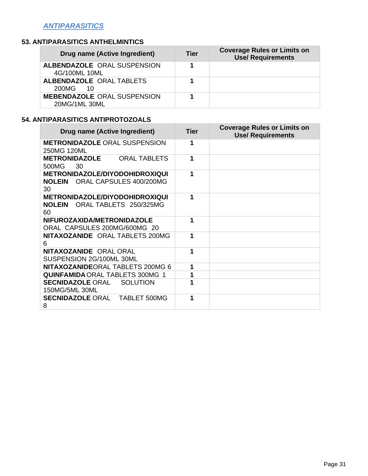# **53. ANTIPARASITICS ANTHELMINTICS**

| Drug name (Active Ingredient)                               | <b>Tier</b> | <b>Coverage Rules or Limits on</b><br><b>Use/ Requirements</b> |
|-------------------------------------------------------------|-------------|----------------------------------------------------------------|
| <b>ALBENDAZOLE ORAL SUSPENSION</b><br>4G/100ML 10ML         |             |                                                                |
| <b>ALBENDAZOLE ORAL TABLETS</b><br>200MG<br>$\overline{10}$ |             |                                                                |
| <b>MEBENDAZOLE ORAL SUSPENSION</b><br>20MG/1ML 30ML         |             |                                                                |

# **54. ANTIPARASITICS ANTIPROTOZOALS**

| Drug name (Active Ingredient)                                                          | Tier | <b>Coverage Rules or Limits on</b><br><b>Use/ Requirements</b> |
|----------------------------------------------------------------------------------------|------|----------------------------------------------------------------|
| <b>METRONIDAZOLE ORAL SUSPENSION</b><br>250MG 120ML                                    | 1    |                                                                |
| <b>METRONIDAZOLE</b><br><b>ORAL TABLETS</b><br>500MG<br>30                             | 1    |                                                                |
| <b>METRONIDAZOLE/DIYODOHIDROXIQUI</b><br><b>NOLEIN</b> ORAL CAPSULES 400/200MG<br>30   | 1    |                                                                |
| <b>METRONIDAZOLE/DIYODOHIDROXIQUI</b><br><b>NOLEIN</b><br>ORAL TABLETS 250/325MG<br>60 | 1    |                                                                |
| NIFUROZAXIDA/METRONIDAZOLE<br>ORAL CAPSULES 200MG/600MG 20                             | 1    |                                                                |
| <b>NITAXOZANIDE ORAL TABLETS 200MG</b><br>6                                            | 1    |                                                                |
| <b>NITAXOZANIDE ORAL ORAL</b><br>SUSPENSION 2G/100ML 30ML                              | 1    |                                                                |
| <b>NITAXOZANIDEORAL TABLETS 200MG 6</b>                                                | 1    |                                                                |
| <b>QUINFAMIDA ORAL TABLETS 300MG 1</b>                                                 | 1    |                                                                |
| <b>SECNIDAZOLE ORAL</b><br><b>SOLUTION</b><br>150MG/5ML 30ML                           | 1    |                                                                |
| <b>SECNIDAZOLE ORAL TABLET 500MG</b><br>8                                              | 1    |                                                                |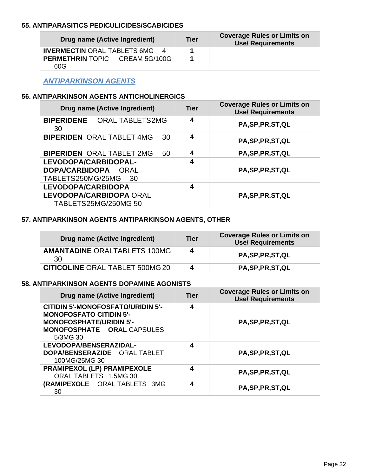#### <span id="page-31-0"></span>**55. ANTIPARASITICS PEDICULICIDES/SCABICIDES**

| Drug name (Active Ingredient)                | <b>Tier</b> | <b>Coverage Rules or Limits on</b><br><b>Use/ Requirements</b> |
|----------------------------------------------|-------------|----------------------------------------------------------------|
| <b>IIVERMECTIN ORAL TABLETS 6MG 4</b>        |             |                                                                |
| <b>PERMETHRIN TOPIC CREAM 5G/100G</b><br>60G |             |                                                                |

# *ANTIPARKINSON AGENTS*

#### **56. ANTIPARKINSON AGENTS ANTICHOLINERGICS**

| Drug name (Active Ingredient)                                                | <b>Tier</b> | <b>Coverage Rules or Limits on</b><br><b>Use/ Requirements</b> |
|------------------------------------------------------------------------------|-------------|----------------------------------------------------------------|
| <b>BIPERIDENE</b> ORAL TABLETS2MG<br>30                                      | 4           | PA, SP, PR, ST, QL                                             |
| <b>BIPERIDEN ORAL TABLET 4MG</b><br>30                                       | 4           | PA, SP, PR, ST, QL                                             |
| <b>BIPERIDEN ORAL TABLET 2MG</b><br>50                                       | 4           | PA, SP, PR, ST, QL                                             |
| LEVODOPA/CARBIDOPAL-<br>DOPA/CARBIDOPA ORAL<br>TABLETS250MG/25MG 30          | 4           | PA, SP, PR, ST, QL                                             |
| LEVODOPA/CARBIDOPA<br>LEVODOPA/CARBIDOPA ORAL<br><b>TABLETS25MG/250MG 50</b> | 4           | PA, SP, PR, ST, QL                                             |

# **57. ANTIPARKINSON AGENTS ANTIPARKINSON AGENTS, OTHER**

| Drug name (Active Ingredient)             | <b>Tier</b> | <b>Coverage Rules or Limits on</b><br><b>Use/ Requirements</b> |
|-------------------------------------------|-------------|----------------------------------------------------------------|
| <b>AMANTADINE ORALTABLETS 100MG</b><br>30 | -4          | PA, SP, PR, ST, QL                                             |
| <b>CITICOLINE ORAL TABLET 500MG 20</b>    | 4           | <b>PA,SP,PR,ST,QL</b>                                          |

#### **58. ANTIPARKINSON AGENTS DOPAMINE AGONISTS**

| Drug name (Active Ingredient)                                                                                                                                 | <b>Tier</b> | <b>Coverage Rules or Limits on</b><br><b>Use/ Requirements</b> |
|---------------------------------------------------------------------------------------------------------------------------------------------------------------|-------------|----------------------------------------------------------------|
| <b>CITIDIN 5'-MONOFOSFATO/URIDIN 5'-</b><br><b>MONOFOSFATO CITIDIN 5'-</b><br><b>MONOFOSPHATE/URIDIN 5'-</b><br><b>MONOFOSPHATE ORAL CAPSULES</b><br>5/3MG 30 | 4           | PA, SP, PR, ST, QL                                             |
| LEVODOPA/BENSERAZIDAL-<br>DOPA/BENSERAZIDE ORAL TABLET<br>100MG/25MG 30                                                                                       | 4           | PA, SP, PR, ST, QL                                             |
| <b>PRAMIPEXOL (LP) PRAMIPEXOLE</b><br>ORAL TABLETS 1.5MG 30                                                                                                   | 4           | PA, SP, PR, ST, QL                                             |
| (RAMIPEXOLE ORAL TABLETS 3MG<br>30                                                                                                                            | 4           | PA, SP, PR, ST, QL                                             |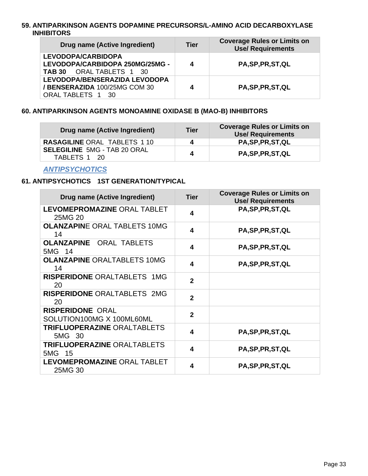#### **59. ANTIPARKINSON AGENTS DOPAMINE PRECURSORS/L-AMINO ACID DECARBOXYLASE INHIBITORS**

| Drug name (Active Ingredient)                                                            | <b>Tier</b> | <b>Coverage Rules or Limits on</b><br><b>Use/ Requirements</b> |
|------------------------------------------------------------------------------------------|-------------|----------------------------------------------------------------|
| LEVODOPA/CARBIDOPA<br>LEVODOPA/CARBIDOPA 250MG/25MG -<br><b>TAB 30 ORAL TABLETS 1 30</b> | 4           | PA, SP, PR, ST, QL                                             |
| LEVODOPA/BENSERAZIDA LEVODOPA<br>/ BENSERAZIDA 100/25MG COM 30<br><b>ORAL TABLETS</b>    | 4           | PA, SP, PR, ST, QL                                             |

#### <span id="page-32-0"></span>**60. ANTIPARKINSON AGENTS MONOAMINE OXIDASE B (MAO-B) INHIBITORS**

| <b>Drug name (Active Ingredient)</b>                   | Tier | <b>Coverage Rules or Limits on</b><br><b>Use/ Requirements</b> |
|--------------------------------------------------------|------|----------------------------------------------------------------|
| <b>RASAGILINE ORAL TABLETS 110</b>                     | 4    | PA, SP, PR, ST, QL                                             |
| <b>SELEGILINE 5MG - TAB 20 ORAL</b><br>TABLETS 1<br>20 | 4    | PA, SP, PR, ST, QL                                             |

*ANTIPSYCHOTICS*

#### **61. ANTIPSYCHOTICS 1ST GENERATION/TYPICAL**

| Drug name (Active Ingredient)                        | <b>Tier</b>  | <b>Coverage Rules or Limits on</b><br><b>Use/ Requirements</b> |
|------------------------------------------------------|--------------|----------------------------------------------------------------|
| <b>LEVOMEPROMAZINE ORAL TABLET</b><br>25MG 20        | 4            | PA, SP, PR, ST, QL                                             |
| <b>OLANZAPINE ORAL TABLETS 10MG</b><br>14            | 4            | PA, SP, PR, ST, QL                                             |
| <b>OLANZAPINE ORAL TABLETS</b><br>5MG 14             | 4            | PA, SP, PR, ST, QL                                             |
| <b>OLANZAPINE ORALTABLETS 10MG</b><br>14             | 4            | PA, SP, PR, ST, QL                                             |
| <b>RISPERIDONE ORALTABLETS 1MG</b><br>20             | $\mathbf{2}$ |                                                                |
| <b>RISPERIDONE ORALTABLETS 2MG</b><br>20             | $\mathbf{2}$ |                                                                |
| <b>RISPERIDONE ORAL</b><br>SOLUTION100MG X 100ML60ML | $\mathbf{2}$ |                                                                |
| TRIFLUOPERAZINE ORALTABLETS<br>5MG 30                | 4            | PA, SP, PR, ST, QL                                             |
| <b>TRIFLUOPERAZINE ORALTABLETS</b><br>5MG 15         | 4            | PA, SP, PR, ST, QL                                             |
| <b>LEVOMEPROMAZINE ORAL TABLET</b><br>25MG 30        | 4            | PA, SP, PR, ST, QL                                             |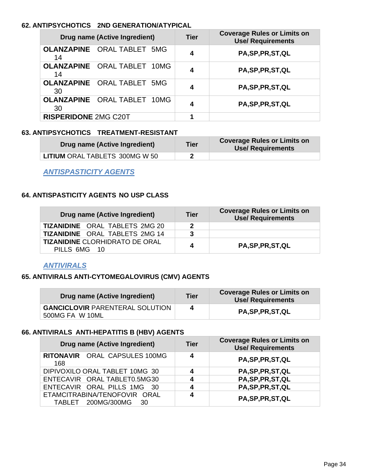#### **62. ANTIPSYCHOTICS 2ND GENERATION/ATYPICAL**

|                             | <b>Drug name (Active Ingredient)</b> | <b>Tier</b> | <b>Coverage Rules or Limits on</b><br><b>Use/ Requirements</b> |
|-----------------------------|--------------------------------------|-------------|----------------------------------------------------------------|
| 14                          | <b>OLANZAPINE ORAL TABLET 5MG</b>    | 4           | PA, SP, PR, ST, QL                                             |
| 14                          | <b>OLANZAPINE ORAL TABLET 10MG</b>   | 4           | PA, SP, PR, ST, QL                                             |
| 30                          | <b>OLANZAPINE ORAL TABLET 5MG</b>    | 4           | PA, SP, PR, ST, QL                                             |
| 30                          | <b>OLANZAPINE ORAL TABLET 10MG</b>   | 4           | PA, SP, PR, ST, QL                                             |
| <b>RISPERIDONE 2MG C20T</b> |                                      |             |                                                                |

#### **63. ANTIPSYCHOTICS TREATMENT-RESISTANT**

| Drug name (Active Ingredient)  | <b>Tier</b> | <b>Coverage Rules or Limits on</b><br><b>Use/ Requirements</b> |
|--------------------------------|-------------|----------------------------------------------------------------|
| LITIUM ORAL TABLETS 300MG W 50 | -           |                                                                |

<span id="page-33-0"></span>*ANTISPASTICITY AGENTS*

#### **64. ANTISPASTICITY AGENTS NO USP CLASS**

| Drug name (Active Ingredient)                         | <b>Tier</b>  | <b>Coverage Rules or Limits on</b><br><b>Use/ Requirements</b> |
|-------------------------------------------------------|--------------|----------------------------------------------------------------|
| <b>TIZANIDINE</b> ORAL TABLETS 2MG 20                 | $\mathbf{2}$ |                                                                |
| <b>TIZANIDINE</b> ORAL TABLETS 2MG 14                 | 3            |                                                                |
| <b>TIZANIDINE CLORHIDRATO DE ORAL</b><br>PILLS 6MG 10 | 4            | PA, SP, PR, ST, QL                                             |

*ANTIVIRALS*

#### **65. ANTIVIRALS ANTI-CYTOMEGALOVIRUS (CMV) AGENTS**

| Drug name (Active Ingredient)                             | <b>Tier</b> | <b>Coverage Rules or Limits on</b><br><b>Use/ Requirements</b> |
|-----------------------------------------------------------|-------------|----------------------------------------------------------------|
| <b>GANCICLOVIR PARENTERAL SOLUTION</b><br>500MG FA W 10ML | 4           | <b>PA,SP,PR,ST,QL</b>                                          |

#### **66. ANTIVIRALS ANTI-HEPATITIS B (HBV) AGENTS**

| <b>Drug name (Active Ingredient)</b>                     | <b>Tier</b> | <b>Coverage Rules or Limits on</b><br><b>Use/ Requirements</b> |
|----------------------------------------------------------|-------------|----------------------------------------------------------------|
| RITONAVIR ORAL CAPSULES 100MG<br>168                     | 4           | PA, SP, PR, ST, QL                                             |
| DIPIVOXILO ORAL TABLET 10MG 30                           | 4           | PA, SP, PR, ST, QL                                             |
| ENTECAVIR ORAL TABLET0.5MG30                             | 4           | PA, SP, PR, ST, QL                                             |
| ENTECAVIR ORAL PILLS 1MG 30                              | 4           | PA, SP, PR, ST, QL                                             |
| ETAMCITRABINA/TENOFOVIR ORAL<br>TABLET 200MG/300MG<br>30 | 4           | PA, SP, PR, ST, QL                                             |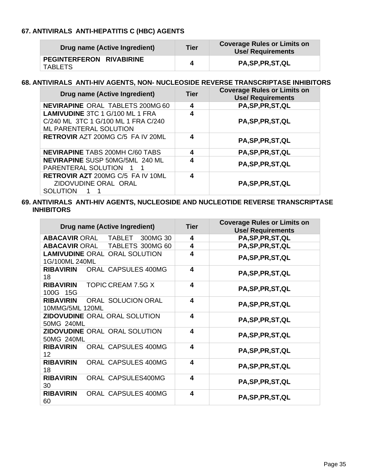# **67. ANTIVIRALS ANTI-HEPATITIS C (HBC) AGENTS**

| Drug name (Active Ingredient)       | <b>Tier</b> | <b>Coverage Rules or Limits on</b><br><b>Use/ Requirements</b> |
|-------------------------------------|-------------|----------------------------------------------------------------|
| PEGINTERFERON RIVABIRINE<br>TABLETS |             | PA, SP, PR, ST, QL                                             |

#### **68. ANTIVIRALS ANTI-HIV AGENTS, NON- NUCLEOSIDE REVERSE TRANSCRIPTASE INHIBITORS**

| Drug name (Active Ingredient)                                                                           | <b>Tier</b> | <b>Coverage Rules or Limits on</b><br><b>Use/ Requirements</b> |
|---------------------------------------------------------------------------------------------------------|-------------|----------------------------------------------------------------|
| <b>NEVIRAPINE ORAL TABLETS 200MG 60</b>                                                                 | 4           | PA, SP, PR, ST, QL                                             |
| <b>LAMIVUDINE 3TC 1 G/100 ML 1 FRA</b><br>C/240 ML 3TC 1 G/100 ML 1 FRA C/240<br>ML PARENTERAL SOLUTION | 4           | PA, SP, PR, ST, QL                                             |
| <b>RETROVIR AZT 200MG C/5 FA IV 20ML</b>                                                                | 4           | PA, SP, PR, ST, QL                                             |
| <b>NEVIRAPINE TABS 200MH C/60 TABS</b>                                                                  | 4           | PA, SP, PR, ST, QL                                             |
| <b>NEVIRAPINE SUSP 50MG/5ML 240 ML</b><br>PARENTERAL SOLUTION                                           | 4           | PA, SP, PR, ST, QL                                             |
| <b>RETROVIR AZT 200MG C/5 FA IV 10ML</b><br>ZIDOVUDINE ORAL ORAL<br><b>SOLUTION</b>                     | 4           | PA, SP, PR, ST, QL                                             |

#### <span id="page-34-0"></span>**69. ANTIVIRALS ANTI-HIV AGENTS, NUCLEOSIDE AND NUCLEOTIDE REVERSE TRANSCRIPTASE INHIBITORS**

<span id="page-34-1"></span>

| <b>ABACAVIR ORAL</b><br>TABLET<br>300MG 30<br>PA, SP, PR, ST, QL<br>4<br><b>ABACAVIR ORAL</b><br>TABLETS 300MG 60<br>PA, SP, PR, ST, QL<br>4<br><b>LAMIVUDINE ORAL ORAL SOLUTION</b><br>4<br>PA, SP, PR, ST, QL<br>1G/100ML 240ML<br><b>ORAL CAPSULES 400MG</b><br><b>RIBAVIRIN</b><br>4<br>PA, SP, PR, ST, QL<br>18<br>TOPIC CREAM 7.5G X<br><b>RIBAVIRIN</b><br>4<br>PA, SP, PR, ST, QL<br>100G 15G<br><b>RIBAVIRIN</b><br>ORAL SOLUCION ORAL<br>4<br>PA, SP, PR, ST, QL<br>10MMG/5ML 120ML<br><b>ZIDOVUDINE ORAL ORAL SOLUTION</b><br>4<br>PA, SP, PR, ST, QL<br>50MG 240ML<br><b>ZIDOVUDINE ORAL ORAL SOLUTION</b><br>4<br>PA, SP, PR, ST, QL<br>50MG 240ML<br>ORAL CAPSULES 400MG<br>4<br><b>RIBAVIRIN</b><br>PA, SP, PR, ST, QL<br>12<br><b>ORAL CAPSULES 400MG</b><br><b>RIBAVIRIN</b><br>4<br>PA, SP, PR, ST, QL<br>18<br><b>RIBAVIRIN</b><br><b>ORAL CAPSULES400MG</b><br>4<br>PA, SP, PR, ST, QL<br>30<br><b>RIBAVIRIN</b><br><b>ORAL CAPSULES 400MG</b><br>4<br>PA, SP, PR, ST, QL<br>60 | Drug name (Active Ingredient) | <b>Tier</b> | <b>Coverage Rules or Limits on</b><br><b>Use/ Requirements</b> |
|-----------------------------------------------------------------------------------------------------------------------------------------------------------------------------------------------------------------------------------------------------------------------------------------------------------------------------------------------------------------------------------------------------------------------------------------------------------------------------------------------------------------------------------------------------------------------------------------------------------------------------------------------------------------------------------------------------------------------------------------------------------------------------------------------------------------------------------------------------------------------------------------------------------------------------------------------------------------------------------------------------|-------------------------------|-------------|----------------------------------------------------------------|
|                                                                                                                                                                                                                                                                                                                                                                                                                                                                                                                                                                                                                                                                                                                                                                                                                                                                                                                                                                                                     |                               |             |                                                                |
|                                                                                                                                                                                                                                                                                                                                                                                                                                                                                                                                                                                                                                                                                                                                                                                                                                                                                                                                                                                                     |                               |             |                                                                |
|                                                                                                                                                                                                                                                                                                                                                                                                                                                                                                                                                                                                                                                                                                                                                                                                                                                                                                                                                                                                     |                               |             |                                                                |
|                                                                                                                                                                                                                                                                                                                                                                                                                                                                                                                                                                                                                                                                                                                                                                                                                                                                                                                                                                                                     |                               |             |                                                                |
|                                                                                                                                                                                                                                                                                                                                                                                                                                                                                                                                                                                                                                                                                                                                                                                                                                                                                                                                                                                                     |                               |             |                                                                |
|                                                                                                                                                                                                                                                                                                                                                                                                                                                                                                                                                                                                                                                                                                                                                                                                                                                                                                                                                                                                     |                               |             |                                                                |
|                                                                                                                                                                                                                                                                                                                                                                                                                                                                                                                                                                                                                                                                                                                                                                                                                                                                                                                                                                                                     |                               |             |                                                                |
|                                                                                                                                                                                                                                                                                                                                                                                                                                                                                                                                                                                                                                                                                                                                                                                                                                                                                                                                                                                                     |                               |             |                                                                |
|                                                                                                                                                                                                                                                                                                                                                                                                                                                                                                                                                                                                                                                                                                                                                                                                                                                                                                                                                                                                     |                               |             |                                                                |
|                                                                                                                                                                                                                                                                                                                                                                                                                                                                                                                                                                                                                                                                                                                                                                                                                                                                                                                                                                                                     |                               |             |                                                                |
|                                                                                                                                                                                                                                                                                                                                                                                                                                                                                                                                                                                                                                                                                                                                                                                                                                                                                                                                                                                                     |                               |             |                                                                |
|                                                                                                                                                                                                                                                                                                                                                                                                                                                                                                                                                                                                                                                                                                                                                                                                                                                                                                                                                                                                     |                               |             |                                                                |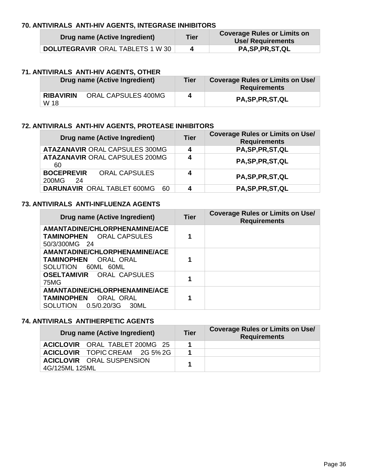#### **70. ANTIVIRALS ANTI-HIV AGENTS, INTEGRASE INHIBITORS**

| Drug name (Active Ingredient)           | <b>Tier</b> | <b>Coverage Rules or Limits on</b><br><b>Use/ Requirements</b> |
|-----------------------------------------|-------------|----------------------------------------------------------------|
| <b>DOLUTEGRAVIR ORAL TABLETS 1 W 30</b> |             | <b>PA,SP,PR,ST,QL</b>                                          |

#### **71. ANTIVIRALS ANTI-HIV AGENTS, OTHER**

|                          | Drug name (Active Ingredient) | Tier | <b>Coverage Rules or Limits on Use/</b><br><b>Requirements</b> |
|--------------------------|-------------------------------|------|----------------------------------------------------------------|
| <b>RIBAVIRIN</b><br>W 18 | <b>ORAL CAPSULES 400MG</b>    | 4    | <b>PA,SP,PR,ST,QL</b>                                          |

#### **72. ANTIVIRALS ANTI-HIV AGENTS, PROTEASE INHIBITORS**

| Drug name (Active Ingredient)                            | <b>Tier</b>             | <b>Coverage Rules or Limits on Use/</b><br><b>Requirements</b> |
|----------------------------------------------------------|-------------------------|----------------------------------------------------------------|
| <b>ATAZANAVIR ORAL CAPSULES 300MG</b>                    | 4                       | PA, SP, PR, ST, QL                                             |
| <b>ATAZANAVIR ORAL CAPSULES 200MG</b><br>60              | $\overline{\mathbf{4}}$ | PA, SP, PR, ST, QL                                             |
| <b>BOCEPREVIR</b><br><b>ORAL CAPSULES</b><br>200MG<br>24 | 4                       | PA, SP, PR, ST, QL                                             |
| <b>DARUNAVIR ORAL TABLET 600MG</b><br>60                 | 4                       | PA, SP, PR, ST, QL                                             |

#### **73. ANTIVIRALS ANTI-INFLUENZA AGENTS**

| Drug name (Active Ingredient)                                                                             | <b>Tier</b> | <b>Coverage Rules or Limits on Use/</b><br><b>Requirements</b> |
|-----------------------------------------------------------------------------------------------------------|-------------|----------------------------------------------------------------|
| AMANTADINE/CHLORPHENAMINE/ACE<br><b>TAMINOPHEN</b> ORAL CAPSULES<br>50/3/300MG 24                         | 1           |                                                                |
| AMANTADINE/CHLORPHENAMINE/ACE<br><b>TAMINOPHEN</b><br>ORAL ORAL<br>SOLUTION<br>60ML 60ML                  |             |                                                                |
| <b>OSELTAMIVIR ORAL CAPSULES</b><br>75MG                                                                  |             |                                                                |
| AMANTADINE/CHLORPHENAMINE/ACE<br><b>TAMINOPHEN</b><br>ORAL ORAL<br><b>SOLUTION</b><br>0.5/0.20/3G<br>30ML |             |                                                                |

#### **74. ANTIVIRALS ANTIHERPETIC AGENTS**

|                | Drug name (Active Ingredient)         | <b>Tier</b> | <b>Coverage Rules or Limits on Use/</b><br><b>Requirements</b> |
|----------------|---------------------------------------|-------------|----------------------------------------------------------------|
|                | <b>ACICLOVIR</b> ORAL TABLET 200MG 25 |             |                                                                |
|                | <b>ACICLOVIR</b> TOPIC CREAM 2G 5% 2G |             |                                                                |
| 4G/125ML 125ML | <b>ACICLOVIR ORAL SUSPENSION</b>      |             |                                                                |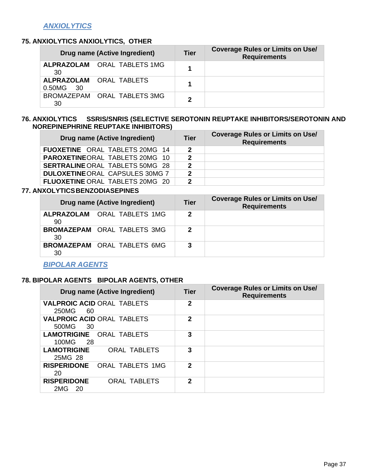# *ANXIOLYTICS*

## **75. ANXIOLYTICS ANXIOLYTICS, OTHER**

|                                     | Drug name (Active Ingredient) | <b>Tier</b> | <b>Coverage Rules or Limits on Use/</b><br><b>Requirements</b> |
|-------------------------------------|-------------------------------|-------------|----------------------------------------------------------------|
| <b>ALPRAZOLAM</b><br>30             | ORAL TABLETS 1MG              |             |                                                                |
| <b>ALPRAZOLAM</b><br>0.50MG<br>- 30 | ORAL TABLETS                  |             |                                                                |
| 30                                  | BROMAZEPAM ORAL TABLETS 3MG   | 2           |                                                                |

## **76. ANXIOLYTICS SSRIS/SNRIS (SELECTIVE SEROTONIN REUPTAKE INHIBITORS/SEROTONIN AND NOREPINEPHRINE REUPTAKE INHIBITORS)**

| Drug name (Active Ingredient)          | <b>Tier</b>                | <b>Coverage Rules or Limits on Use/</b><br><b>Requirements</b> |
|----------------------------------------|----------------------------|----------------------------------------------------------------|
| <b>FUOXETINE</b> ORAL TABLETS 20MG 14  | 2                          |                                                                |
| <b>PAROXETINEORAL TABLETS 20MG 10</b>  |                            |                                                                |
| <b>SERTRALINE ORAL TABLETS 50MG 28</b> | $\boldsymbol{\mathcal{P}}$ |                                                                |
| <b>DULOXETINE ORAL CAPSULES 30MG 7</b> |                            |                                                                |
| <b>FLUOXETINE ORAL TABLETS 20MG 20</b> | າ                          |                                                                |

## **77. ANXOLYTICSBENZODIASEPINES**

|                         | Drug name (Active Ingredient)      | <b>Tier</b> | <b>Coverage Rules or Limits on Use/</b><br><b>Requirements</b> |
|-------------------------|------------------------------------|-------------|----------------------------------------------------------------|
| <b>ALPRAZOLAM</b><br>90 | ORAL TABLETS 1MG                   | 2           |                                                                |
| 30                      | <b>BROMAZEPAM ORAL TABLETS 3MG</b> |             |                                                                |
| 30                      | <b>BROMAZEPAM ORAL TABLETS 6MG</b> | 3           |                                                                |

*BIPOLAR AGENTS*

## **78. BIPOLAR AGENTS BIPOLAR AGENTS, OTHER**

| Drug name (Active Ingredient)                     | <b>Tier</b>  | <b>Coverage Rules or Limits on Use/</b><br><b>Requirements</b> |
|---------------------------------------------------|--------------|----------------------------------------------------------------|
| <b>VALPROIC ACID ORAL TABLETS</b><br>250MG<br>-60 | $\mathbf{c}$ |                                                                |
| <b>VALPROIC ACID ORAL TABLETS</b><br>500MG<br>-30 | 2            |                                                                |
| <b>LAMOTRIGINE</b> ORAL TABLETS<br>100MG<br>-28   | 3            |                                                                |
| <b>LAMOTRIGINE</b><br>ORAL TABLETS<br>25MG 28     | 3            |                                                                |
| ORAL TABLETS 1MG<br><b>RISPERIDONE</b><br>20      | 2            |                                                                |
| <b>RISPERIDONE</b><br>ORAL TABLETS<br>2MG<br>-20  | $\mathbf{c}$ |                                                                |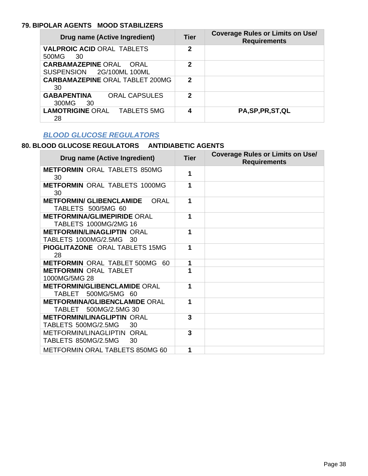## **79. BIPOLAR AGENTS MOOD STABILIZERS**

| Drug name (Active Ingredient)                                  | <b>Tier</b> | <b>Coverage Rules or Limits on Use/</b><br><b>Requirements</b> |
|----------------------------------------------------------------|-------------|----------------------------------------------------------------|
| <b>VALPROIC ACID ORAL TABLETS</b><br>500MG<br>-30              | 2           |                                                                |
| <b>CARBAMAZEPINE ORAL</b><br>ORAL<br>SUSPENSION 2G/100ML 100ML | 2           |                                                                |
| <b>CARBAMAZEPINE ORAL TABLET 200MG</b><br>30                   | 2           |                                                                |
| <b>GABAPENTINA</b><br><b>ORAL CAPSULES</b><br>300MG<br>30      | 2           |                                                                |
| <b>LAMOTRIGINE ORAL</b><br><b>TABLETS 5MG</b><br>28            | 4           | PA, SP, PR, ST, QL                                             |

# *BLOOD GLUCOSE REGULATORS*

# **80. BLOOD GLUCOSE REGULATORS ANTIDIABETIC AGENTS**

| <b>Drug name (Active Ingredient)</b>                                 | <b>Tier</b> | <b>Coverage Rules or Limits on Use/</b><br><b>Requirements</b> |
|----------------------------------------------------------------------|-------------|----------------------------------------------------------------|
| <b>METFORMIN ORAL TABLETS 850MG</b><br>30                            | 1           |                                                                |
| <b>METFORMIN ORAL TABLETS 1000MG</b><br>30                           | 1           |                                                                |
| <b>METFORMIN/ GLIBENCLAMIDE</b><br><b>ORAL</b><br>TABLETS 500/5MG 60 | 1           |                                                                |
| <b>METFORMINA/GLIMEPIRIDE ORAL</b><br>TABLETS 1000MG/2MG 16          | 1           |                                                                |
| <b>METFORMIN/LINAGLIPTIN ORAL</b><br>TABLETS 1000MG/2.5MG 30         | 1           |                                                                |
| <b>PIOGLITAZONE ORAL TABLETS 15MG</b><br>28                          | 1           |                                                                |
| <b>METFORMIN ORAL TABLET 500MG 60</b>                                | 1           |                                                                |
| <b>METFORMIN ORAL TABLET</b><br>1000MG/5MG 28                        | 1           |                                                                |
| <b>METFORMIN/GLIBENCLAMIDE ORAL</b><br>TABLET 500MG/5MG 60           | 1           |                                                                |
| <b>METFORMINA/GLIBENCLAMIDE ORAL</b><br>TABLET 500MG/2.5MG 30        | 1           |                                                                |
| <b>METFORMIN/LINAGLIPTIN ORAL</b><br>TABLETS 500MG/2.5MG<br>30       | 3           |                                                                |
| METFORMIN/LINAGLIPTIN ORAL<br>TABLETS 850MG/2.5MG<br>30              | 3           |                                                                |
| METFORMIN ORAL TABLETS 850MG 60                                      | 1           |                                                                |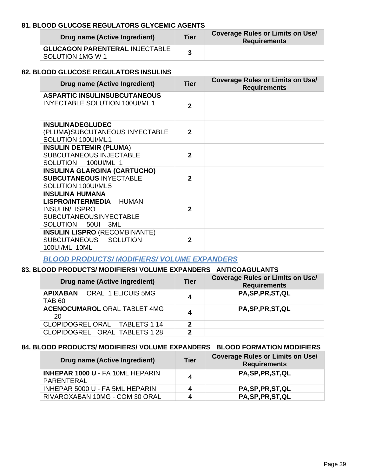## **81. BLOOD GLUCOSE REGULATORS GLYCEMIC AGENTS**

| Drug name (Active Ingredient)                             | <b>Tier</b> | <b>Coverage Rules or Limits on Use/</b><br><b>Requirements</b> |
|-----------------------------------------------------------|-------------|----------------------------------------------------------------|
| <b>GLUCAGON PARENTERAL INJECTABLE</b><br>SOLUTION 1MG W 1 |             |                                                                |

#### **82. BLOOD GLUCOSE REGULATORS INSULINS**

| Drug name (Active Ingredient)                                                                                                       | <b>Tier</b>    | <b>Coverage Rules or Limits on Use/</b><br><b>Requirements</b> |
|-------------------------------------------------------------------------------------------------------------------------------------|----------------|----------------------------------------------------------------|
| <b>ASPARTIC INSULINSUBCUTANEOUS</b><br><b>INYECTABLE SOLUTION 100UI/ML1</b>                                                         | $\overline{2}$ |                                                                |
| <b>INSULINADEGLUDEC</b><br>(PLUMA) SUBCUTANEOUS INYECTABLE<br>SOLUTION 100UI/ML1                                                    | $\overline{2}$ |                                                                |
| <b>INSULIN DETEMIR (PLUMA)</b><br><b>SUBCUTANEOUS INJECTABLE</b><br>SOLUTION 100UI/ML 1                                             | $\mathbf{2}$   |                                                                |
| <b>INSULINA GLARGINA (CARTUCHO)</b><br><b>SUBCUTANEOUS INYECTABLE</b><br>SOLUTION 100UI/ML5                                         | $\mathbf{2}$   |                                                                |
| <b>INSULINA HUMANA</b><br>LISPRO/INTERMEDIA HUMAN<br><b>INSULIN/LISPRO</b><br><b>SUBCUTANEOUSINYECTABLE</b><br>SOLUTION 50UI<br>3ML | $\mathbf{z}$   |                                                                |
| <b>INSULIN LISPRO (RECOMBINANTE)</b><br>SUBCUTANEOUS SOLUTION<br>100UI/ML 10ML                                                      | $\mathbf{2}$   |                                                                |

*BLOOD PRODUCTS/ MODIFIERS/ VOLUME EXPANDERS*

#### **83. BLOOD PRODUCTS/ MODIFIERS/ VOLUME EXPANDERS ANTICOAGULANTS**

| Drug name (Active Ingredient)                       | <b>Tier</b> | <b>Coverage Rules or Limits on Use/</b><br><b>Requirements</b> |
|-----------------------------------------------------|-------------|----------------------------------------------------------------|
| <b>APIXABAN</b> ORAL 1 ELICUIS 5MG<br><b>TAB 60</b> | Δ           | PA, SP, PR, ST, QL                                             |
| <b>ACENOCUMAROL ORAL TABLET 4MG</b><br>20           |             | PA, SP, PR, ST, QL                                             |
| CLOPIDOGREL ORAL TABLETS 1 14                       | $\mathbf 2$ |                                                                |
| CLOPIDOGREL ORAL TABLETS 1 28                       |             |                                                                |

#### **84. BLOOD PRODUCTS/ MODIFIERS/ VOLUME EXPANDERS BLOOD FORMATION MODIFIERS**

| <b>Drug name (Active Ingredient)</b>                  | <b>Tier</b> | <b>Coverage Rules or Limits on Use/</b><br><b>Requirements</b> |
|-------------------------------------------------------|-------------|----------------------------------------------------------------|
| <b>INHEPAR 1000 U - FA 10ML HEPARIN</b><br>PARENTERAL | 4           | PA, SP, PR, ST, QL                                             |
| INHEPAR 5000 U - FA 5ML HEPARIN                       | Δ           | <b>PA,SP,PR,ST,QL</b>                                          |
| RIVAROXABAN 10MG - COM 30 ORAL                        |             | PA, SP, PR, ST, QL                                             |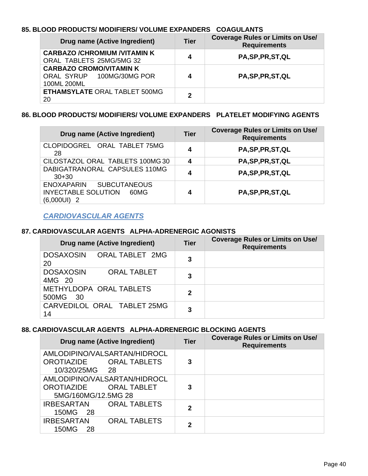#### **85. BLOOD PRODUCTS/ MODIFIERS/ VOLUME EXPANDERS COAGULANTS**

| Drug name (Active Ingredient)                                              | <b>Tier</b> | <b>Coverage Rules or Limits on Use/</b><br><b>Requirements</b> |
|----------------------------------------------------------------------------|-------------|----------------------------------------------------------------|
| <b>CARBAZO /CHROMIUM /VITAMIN K</b><br>ORAL TABLETS 25MG/5MG 32            |             | PA, SP, PR, ST, QL                                             |
| <b>CARBAZO CROMO/VITAMIN K</b><br>ORAL SYRUP 100MG/30MG POR<br>100ML 200ML |             | PA, SP, PR, ST, QL                                             |
| <b>ETHAMSYLATE ORAL TABLET 500MG</b><br><b>20</b>                          | 2           |                                                                |

#### **86. BLOOD PRODUCTS/ MODIFIERS/ VOLUME EXPANDERS PLATELET MODIFYING AGENTS**

| <b>Drug name (Active Ingredient)</b>                                                           | <b>Tier</b> | <b>Coverage Rules or Limits on Use/</b><br><b>Requirements</b> |
|------------------------------------------------------------------------------------------------|-------------|----------------------------------------------------------------|
| CLOPIDOGREL ORAL TABLET 75MG<br>28                                                             | 4           | PA, SP, PR, ST, QL                                             |
| CILOSTAZOL ORAL TABLETS 100MG 30                                                               |             | PA, SP, PR, ST, QL                                             |
| DABIGATRANORAL CAPSULES 110MG<br>$30+30$                                                       | Δ           | PA, SP, PR, ST, QL                                             |
| <b>ENOXAPARIN</b><br><b>SUBCUTANEOUS</b><br><b>INYECTABLE SOLUTION</b><br>60MG<br>$(6,000$ UI) |             | PA, SP, PR, ST, QL                                             |

# *CARDIOVASCULAR AGENTS*

#### **87. CARDIOVASCULAR AGENTS ALPHA-ADRENERGIC AGONISTS**

| Drug name (Active Ingredient)                    | <b>Tier</b> | <b>Coverage Rules or Limits on Use/</b><br><b>Requirements</b> |
|--------------------------------------------------|-------------|----------------------------------------------------------------|
| <b>DOSAXOSIN</b><br>ORAL TABLET 2MG<br>20        | 3           |                                                                |
| <b>DOSAXOSIN</b><br><b>ORAL TABLET</b><br>4MG 20 | 3           |                                                                |
| METHYLDOPA ORAL TABLETS<br>500MG<br>- 30         | 2           |                                                                |
| CARVEDILOL ORAL TABLET 25MG<br>14                | 3           |                                                                |

### **88. CARDIOVASCULAR AGENTS ALPHA-ADRENERGIC BLOCKING AGENTS**

| Drug name (Active Ingredient)                                                           | <b>Tier</b> | <b>Coverage Rules or Limits on Use/</b><br><b>Requirements</b> |
|-----------------------------------------------------------------------------------------|-------------|----------------------------------------------------------------|
| AMLODIPINO/VALSARTAN/HIDROCL<br>OROTIAZIDE ORAL TABLETS<br>10/320/25MG 28               | 3           |                                                                |
| AMLODIPINO/VALSARTAN/HIDROCL<br>OROTIAZIDE<br><b>ORAL TABLET</b><br>5MG/160MG/12.5MG 28 | 3           |                                                                |
| <b>ORAL TABLETS</b><br><b>IRBESARTAN</b><br>150MG<br>- 28                               | 2           |                                                                |
| <b>IRBESARTAN</b><br><b>ORAL TABLETS</b><br>150MG<br>-28                                | 2           |                                                                |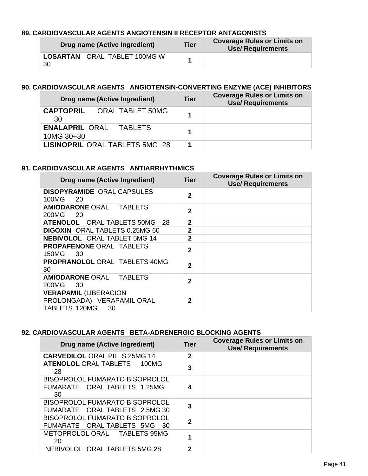## **89. CARDIOVASCULAR AGENTS ANGIOTENSIN II RECEPTOR ANTAGONISTS**

| Drug name (Active Ingredient)             | <b>Tier</b> | <b>Coverage Rules or Limits on</b><br><b>Use/ Requirements</b> |
|-------------------------------------------|-------------|----------------------------------------------------------------|
| <b>LOSARTAN ORAL TABLET 100MG W</b><br>30 |             |                                                                |

## **90. CARDIOVASCULAR AGENTS ANGIOTENSIN-CONVERTING ENZYME (ACE) INHIBITORS**

| Drug name (Active Ingredient)               | <b>Tier</b> | <b>Coverage Rules or Limits on</b><br><b>Use/ Requirements</b> |
|---------------------------------------------|-------------|----------------------------------------------------------------|
| <b>CAPTOPRIL ORAL TABLET 50MG</b><br>30     |             |                                                                |
| <b>ENALAPRIL ORAL TABLETS</b><br>10MG 30+30 |             |                                                                |
| <b>LISINOPRIL ORAL TABLETS 5MG 28</b>       |             |                                                                |

## **91. CARDIOVASCULAR AGENTS ANTIARRHYTHMICS**

| Drug name (Active Ingredient)            | Tier           | <b>Coverage Rules or Limits on</b><br><b>Use/ Requirements</b> |
|------------------------------------------|----------------|----------------------------------------------------------------|
| <b>DISOPYRAMIDE ORAL CAPSULES</b>        | $\mathbf{2}$   |                                                                |
| 100MG<br><b>20</b>                       |                |                                                                |
| <b>AMIODARONE ORAL TABLETS</b>           | $\mathbf{2}$   |                                                                |
| 200MG.<br>20                             |                |                                                                |
| <b>ATENOLOL ORAL TABLETS 50MG</b><br>-28 | $\overline{2}$ |                                                                |
| <b>DIGOXIN ORAL TABLETS 0.25MG 60</b>    | $\overline{2}$ |                                                                |
| <b>NEBIVOLOL ORAL TABLET 5MG 14</b>      | $\mathbf{2}$   |                                                                |
| <b>PROPAFENONE ORAL TABLETS</b>          | 2              |                                                                |
| 150MG<br>30                              |                |                                                                |
| PROPRANOLOL ORAL TABLETS 40MG            | $\mathbf 2$    |                                                                |
| 30                                       |                |                                                                |
| <b>AMIODARONE ORAL TABLETS</b>           | 2              |                                                                |
| 200MG<br>30                              |                |                                                                |
| <b>VERAPAMIL (LIBERACION</b>             |                |                                                                |
| PROLONGADA) VERAPAMIL ORAL               | 2              |                                                                |
| TABLETS 120MG<br>30                      |                |                                                                |

## **92. CARDIOVASCULAR AGENTS BETA-ADRENERGIC BLOCKING AGENTS**

| Drug name (Active Ingredient)                                           | <b>Tier</b>  | <b>Coverage Rules or Limits on</b><br><b>Use/ Requirements</b> |
|-------------------------------------------------------------------------|--------------|----------------------------------------------------------------|
| <b>CARVEDILOL ORAL PILLS 25MG 14</b>                                    | $\mathbf{2}$ |                                                                |
| <b>ATENOLOL ORAL TABLETS</b><br>100MG<br>28                             | 3            |                                                                |
| BISOPROLOL FUMARATO BISOPROLOL<br>FUMARATE ORAL TABLETS 1.25MG<br>30    | 4            |                                                                |
| <b>BISOPROLOL FUMARATO BISOPROLOL</b><br>FUMARATE ORAL TABLETS 2.5MG 30 | 3            |                                                                |
| <b>BISOPROLOL FUMARATO BISOPROLOL</b><br>FUMARATE ORAL TABLETS 5MG 30   | 2            |                                                                |
| METOPROLOL ORAL TABLETS 95MG<br>20                                      |              |                                                                |
| NEBIVOLOL ORAL TABLETS 5MG 28                                           | 2            |                                                                |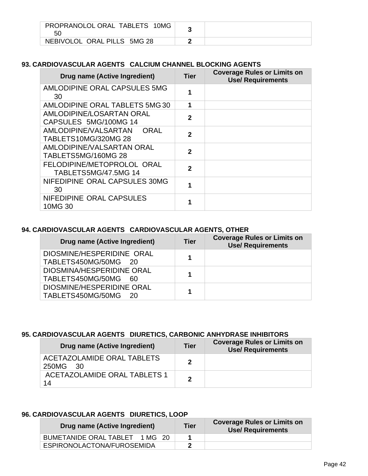| PROPRANOLOL ORAL TABLETS 10MG<br>50 |  |
|-------------------------------------|--|
| NEBIVOLOL ORAL PILLS 5MG 28         |  |

### **93. CARDIOVASCULAR AGENTS CALCIUM CHANNEL BLOCKING AGENTS**

| Drug name (Active Ingredient)                        | <b>Tier</b> | <b>Coverage Rules or Limits on</b><br><b>Use/ Requirements</b> |
|------------------------------------------------------|-------------|----------------------------------------------------------------|
| AMLODIPINE ORAL CAPSULES 5MG<br>30                   |             |                                                                |
| AMLODIPINE ORAL TABLETS 5MG 30                       | 1           |                                                                |
| AMLODIPINE/LOSARTAN ORAL<br>CAPSULES 5MG/100MG 14    | 2           |                                                                |
| AMLODIPINE/VALSARTAN<br>ORAL<br>TABLETS10MG/320MG 28 | 2           |                                                                |
| AMLODIPINE/VALSARTAN ORAL<br>TABLETS5MG/160MG 28     | 2           |                                                                |
| FELODIPINE/METOPROLOL ORAL<br>TABLETS5MG/47.5MG 14   | 2           |                                                                |
| NIFEDIPINE ORAL CAPSULES 30MG<br>30                  |             |                                                                |
| NIFEDIPINE ORAL CAPSULES<br>10MG 30                  |             |                                                                |

## **94. CARDIOVASCULAR AGENTS CARDIOVASCULAR AGENTS, OTHER**

| Drug name (Active Ingredient)                         | <b>Tier</b> | <b>Coverage Rules or Limits on</b><br><b>Use/ Requirements</b> |
|-------------------------------------------------------|-------------|----------------------------------------------------------------|
| DIOSMINE/HESPERIDINE ORAL<br>TABLETS450MG/50MG 20     |             |                                                                |
| DIOSMINA/HESPERIDINE ORAL<br>TABLETS450MG/50MG<br>-60 |             |                                                                |
| DIOSMINE/HESPERIDINE ORAL<br>TABLETS450MG/50MG<br>-20 |             |                                                                |

## **95. CARDIOVASCULAR AGENTS DIURETICS, CARBONIC ANHYDRASE INHIBITORS**

| <b>Drug name (Active Ingredient)</b>      | <b>Tier</b> | <b>Coverage Rules or Limits on</b><br><b>Use/ Requirements</b> |
|-------------------------------------------|-------------|----------------------------------------------------------------|
| ACETAZOLAMIDE ORAL TABLETS<br>250MG 30    |             |                                                                |
| <b>ACETAZOLAMIDE ORAL TABLETS 1</b><br>14 |             |                                                                |

# **96. CARDIOVASCULAR AGENTS DIURETICS, LOOP**

| Drug name (Active Ingredient)  | <b>Tier</b> | <b>Coverage Rules or Limits on</b><br><b>Use/ Requirements</b> |
|--------------------------------|-------------|----------------------------------------------------------------|
| BUMETANIDE ORAL TABLET 1 MG 20 |             |                                                                |
| ESPIRONOLACTONA/FUROSEMIDA     |             |                                                                |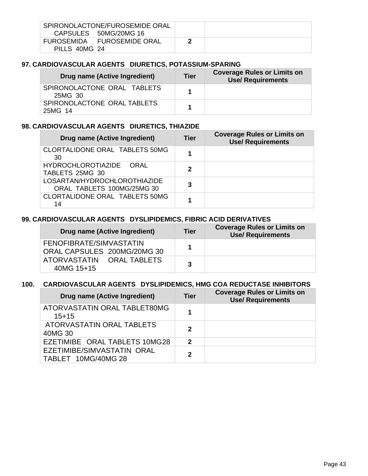| SPIRONOLACTONE/FUROSEMIDE ORAL |  |
|--------------------------------|--|
| CAPSULES 50MG/20MG 16          |  |
| FUROSEMIDA FUROSEMIDE ORAL     |  |
| PILLS 40MG 24                  |  |

## **97. CARDIOVASCULAR AGENTS DIURETICS, POTASSIUM-SPARING**

| Drug name (Active Ingredient)          | <b>Tier</b> | <b>Coverage Rules or Limits on</b><br><b>Use/ Requirements</b> |
|----------------------------------------|-------------|----------------------------------------------------------------|
| SPIRONOLACTONE ORAL TABLETS<br>25MG 30 |             |                                                                |
| SPIRONOLACTONE ORAL TABLETS<br>25MG 14 |             |                                                                |

## **98. CARDIOVASCULAR AGENTS DIURETICS, THIAZIDE**

| Drug name (Active Ingredient)                              | <b>Tier</b> | <b>Coverage Rules or Limits on</b><br><b>Use/ Requirements</b> |
|------------------------------------------------------------|-------------|----------------------------------------------------------------|
| <b>CLORTALIDONE ORAL TABLETS 50MG</b><br>30                |             |                                                                |
| HYDROCHLOROTIAZIDE ORAL<br>TABLETS 25MG 30                 | 2           |                                                                |
| LOSARTAN/HYDROCHLOROTHIAZIDE<br>ORAL TABLETS 100MG/25MG 30 | 3           |                                                                |
| <b>CLORTALIDONE ORAL TABLETS 50MG</b><br>14                |             |                                                                |

#### **99. CARDIOVASCULAR AGENTS DYSLIPIDEMICS, FIBRIC ACID DERIVATIVES**

| Drug name (Active Ingredient)                          | <b>Tier</b> | <b>Coverage Rules or Limits on</b><br><b>Use/ Requirements</b> |
|--------------------------------------------------------|-------------|----------------------------------------------------------------|
| FENOFIBRATE/SIMVASTATIN<br>ORAL CAPSULES 200MG/20MG 30 |             |                                                                |
| ATORVASTATIN ORAL TABLETS<br>40MG 15+15                | 3           |                                                                |

## **100. CARDIOVASCULAR AGENTS DYSLIPIDEMICS, HMG COA REDUCTASE INHIBITORS**

| Drug name (Active Ingredient)                     | <b>Tier</b>  | <b>Coverage Rules or Limits on</b><br><b>Use/ Requirements</b> |
|---------------------------------------------------|--------------|----------------------------------------------------------------|
| ATORVASTATIN ORAL TABLET80MG<br>$15+15$           | 1            |                                                                |
| ATORVASTATIN ORAL TABLETS<br>40MG 30              | $\mathbf{2}$ |                                                                |
| EZETIMIBE ORAL TABLETS 10MG28                     | $\mathbf 2$  |                                                                |
| EZETIMIBE/SIMVASTATIN ORAL<br>TABLET 10MG/40MG 28 | $\mathbf 2$  |                                                                |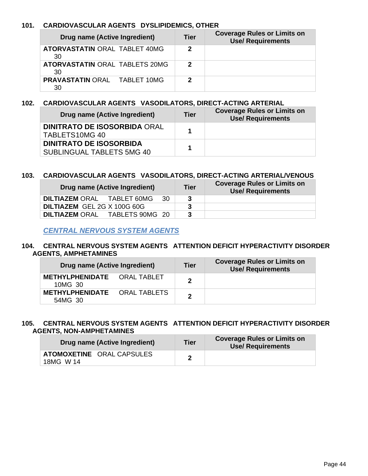## **101. CARDIOVASCULAR AGENTS DYSLIPIDEMICS, OTHER**

| Drug name (Active Ingredient)               | Tier        | <b>Coverage Rules or Limits on</b><br><b>Use/ Requirements</b> |
|---------------------------------------------|-------------|----------------------------------------------------------------|
| <b>ATORVASTATIN ORAL TABLET 40MG</b><br>30  | 2           |                                                                |
| <b>ATORVASTATIN ORAL TABLETS 20MG</b><br>30 | $\mathbf 2$ |                                                                |
| <b>PRAVASTATIN ORAL TABLET 10MG</b><br>30   | 2           |                                                                |

### **102. CARDIOVASCULAR AGENTS VASODILATORS, DIRECT-ACTING ARTERIAL**

| Drug name (Active Ingredient)                                      | <b>Tier</b> | <b>Coverage Rules or Limits on</b><br><b>Use/ Requirements</b> |
|--------------------------------------------------------------------|-------------|----------------------------------------------------------------|
| <b>DINITRATO DE ISOSORBIDA ORAL</b><br>TABLETS10MG 40              |             |                                                                |
| <b>DINITRATO DE ISOSORBIDA</b><br><b>SUBLINGUAL TABLETS 5MG 40</b> |             |                                                                |

## **103. CARDIOVASCULAR AGENTS VASODILATORS, DIRECT-ACTING ARTERIAL/VENOUS**

|                                       | Drug name (Active Ingredient) |    | <b>Tier</b> | <b>Coverage Rules or Limits on</b><br><b>Use/ Requirements</b> |
|---------------------------------------|-------------------------------|----|-------------|----------------------------------------------------------------|
| <b>DILTIAZEM ORAL TABLET 60MG</b>     |                               | 30 | 3           |                                                                |
| <b>DILTIAZEM GEL 2G X 100G 60G</b>    |                               |    | 3           |                                                                |
| <b>DILTIAZEM ORAL TABLETS 90MG 20</b> |                               |    | 3           |                                                                |

*CENTRAL NERVOUS SYSTEM AGENTS*

#### **104. CENTRAL NERVOUS SYSTEM AGENTS ATTENTION DEFICIT HYPERACTIVITY DISORDER AGENTS, AMPHETAMINES**

| Drug name (Active Ingredient)                  | <b>Tier</b> | <b>Coverage Rules or Limits on</b><br><b>Use/ Requirements</b> |
|------------------------------------------------|-------------|----------------------------------------------------------------|
| <b>METHYLPHENIDATE</b> ORAL TABLET<br>10MG 30  | 2           |                                                                |
| <b>METHYLPHENIDATE</b> ORAL TABLETS<br>54MG 30 | 2           |                                                                |

#### **105. CENTRAL NERVOUS SYSTEM AGENTS ATTENTION DEFICIT HYPERACTIVITY DISORDER AGENTS, NON-AMPHETAMINES**

| Drug name (Active Ingredient)          | <b>Tier</b> | <b>Coverage Rules or Limits on</b><br><b>Use/ Requirements</b> |
|----------------------------------------|-------------|----------------------------------------------------------------|
| ATOMOXETINE ORAL CAPSULES<br>18MG W 14 |             |                                                                |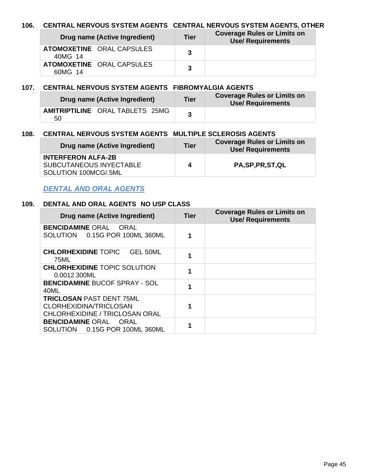## **106. CENTRAL NERVOUS SYSTEM AGENTS CENTRAL NERVOUS SYSTEM AGENTS, OTHER**

| Drug name (Active Ingredient)               | <b>Tier</b> | <b>Coverage Rules or Limits on</b><br><b>Use/ Requirements</b> |
|---------------------------------------------|-------------|----------------------------------------------------------------|
| <b>ATOMOXETINE</b> ORAL CAPSULES<br>40MG 14 | 3           |                                                                |
| ATOMOXETINE ORAL CAPSULES<br>60MG 14        | 3           |                                                                |

#### **107. CENTRAL NERVOUS SYSTEM AGENTS FIBROMYALGIA AGENTS**

| Drug name (Active Ingredient)                | <b>Tier</b> | <b>Coverage Rules or Limits on</b><br><b>Use/ Requirements</b> |
|----------------------------------------------|-------------|----------------------------------------------------------------|
| <b>AMITRIPTILINE ORAL TABLETS 25MG</b><br>50 | ົ           |                                                                |

#### **108. CENTRAL NERVOUS SYSTEM AGENTS MULTIPLE SCLEROSIS AGENTS**

| Drug name (Active Ingredient) | <b>Tier</b> | <b>Coverage Rules or Limits on</b><br><b>Use/ Requirements</b> |
|-------------------------------|-------------|----------------------------------------------------------------|
| <b>INTERFERON ALFA-2B</b>     |             |                                                                |
| SUBCUTANEOUS INYECTABLE       | 4           | <b>PA, SP, PR, ST, QL</b>                                      |
| SOLUTION 100MCG/.5ML          |             |                                                                |

## *DENTAL AND ORAL AGENTS*

#### **109. DENTAL AND ORAL AGENTS NO USP CLASS**

| Drug name (Active Ingredient)                                                                      | <b>Tier</b> | <b>Coverage Rules or Limits on</b><br><b>Use/ Requirements</b> |
|----------------------------------------------------------------------------------------------------|-------------|----------------------------------------------------------------|
| <b>BENCIDAMINE ORAL ORAL</b><br>SOLUTION 0.15G POR 100ML 360ML                                     | 1           |                                                                |
| <b>CHLORHEXIDINE TOPIC</b><br>GEL 50ML<br>75ML                                                     | 1           |                                                                |
| <b>CHLORHEXIDINE TOPIC SOLUTION</b><br>0.0012300ML                                                 | 1           |                                                                |
| <b>BENCIDAMINE BUCOF SPRAY - SOL</b><br>40ML                                                       | 1           |                                                                |
| <b>TRICLOSAN PAST DENT 75ML</b><br>CLORHEXIDINA/TRICLOSAN<br><b>CHLORHEXIDINE / TRICLOSAN ORAL</b> | 1           |                                                                |
| <b>BENCIDAMINE ORAL</b><br>ORAL<br>SOLUTION 0.15G POR 100ML 360ML                                  |             |                                                                |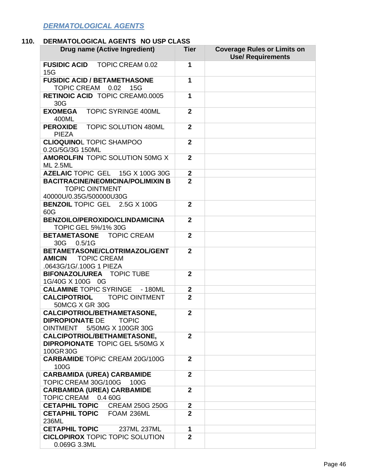# **110. DERMATOLOGICAL AGENTS NO USP CLASS**

| Drug name (Active Ingredient)                                                                        | <b>Tier</b>      | <b>Coverage Rules or Limits on</b><br><b>Use/ Requirements</b> |
|------------------------------------------------------------------------------------------------------|------------------|----------------------------------------------------------------|
| <b>FUSIDIC ACID TOPIC CREAM 0.02</b><br>15G                                                          | 1                |                                                                |
| <b>FUSIDIC ACID / BETAMETHASONE</b><br>TOPIC CREAM 0.02<br>15G                                       | 1                |                                                                |
| <b>RETINOIC ACID TOPIC CREAM0.0005</b><br>30G                                                        | 1                |                                                                |
| <b>TOPIC SYRINGE 400ML</b><br><b>EXOMEGA</b><br>400ML                                                | $\overline{2}$   |                                                                |
| <b>TOPIC SOLUTION 480ML</b><br><b>PEROXIDE</b><br><b>PIEZA</b>                                       | $\overline{2}$   |                                                                |
| <b>CLIOQUINOL TOPIC SHAMPOO</b><br>0.2G/5G/3G 150ML                                                  | $\overline{2}$   |                                                                |
| <b>AMOROLFIN TOPIC SOLUTION 50MG X</b><br><b>ML 2.5ML</b>                                            | $\overline{2}$   |                                                                |
| AZELAIC TOPIC GEL 15G X 100G 30G                                                                     | $\mathbf{2}$     |                                                                |
| <b>BACITRACINE/NEOMICINA/POLIMIXIN B</b><br><b>TOPIC OINTMENT</b><br>40000U/0.35G/500000U30G         | $\overline{2}$   |                                                                |
| <b>BENZOIL TOPIC GEL 2.5G X 100G</b><br>60G                                                          | $\overline{2}$   |                                                                |
| BENZOILO/PEROXIDO/CLINDAMICINA<br><b>TOPIC GEL 5%/1% 30G</b>                                         | $\mathbf{2}$     |                                                                |
| <b>BETAMETASONE  TOPIC CREAM</b><br>0.5/1G<br>30G                                                    | $\overline{2}$   |                                                                |
| BETAMETASONE/CLOTRIMAZOL/GENT<br><b>AMICIN TOPIC CREAM</b><br>.0643G/1G/.100G 1 PIEZA                | $\overline{2}$   |                                                                |
| <b>BIFONAZOL/UREA TOPIC TUBE</b><br>1G/40G X 100G 0G                                                 | $\mathbf{2}$     |                                                                |
| <b>CALAMINE TOPIC SYRINGE</b><br>- 180ML                                                             | $\mathbf 2$      |                                                                |
| <b>CALCIPOTRIOL TOPIC OINTMENT</b><br>50MCG X GR 30G                                                 | $\overline{2}$   |                                                                |
| CALCIPOTRIOL/BETHAMETASONE.<br><b>DIPROPIONATE DE</b><br><b>TOPIC</b><br>OINTMENT 5/50MG X 100GR 30G | $\overline{2}$   |                                                                |
| CALCIPOTRIOL/BETHAMETASONE,<br><b>DIPROPIONATE TOPIC GEL 5/50MG X</b><br>100GR30G                    | $\overline{2}$   |                                                                |
| <b>CARBAMIDE TOPIC CREAM 20G/100G</b><br>100G                                                        | $\mathbf{2}$     |                                                                |
| <b>CARBAMIDA (UREA) CARBAMIDE</b><br>TOPIC CREAM 30G/100G<br>100G                                    | $\mathbf{2}$     |                                                                |
| <b>CARBAMIDA (UREA) CARBAMIDE</b><br>TOPIC CREAM 0.4 60G                                             | $\overline{2}$   |                                                                |
| <b>CETAPHIL TOPIC CREAM 250G 250G</b>                                                                | $\boldsymbol{2}$ |                                                                |
| <b>CETAPHIL TOPIC FOAM 236ML</b><br>236ML                                                            | $\overline{2}$   |                                                                |
| <b>CETAPHIL TOPIC</b><br>237ML 237ML                                                                 | 1                |                                                                |
| <b>CICLOPIROX TOPIC TOPIC SOLUTION</b><br>0.069G 3.3ML                                               | $\overline{2}$   |                                                                |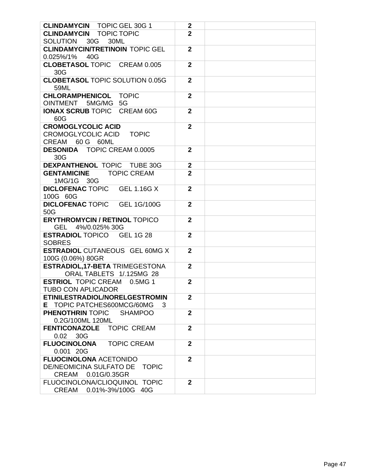| <b>CLINDAMYCIN</b> TOPIC GEL 30G 1                                     | $\mathbf{2}$   |  |
|------------------------------------------------------------------------|----------------|--|
| <b>CLINDAMYCIN</b> TOPIC TOPIC                                         | $\mathbf{2}$   |  |
| SOLUTION 30G<br>30ML                                                   |                |  |
| <b>CLINDAMYCIN/TRETINOIN TOPIC GEL</b>                                 | $\overline{2}$ |  |
| 0.025%/1%<br>40G                                                       |                |  |
| <b>CLOBETASOL TOPIC CREAM 0.005</b>                                    | $\mathbf{2}$   |  |
| 30G                                                                    |                |  |
| <b>CLOBETASOL TOPIC SOLUTION 0.05G</b>                                 | $\overline{2}$ |  |
| 59ML                                                                   |                |  |
| <b>CHLORAMPHENICOL TOPIC</b>                                           | $\overline{2}$ |  |
| OINTMENT 5MG/MG 5G                                                     |                |  |
| <b>IONAX SCRUB TOPIC CREAM 60G</b>                                     | $\overline{2}$ |  |
| 60G                                                                    |                |  |
| <b>CROMOGLYCOLIC ACID</b><br><b>CROMOGLYCOLIC ACID</b><br><b>TOPIC</b> | $\overline{2}$ |  |
| CREAM 60 G 60ML                                                        |                |  |
| <b>DESONIDA TOPIC CREAM 0.0005</b>                                     | $\overline{2}$ |  |
| 30G                                                                    |                |  |
| <b>DEXPANTHENOL TOPIC TUBE 30G</b>                                     | $\mathbf{2}$   |  |
| <b>GENTAMICINE TOPIC CREAM</b>                                         | $\overline{2}$ |  |
| 1MG/1G 30G                                                             |                |  |
| <b>DICLOFENAC TOPIC GEL 1.16G X</b>                                    | $\overline{2}$ |  |
| 100G 60G                                                               |                |  |
| <b>DICLOFENAC TOPIC GEL 1G/100G</b>                                    | $\overline{2}$ |  |
| 50G                                                                    |                |  |
| <b>ERYTHROMYCIN / RETINOL TOPICO</b>                                   | $\overline{2}$ |  |
| GEL 4%/0.025% 30G                                                      |                |  |
| <b>ESTRADIOL TOPICO GEL 1G 28</b>                                      | $\overline{2}$ |  |
| <b>SOBRES</b>                                                          |                |  |
| <b>ESTRADIOL CUTANEOUS GEL 60MG X</b>                                  | $\overline{2}$ |  |
| 100G (0.06%) 80GR                                                      |                |  |
| ESTRADIOL, 17-BETA TRIMEGESTONA                                        | $\overline{2}$ |  |
| ORAL TABLETS 1/.125MG 28                                               |                |  |
| <b>ESTRIOL TOPIC CREAM</b><br>0.5MG 1                                  | $\mathbf{2}$   |  |
| <b>TUBO CON APLICADOR</b>                                              |                |  |
| ETINILESTRADIOL/NORELGESTROMIN<br>E TOPIC PATCHES600MCG/60MG           | $\mathbf{2}$   |  |
| 3<br><b>PHENOTHRIN TOPIC</b><br><b>SHAMPOO</b>                         | $\overline{2}$ |  |
| 0.2G/100ML 120ML                                                       |                |  |
| <b>TOPIC CREAM</b><br><b>FENTICONAZOLE</b>                             | $\overline{2}$ |  |
| 0.02 30G                                                               |                |  |
| <b>FLUOCINOLONA</b><br><b>TOPIC CREAM</b>                              | $\overline{2}$ |  |
| 0.001 20G                                                              |                |  |
| <b>FLUOCINOLONA ACETONIDO</b>                                          | $\overline{2}$ |  |
| DE/NEOMICINA SULFATO DE<br><b>TOPIC</b>                                |                |  |
| CREAM<br>0.01G/0.35GR                                                  |                |  |
| FLUOCINOLONA/CLIOQUINOL TOPIC                                          | $\overline{2}$ |  |
| CREAM<br>0.01%-3%/100G 40G                                             |                |  |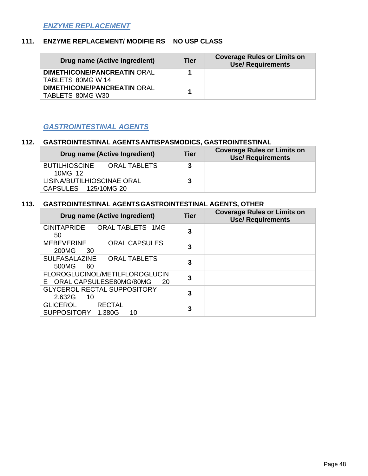## *ENZYME REPLACEMENT*

## **111. ENZYME REPLACEMENT/ MODIFIE RS NO USP CLASS**

| Drug name (Active Ingredient)                           | Tier | <b>Coverage Rules or Limits on</b><br><b>Use/ Requirements</b> |
|---------------------------------------------------------|------|----------------------------------------------------------------|
| <b>DIMETHICONE/PANCREATIN ORAL</b><br>TABLETS 80MG W 14 |      |                                                                |
| <b>DIMETHICONE/PANCREATIN ORAL</b><br>TABLETS 80MG W30  |      |                                                                |

## *GASTROINTESTINAL AGENTS*

#### **112. GASTROINTESTINAL AGENTSANTISPASMODICS, GASTROINTESTINAL**

| Drug name (Active Ingredient)                      | <b>Tier</b> | <b>Coverage Rules or Limits on</b><br><b>Use/ Requirements</b> |
|----------------------------------------------------|-------------|----------------------------------------------------------------|
| <b>BUTILHIOSCINE</b><br>ORAL TABLETS<br>10MG 12    | 3           |                                                                |
| LISINA/BUTILHIOSCINAE ORAL<br>CAPSULES 125/10MG 20 | 3           |                                                                |

## **113. GASTROINTESTINAL AGENTSGASTROINTESTINAL AGENTS, OTHER**

| Drug name (Active Ingredient)                                          | <b>Tier</b> | <b>Coverage Rules or Limits on</b><br><b>Use/ Requirements</b> |
|------------------------------------------------------------------------|-------------|----------------------------------------------------------------|
| <b>ORAL TABLETS 1MG</b><br><b>CINITAPRIDE</b><br>50                    | 3           |                                                                |
| <b>ORAL CAPSULES</b><br><b>MEBEVERINE</b><br>200MG<br>30               | 3           |                                                                |
| <b>SULFASALAZINE</b><br><b>ORAL TABLETS</b><br>500MG<br>- 60           | 3           |                                                                |
| FLOROGLUCINOL/METILFLOROGLUCIN<br>E ORAL CAPSULESE80MG/80MG<br>20      | 3           |                                                                |
| <b>GLYCEROL RECTAL SUPPOSITORY</b><br>2.632G<br>10                     | 3           |                                                                |
| <b>GLICEROL</b><br><b>RECTAL</b><br><b>SUPPOSITORY</b><br>1.380G<br>10 | 3           |                                                                |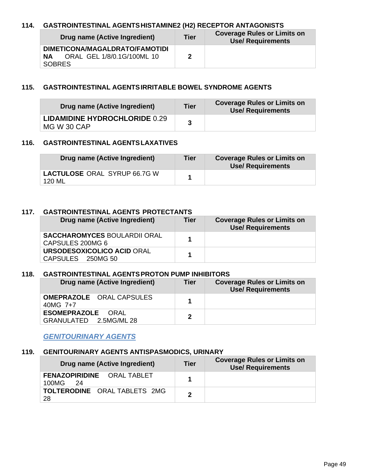#### **114. GASTROINTESTINAL AGENTSHISTAMINE2 (H2) RECEPTOR ANTAGONISTS**

| Drug name (Active Ingredient)                                                       | <b>Tier</b> | <b>Coverage Rules or Limits on</b><br><b>Use/ Requirements</b> |
|-------------------------------------------------------------------------------------|-------------|----------------------------------------------------------------|
| DIMETICONA/MAGALDRATO/FAMOTIDI<br>ORAL GEL 1/8/0.1G/100ML 10<br>NΑ<br><b>SOBRES</b> | 2           |                                                                |

## **115. GASTROINTESTINAL AGENTSIRRITABLE BOWEL SYNDROME AGENTS**

| Drug name (Active Ingredient)                              | <b>Tier</b> | <b>Coverage Rules or Limits on</b><br><b>Use/ Requirements</b> |
|------------------------------------------------------------|-------------|----------------------------------------------------------------|
| <b>LIDAMIDINE HYDROCHLORIDE 0.29</b><br><b>MG W 30 CAP</b> | າ           |                                                                |

## **116. GASTROINTESTINAL AGENTSLAXATIVES**

| Drug name (Active Ingredient)                 | Tier | <b>Coverage Rules or Limits on</b><br><b>Use/ Requirements</b> |
|-----------------------------------------------|------|----------------------------------------------------------------|
| <b>LACTULOSE ORAL SYRUP 66.7G W</b><br>120 ML |      |                                                                |

### **117. GASTROINTESTINAL AGENTS PROTECTANTS**

| Drug name (Active Ingredient)                           | Tier | <b>Coverage Rules or Limits on</b><br><b>Use/ Requirements</b> |
|---------------------------------------------------------|------|----------------------------------------------------------------|
| <b>SACCHAROMYCES BOULARDII ORAL</b><br>CAPSULES 200MG 6 |      |                                                                |
| <b>URSODESOXICOLICO ACID ORAL</b><br>CAPSULES 250MG 50  |      |                                                                |

#### **118. GASTROINTESTINAL AGENTSPROTON PUMP INHIBITORS**

| Drug name (Active Ingredient)                      | <b>Tier</b> | <b>Coverage Rules or Limits on</b><br><b>Use/ Requirements</b> |
|----------------------------------------------------|-------------|----------------------------------------------------------------|
| <b>OMEPRAZOLE</b> ORAL CAPSULES<br>40MG 7+7        |             |                                                                |
| <b>ESOMEPRAZOLE ORAL</b><br>GRANULATED 2.5MG/ML 28 | $\mathbf 2$ |                                                                |

## *GENITOURINARY AGENTS*

# **119. GENITOURINARY AGENTS ANTISPASMODICS, URINARY**

| Drug name (Active Ingredient)                     | Tier | <b>Coverage Rules or Limits on</b><br><b>Use/ Requirements</b> |
|---------------------------------------------------|------|----------------------------------------------------------------|
| <b>FENAZOPIRIDINE</b> ORAL TABLET<br>100MG<br>-24 |      |                                                                |
| <b>TOLTERODINE ORAL TABLETS 2MG</b><br>28         | 2    |                                                                |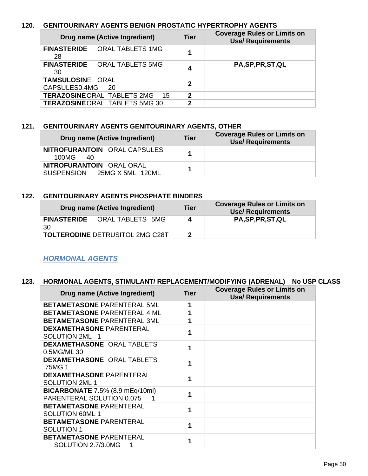### **120. GENITOURINARY AGENTS BENIGN PROSTATIC HYPERTROPHY AGENTS**

| Drug name (Active Ingredient)                    | <b>Tier</b>  | <b>Coverage Rules or Limits on</b><br><b>Use/ Requirements</b> |
|--------------------------------------------------|--------------|----------------------------------------------------------------|
| <b>FINASTERIDE ORAL TABLETS 1MG</b><br>28        | 1            |                                                                |
| ORAL TABLETS 5MG<br><b>FINASTERIDE</b><br>30     | 4            | PA, SP, PR, ST, QL                                             |
| <b>TAMSULOSINE ORAL</b><br>CAPSULES0.4MG<br>- 20 | $\mathbf{2}$ |                                                                |
| <b>TERAZOSINE ORAL TABLETS 2MG</b><br>15         | 2            |                                                                |
| <b>TERAZOSINE ORAL TABLETS 5MG 30</b>            | 2            |                                                                |

## **121. GENITOURINARY AGENTS GENITOURINARY AGENTS, OTHER**

| Drug name (Active Ingredient)                           | <b>Tier</b> | <b>Coverage Rules or Limits on</b><br><b>Use/ Requirements</b> |
|---------------------------------------------------------|-------------|----------------------------------------------------------------|
| NITROFURANTOIN ORAL CAPSULES<br>100MG<br>40             |             |                                                                |
| NITROFURANTOIN ORAL ORAL<br>SUSPENSION 25MG X 5ML 120ML |             |                                                                |

## **122. GENITOURINARY AGENTS PHOSPHATE BINDERS**

|    | Drug name (Active Ingredient)          | <b>Tier</b> | <b>Coverage Rules or Limits on</b><br><b>Use/ Requirements</b> |
|----|----------------------------------------|-------------|----------------------------------------------------------------|
| 30 | <b>FINASTERIDE</b> ORAL TABLETS 5MG    | 4           | PA, SP, PR, ST, QL                                             |
|    | <b>TOLTERODINE DETRUSITOL 2MG C28T</b> | 2           |                                                                |

## *HORMONAL AGENTS*

### **123. HORMONAL AGENTS, STIMULANT/ REPLACEMENT/MODIFYING (ADRENAL) No USP CLASS**

| Drug name (Active Ingredient)                                       | <b>Tier</b> | <b>Coverage Rules or Limits on</b><br><b>Use/ Requirements</b> |
|---------------------------------------------------------------------|-------------|----------------------------------------------------------------|
| <b>BETAMETASONE PARENTERAL 5ML</b>                                  | 1           |                                                                |
| <b>BETAMETASONE PARENTERAL 4 ML</b>                                 | 1           |                                                                |
| <b>BETAMETASONE PARENTERAL 3ML</b>                                  | 1           |                                                                |
| <b>DEXAMETHASONE PARENTERAL</b><br>SOLUTION 2ML 1                   | 1           |                                                                |
| <b>DEXAMETHASONE ORAL TABLETS</b><br>0.5MG/ML 30                    | 1           |                                                                |
| <b>DEXAMETHASONE ORAL TABLETS</b><br>.75MG 1                        | 1           |                                                                |
| <b>DEXAMETHASONE PARENTERAL</b><br><b>SOLUTION 2ML 1</b>            | 1           |                                                                |
| <b>BICARBONATE 7.5% (8.9 mEg/10ml)</b><br>PARENTERAL SOLUTION 0.075 | 1           |                                                                |
| <b>BETAMETASONE PARENTERAL</b><br><b>SOLUTION 60ML 1</b>            | 1           |                                                                |
| <b>BETAMETASONE PARENTERAL</b><br>SOLUTION 1                        | 1           |                                                                |
| <b>BETAMETASONE PARENTERAL</b><br>SOLUTION 2.7/3.0MG<br>1           | 1           |                                                                |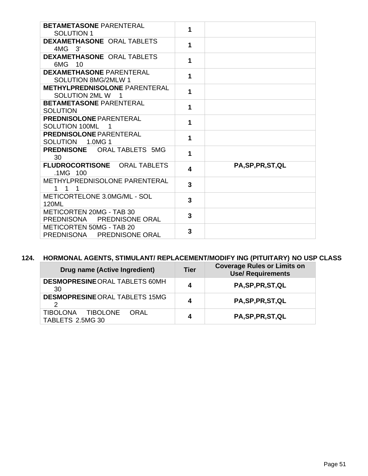| <b>BETAMETASONE PARENTERAL</b><br><b>SOLUTION 1</b>            | 1            |                    |
|----------------------------------------------------------------|--------------|--------------------|
| <b>DEXAMETHASONE ORAL TABLETS</b><br>4MG 3'                    | 1            |                    |
| <b>DEXAMETHASONE ORAL TABLETS</b><br>6MG 10                    | 1            |                    |
| <b>DEXAMETHASONE PARENTERAL</b><br>SOLUTION 8MG/2MLW 1         | 1            |                    |
| <b>METHYLPREDNISOLONE PARENTERAL</b><br>SOLUTION 2ML W 1       | 1            |                    |
| <b>BETAMETASONE PARENTERAL</b><br><b>SOLUTION</b>              | 1            |                    |
| <b>PREDNISOLONE PARENTERAL</b><br>SOLUTION 100ML<br>- 1        | 1            |                    |
| <b>PREDNISOLONE PARENTERAL</b><br>SOLUTION 1.0MG 1             | 1            |                    |
| <b>PREDNISONE</b> ORAL TABLETS 5MG<br>30                       | 1            |                    |
| <b>FLUDROCORTISONE</b> ORAL TABLETS<br>.1MG 100                | 4            | PA, SP, PR, ST, QL |
| METHYLPREDNISOLONE PARENTERAL<br>$1 \quad 1$<br>$\overline{1}$ | $\mathbf{3}$ |                    |
| METICORTELONE 3.0MG/ML - SOL<br><b>120ML</b>                   | 3            |                    |
| <b>METICORTEN 20MG - TAB 30</b><br>PREDNISONA PREDNISONE ORAL  | 3            |                    |
| METICORTEN 50MG - TAB 20<br>PREDNISONA PREDNISONE ORAL         | $\mathbf{3}$ |                    |

## **124. HORMONAL AGENTS, STIMULANT/ REPLACEMENT/MODIFY ING (PITUITARY) NO USP CLASS**

| <b>Drug name (Active Ingredient)</b>                                  | <b>Tier</b> | <b>Coverage Rules or Limits on</b><br><b>Use/ Requirements</b> |
|-----------------------------------------------------------------------|-------------|----------------------------------------------------------------|
| DESMOPRESINE ORAL TABLETS 60MH<br>30                                  |             | PA, SP, PR, ST, QL                                             |
| <b>DESMOPRESINE ORAL TABLETS 15MG</b>                                 |             | PA, SP, PR, ST, QL                                             |
| <b>TIBOLONA</b><br><b>TIBOLONE</b><br><b>ORAL</b><br>TABLETS 2.5MG 30 | 4           | PA, SP, PR, ST, QL                                             |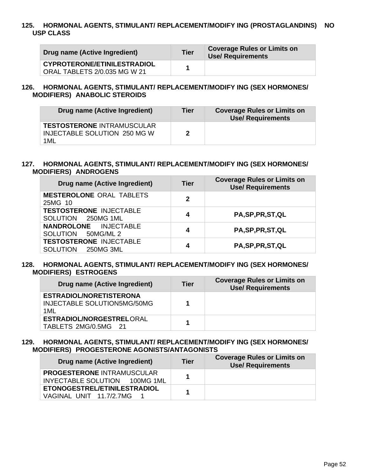#### **125. HORMONAL AGENTS, STIMULANT/ REPLACEMENT/MODIFY ING (PROSTAGLANDINS) NO USP CLASS**

| <b>Drug name (Active Ingredient)</b> | <b>Tier</b> | <b>Coverage Rules or Limits on</b><br><b>Use/ Requirements</b> |
|--------------------------------------|-------------|----------------------------------------------------------------|
| <b>CYPROTERONE/ETINILESTRADIOL</b>   |             |                                                                |
| ORAL TABLETS 2/0.035 MG W 21         |             |                                                                |

#### **126. HORMONAL AGENTS, STIMULANT/ REPLACEMENT/MODIFY ING (SEX HORMONES/ MODIFIERS) ANABOLIC STEROIDS**

| Drug name (Active Ingredient)                                            | Tier                       | <b>Coverage Rules or Limits on</b><br><b>Use/ Requirements</b> |
|--------------------------------------------------------------------------|----------------------------|----------------------------------------------------------------|
| <b>TESTOSTERONE INTRAMUSCULAR</b><br>INJECTABLE SOLUTION 250 MG W<br>1ML | $\boldsymbol{\mathcal{P}}$ |                                                                |

#### **127. HORMONAL AGENTS, STIMULANT/ REPLACEMENT/MODIFY ING (SEX HORMONES/ MODIFIERS) ANDROGENS**

| Drug name (Active Ingredient)                        | <b>Tier</b> | <b>Coverage Rules or Limits on</b><br><b>Use/ Requirements</b> |
|------------------------------------------------------|-------------|----------------------------------------------------------------|
| <b>MESTEROLONE ORAL TABLETS</b><br>25MG 10           | 2           |                                                                |
| <b>TESTOSTERONE INJECTABLE</b><br>SOLUTION 250MG 1ML |             | PA, SP, PR, ST, QL                                             |
| NANDROLONE INJECTABLE<br>SOLUTION 50MG/ML 2          |             | PA, SP, PR, ST, QL                                             |
| <b>TESTOSTERONE INJECTABLE</b><br>SOLUTION 250MG 3ML |             | PA, SP, PR, ST, QL                                             |

#### **128. HORMONAL AGENTS, STIMULANT/ REPLACEMENT/MODIFY ING (SEX HORMONES/ MODIFIERS) ESTROGENS**

| <b>Drug name (Active Ingredient)</b>                                 | Tier | <b>Coverage Rules or Limits on</b><br><b>Use/ Requirements</b> |
|----------------------------------------------------------------------|------|----------------------------------------------------------------|
| <b>ESTRADIOL/NORETISTERONA</b><br>INJECTABLE SOLUTION5MG/50MG<br>1ML |      |                                                                |
| <b>ESTRADIOL/NORGESTRELORAL</b><br>TABLETS 2MG/0.5MG 21              |      |                                                                |

#### **129. HORMONAL AGENTS, STIMULANT/ REPLACEMENT/MODIFY ING (SEX HORMONES/ MODIFIERS) PROGESTERONE AGONISTS/ANTAGONISTS**

| Drug name (Active Ingredient)                                      | Tier | <b>Coverage Rules or Limits on</b><br><b>Use/ Requirements</b> |
|--------------------------------------------------------------------|------|----------------------------------------------------------------|
| <b>PROGESTERONE INTRAMUSCULAR</b><br>INYECTABLE SOLUTION 100MG 1ML |      |                                                                |
| ETONOGESTREL/ETINILESTRADIOL<br>VAGINAL UNIT 11.7/2.7MG            |      |                                                                |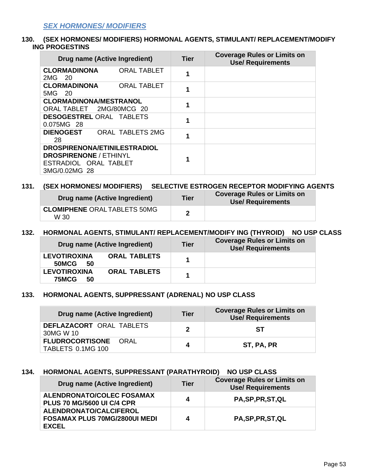#### **130. (SEX HORMONES/ MODIFIERS) HORMONAL AGENTS, STIMULANT/ REPLACEMENT/MODIFY ING PROGESTINS**

| Drug name (Active Ingredient)                                                                           | <b>Tier</b> | <b>Coverage Rules or Limits on</b><br><b>Use/ Requirements</b> |
|---------------------------------------------------------------------------------------------------------|-------------|----------------------------------------------------------------|
| <b>CLORMADINONA</b><br><b>ORAL TABLET</b><br>2MG 20                                                     |             |                                                                |
| <b>CLORMADINONA</b><br><b>ORAL TABLET</b><br>5MG 20                                                     |             |                                                                |
| <b>CLORMADINONA/MESTRANOL</b><br>ORAL TABLET 2MG/80MCG 20                                               |             |                                                                |
| <b>DESOGESTREL ORAL TABLETS</b><br>0.075MG 28                                                           |             |                                                                |
| <b>ORAL TABLETS 2MG</b><br><b>DIENOGEST</b><br>28                                                       |             |                                                                |
| DROSPIRENONA/ETINILESTRADIOL<br><b>DROSPIRENONE / ETHINYL</b><br>ESTRADIOL ORAL TABLET<br>3MG/0.02MG 28 |             |                                                                |

#### **131. (SEX HORMONES/ MODIFIERS) SELECTIVE ESTROGEN RECEPTOR MODIFYING AGENTS**

| Drug name (Active Ingredient)               | <b>Tier</b> | <b>Coverage Rules or Limits on</b><br><b>Use/ Requirements</b> |
|---------------------------------------------|-------------|----------------------------------------------------------------|
| <b>CLOMIPHENE ORAL TABLETS 50MG</b><br>W 30 |             |                                                                |

## **132. HORMONAL AGENTS, STIMULANT/ REPLACEMENT/MODIFY ING (THYROID) NO USP CLASS**

| Drug name (Active Ingredient)                               | <b>Tier</b> | <b>Coverage Rules or Limits on</b><br><b>Use/ Requirements</b> |
|-------------------------------------------------------------|-------------|----------------------------------------------------------------|
| <b>ORAL TABLETS</b><br><b>LEVOTIROXINA</b><br>50MCG<br>- 50 |             |                                                                |
| <b>ORAL TABLETS</b><br><b>LEVOTIROXINA</b><br>75MCG<br>50   |             |                                                                |

#### **133. HORMONAL AGENTS, SUPPRESSANT (ADRENAL) NO USP CLASS**

| Drug name (Active Ingredient)                              | Tier | <b>Coverage Rules or Limits on</b><br><b>Use/ Requirements</b> |
|------------------------------------------------------------|------|----------------------------------------------------------------|
| DEFLAZACORT ORAL TABLETS<br>30MG W 10                      | 2    | SТ                                                             |
| <b>FLUDROCORTISONE</b><br><b>ORAL</b><br>TABLETS 0.1MG 100 | 4    | ST, PA, PR                                                     |

#### **134. HORMONAL AGENTS, SUPPRESSANT (PARATHYROID) NO USP CLASS**

| Drug name (Active Ingredient)                                                  | Tier | <b>Coverage Rules or Limits on</b><br><b>Use/ Requirements</b> |
|--------------------------------------------------------------------------------|------|----------------------------------------------------------------|
| <b>ALENDRONATO/COLEC FOSAMAX</b><br><b>PLUS 70 MG/5600 UI C/4 CPR</b>          | 4    | PA, SP, PR, ST, QL                                             |
| ALENDRONATO/CALCIFEROL<br><b>FOSAMAX PLUS 70MG/2800UI MEDI</b><br><b>EXCEL</b> | 4    | PA, SP, PR, ST, QL                                             |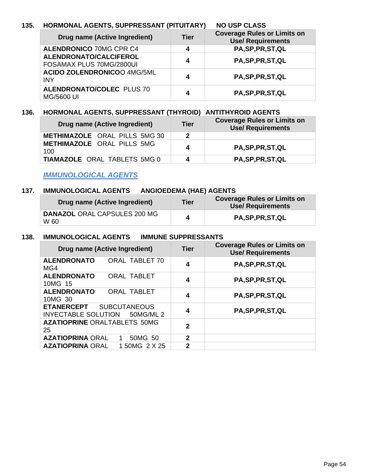## **135. HORMONAL AGENTS, SUPPRESSANT (PITUITARY) NO USP CLASS**

| Drug name (Active Ingredient)                         | Tier | <b>Coverage Rules or Limits on</b><br><b>Use/ Requirements</b> |
|-------------------------------------------------------|------|----------------------------------------------------------------|
| <b>ALENDRONICO 70MG CPR C4</b>                        | 4    | PA, SP, PR, ST, QL                                             |
| ALENDRONATO/CALCIFEROL<br>FOSAMAX PLUS 70MG/2800UI    | 4    | PA, SP, PR, ST, QL                                             |
| <b>ACIDO ZOLENDRONICOO 4MG/5ML</b><br><b>INY</b>      | Δ    | PA, SP, PR, ST, QL                                             |
| <b>ALENDRONATO/COLEC PLUS 70</b><br><b>MG/5600 UI</b> | 4    | PA, SP, PR, ST, QL                                             |

#### **136. HORMONAL AGENTS, SUPPRESSANT (THYROID) ANTITHYROID AGENTS**

| <b>Drug name (Active Ingredient)</b>     | Tier         | <b>Coverage Rules or Limits on</b><br><b>Use/ Requirements</b> |
|------------------------------------------|--------------|----------------------------------------------------------------|
| <b>METHIMAZOLE ORAL PILLS 5MG 30</b>     | $\mathbf{2}$ |                                                                |
| <b>METHIMAZOLE ORAL PILLS 5MG</b><br>100 | 4            | PA, SP, PR, ST, QL                                             |
| <b>TIAMAZOLE ORAL TABLETS 5MG 0</b>      | Δ            | PA, SP, PR, ST, QL                                             |

## *IMMUNOLOGICAL AGENTS*

#### **137. IMMUNOLOGICAL AGENTS ANGIOEDEMA (HAE) AGENTS**

| Drug name (Active Ingredient)        | Tier | <b>Coverage Rules or Limits on</b><br><b>Use/ Requirements</b> |
|--------------------------------------|------|----------------------------------------------------------------|
| DANAZOL ORAL CAPSULES 200 MG<br>W 60 |      | <b>PA,SP,PR,ST,QL</b>                                          |

#### **138. IMMUNOLOGICAL AGENTS IMMUNE SUPPRESSANTS**

| Drug name (Active Ingredient)                                                       | <b>Tier</b>  | <b>Coverage Rules or Limits on</b><br><b>Use/ Requirements</b> |
|-------------------------------------------------------------------------------------|--------------|----------------------------------------------------------------|
| <b>ALENDRONATO</b><br>ORAL TABLET 70<br>MG4                                         | 4            | PA, SP, PR, ST, QL                                             |
| <b>ALENDRONATO</b><br><b>ORAL TABLET</b><br>10MG 15                                 | 4            | PA, SP, PR, ST, QL                                             |
| <b>ALENDRONATO</b><br>ORAL TABLET<br>10MG 30                                        | 4            | PA, SP, PR, ST, QL                                             |
| <b>ETANERCEPT</b><br><b>SUBCUTANEOUS</b><br><b>INYECTABLE SOLUTION</b><br>50MG/ML 2 | 4            | PA, SP, PR, ST, QL                                             |
| <b>AZATIOPRINE ORALTABLETS 50MG</b><br>25                                           | $\mathbf{2}$ |                                                                |
| <b>AZATIOPRINA ORAL</b><br>50MG 50                                                  | $\mathbf{2}$ |                                                                |
| <b>AZATIOPRINA ORAL</b><br>1 50MG 2 X 25                                            | $\mathbf{2}$ |                                                                |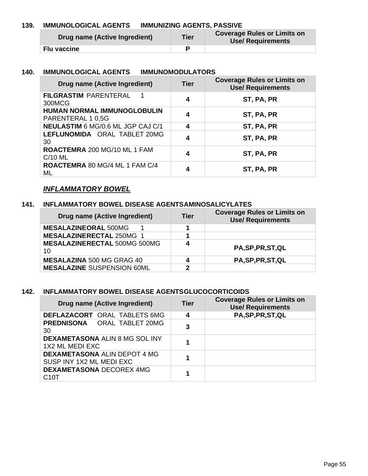#### **139. IMMUNOLOGICAL AGENTS IMMUNIZING AGENTS, PASSIVE**

| <b>Drug name (Active Ingredient)</b> | <b>Tier</b> | <b>Coverage Rules or Limits on</b><br><b>Use/ Requirements</b> |
|--------------------------------------|-------------|----------------------------------------------------------------|
| <b>Flu vaccine</b>                   |             |                                                                |

#### **140. IMMUNOLOGICAL AGENTS IMMUNOMODULATORS**

| Drug name (Active Ingredient)                    | <b>Tier</b> | <b>Coverage Rules or Limits on</b><br><b>Use/ Requirements</b> |
|--------------------------------------------------|-------------|----------------------------------------------------------------|
| <b>FILGRASTIM PARENTERAL</b><br>300MCG           | 4           | ST, PA, PR                                                     |
| HUMAN NORMAL IMMUNOGLOBULIN<br>PARENTERAL 1 0,5G | 4           | ST, PA, PR                                                     |
| NEULASTIM 6 MG/0.6 ML JGP CAJ C/1                | 4           | ST, PA, PR                                                     |
| LEFLUNOMIDA ORAL TABLET 20MG<br>30               | 4           | ST, PA, PR                                                     |
| ROACTEMRA 200 MG/10 ML 1 FAM<br>$C/10$ ML        | 4           | ST, PA, PR                                                     |
| ROACTEMRA 80 MG/4 ML 1 FAM C/4<br>ML             |             | ST, PA, PR                                                     |

## *INFLAMMATORY BOWEL*

#### **141. INFLAMMATORY BOWEL DISEASE AGENTSAMINOSALICYLATES**

| Drug name (Active Ingredient)             | Tier | <b>Coverage Rules or Limits on</b><br><b>Use/ Requirements</b> |
|-------------------------------------------|------|----------------------------------------------------------------|
| <b>MESALAZINEORAL 500MG</b>               |      |                                                                |
| <b>MESALAZINERECTAL 250MG 1</b>           |      |                                                                |
| <b>MESALAZINERECTAL 500MG 500MG</b><br>10 | 4    | PA, SP, PR, ST, QL                                             |
| <b>MESALAZINA 500 MG GRAG 40</b>          | 4    | PA, SP, PR, ST, QL                                             |
| <b>MESALAZINE SUSPENSION 60ML</b>         | 2    |                                                                |

#### **142. INFLAMMATORY BOWEL DISEASE AGENTSGLUCOCORTICOIDS**

| Drug name (Active Ingredient)                                   | <b>Tier</b> | <b>Coverage Rules or Limits on</b><br><b>Use/ Requirements</b> |
|-----------------------------------------------------------------|-------------|----------------------------------------------------------------|
| <b>DEFLAZACORT ORAL TABLETS 6MG</b>                             | 4           | PA, SP, PR, ST, QL                                             |
| <b>PREDNISONA ORAL TABLET 20MG</b><br>30                        | 3           |                                                                |
| <b>DEXAMETASONA ALIN 8 MG SOL INY</b><br>1X2 ML MEDI EXC        |             |                                                                |
| <b>DEXAMETASONA ALIN DEPOT 4 MG</b><br>SUSP INY 1X2 ML MEDI EXC | 1           |                                                                |
| <b>DEXAMETASONA DECOREX 4MG</b><br>C <sub>10</sub> T            |             |                                                                |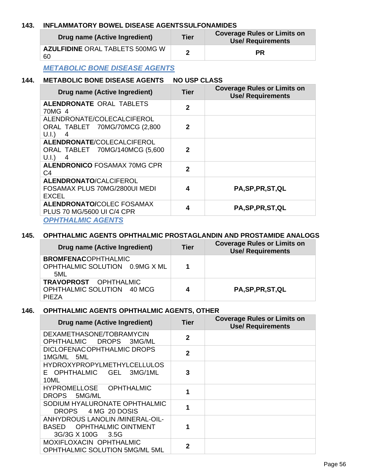### **143. INFLAMMATORY BOWEL DISEASE AGENTSSULFONAMIDES**

| Drug name (Active Ingredient)                | Tier | <b>Coverage Rules or Limits on</b><br><b>Use/ Requirements</b> |
|----------------------------------------------|------|----------------------------------------------------------------|
| <b>AZULFIDINE ORAL TABLETS 500MG W</b><br>60 |      | РR                                                             |

## *METABOLIC BONE DISEASE AGENTS*

## **144. METABOLIC BONE DISEASE AGENTS NO USP CLASS**

| <b>Drug name (Active Ingredient)</b>                                           | <b>Tier</b>    | <b>Coverage Rules or Limits on</b><br><b>Use/ Requirements</b> |
|--------------------------------------------------------------------------------|----------------|----------------------------------------------------------------|
| <b>ALENDRONATE ORAL TABLETS</b><br>70MG 4                                      | $\overline{2}$ |                                                                |
| ALENDRONATE/COLECALCIFEROL<br>ORAL TABLET 70MG/70MCG (2,800<br>U.I.<br>- 4     | $\mathbf{2}$   |                                                                |
| ALENDRONATE/COLECALCIFEROL<br>ORAL TABLET 70MG/140MCG (5,600<br>U.I.<br>-4     | $\mathbf{2}$   |                                                                |
| <b>ALENDRONICO FOSAMAX 70MG CPR</b><br>C4                                      | $\mathbf{2}$   |                                                                |
| <b>ALENDRONATO/CALCIFEROL</b><br>FOSAMAX PLUS 70MG/2800UI MEDI<br><b>EXCEL</b> | 4              | PA, SP, PR, ST, QL                                             |
| <b>ALENDRONATO/COLEC FOSAMAX</b><br>PLUS 70 MG/5600 UI C/4 CPR                 | 4              | PA, SP, PR, ST, QL                                             |
| <b>OPHTHALMIC AGENTS</b>                                                       |                |                                                                |

## **145. OPHTHALMIC AGENTS OPHTHALMIC PROSTAGLANDIN AND PROSTAMIDE ANALOGS**

| <b>Drug name (Active Ingredient)</b>                                | <b>Tier</b>      | <b>Coverage Rules or Limits on</b><br><b>Use/ Requirements</b> |
|---------------------------------------------------------------------|------------------|----------------------------------------------------------------|
| <b>BROMFENACOPHTHALMIC</b><br>OPHTHALMIC SOLUTION 0.9MG X ML<br>5ML | 1                |                                                                |
| <b>TRAVOPROST OPHTHALMIC</b><br>OPHTHALMIC SOLUTION 40 MCG<br>PIF7A | $\boldsymbol{4}$ | PA, SP, PR, ST, QL                                             |

## **146. OPHTHALMIC AGENTS OPHTHALMIC AGENTS, OTHER**

| Drug name (Active Ingredient)                                                         | Tier         | <b>Coverage Rules or Limits on</b><br><b>Use/ Requirements</b> |
|---------------------------------------------------------------------------------------|--------------|----------------------------------------------------------------|
| DEXAMETHASONE/TOBRAMYCIN<br>OPHTHALMIC DROPS<br>3MG/ML                                | $\mathbf{2}$ |                                                                |
| DICLOFENACOPHTHALMIC DROPS<br>1MG/ML 5ML                                              | $\mathbf{2}$ |                                                                |
| <b>HYDROXYPROPYLMETHYLCELLULOS</b><br>E OPHTHALMIC GEL 3MG/1ML<br>10ML                | 3            |                                                                |
| HYPROMELLOSE OPHTHALMIC<br>DROPS 5MG/ML                                               | 1            |                                                                |
| SODIUM HYALURONATE OPHTHALMIC<br>DROPS 4 MG 20 DOSIS                                  |              |                                                                |
| ANHYDROUS LANOLIN /MINERAL-OIL-<br>OPHTHALMIC OINTMENT<br>BASED.<br>3G/3G X 100G 3.5G | 1            |                                                                |
| MOXIFLOXACIN OPHTHALMIC<br>OPHTHALMIC SOLUTION 5MG/ML 5ML                             | 2            |                                                                |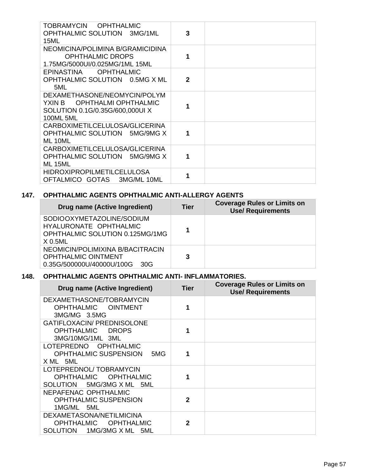| TOBRAMYCIN OPHTHALMIC<br>OPHTHALMIC SOLUTION 3MG/1ML<br>15ML                                                       | 3            |  |
|--------------------------------------------------------------------------------------------------------------------|--------------|--|
| NEOMICINA/POLIMINA B/GRAMICIDINA<br><b>OPHTHALMIC DROPS</b><br>1.75MG/5000UI/0.025MG/1ML 15ML                      |              |  |
| EPINASTINA<br><b>OPHTHALMIC</b><br>OPHTHALMIC SOLUTION 0.5MG X ML<br>5ML                                           | $\mathbf{2}$ |  |
| DEXAMETHASONE/NEOMYCIN/POLYM<br>YXIN B OPHTHALMI OPHTHALMIC<br>SOLUTION 0.1G/0.35G/600,000UI X<br><b>100ML 5ML</b> |              |  |
| CARBOXIMETILCELULOSA/GLICERINA<br>OPHTHALMIC SOLUTION 5MG/9MG X<br>ML 10ML                                         |              |  |
| CARBOXIMETILCELULOSA/GLICERINA<br>OPHTHALMIC SOLUTION 5MG/9MG X<br>ML 15ML                                         |              |  |
| <b>HIDROXIPROPILMETILCELULOSA</b><br>OFTALMICO GOTAS<br>3MG/ML 10ML                                                |              |  |

## **147. OPHTHALMIC AGENTS OPHTHALMIC ANTI-ALLERGY AGENTS**

| Drug name (Active Ingredient)                                                                       | Tier | <b>Coverage Rules or Limits on</b><br><b>Use/ Requirements</b> |
|-----------------------------------------------------------------------------------------------------|------|----------------------------------------------------------------|
| SODIOOXYMETAZOLINE/SODIUM<br>HYALURONATE OPHTHALMIC<br>OPHTHALMIC SOLUTION 0.125MG/1MG<br>$X$ 0.5ML |      |                                                                |
| NEOMICIN/POLIMIXINA B/BACITRACIN<br><b>OPHTHALMIC OINTMENT</b><br>0.35G/500000U/40000U/100G<br>30G  | 3    |                                                                |

## **148. OPHTHALMIC AGENTS OPHTHALMIC ANTI- INFLAMMATORIES.**

| Drug name (Active Ingredient)                                                               | <b>Tier</b>  | <b>Coverage Rules or Limits on</b><br><b>Use/ Requirements</b> |
|---------------------------------------------------------------------------------------------|--------------|----------------------------------------------------------------|
| DEXAMETHASONE/TOBRAMYCIN<br><b>OINTMENT</b><br>OPHTHALMIC<br>3MG/MG 3.5MG                   | 1            |                                                                |
| <b>GATIFLOXACIN/ PREDNISOLONE</b><br>OPHTHALMIC<br><b>DROPS</b><br>3MG/10MG/1ML 3ML         |              |                                                                |
| LOTEPREDNO OPHTHALMIC<br><b>OPHTHALMIC SUSPENSION</b><br>5MG<br>X ML 5ML                    | 1            |                                                                |
| LOTEPREDNOL/TOBRAMYCIN<br>OPHTHALMIC OPHTHALMIC<br>5MG/3MG X ML 5ML<br>SOLUTION             | 1            |                                                                |
| NEPAFENAC OPHTHALMIC<br><b>OPHTHALMIC SUSPENSION</b><br>1MG/ML 5ML                          | $\mathbf 2$  |                                                                |
| DEXAMETASONA/NETILMICINA<br><b>OPHTHALMIC</b><br>OPHTHALMIC<br>1MG/3MG X ML 5ML<br>SOLUTION | $\mathbf{2}$ |                                                                |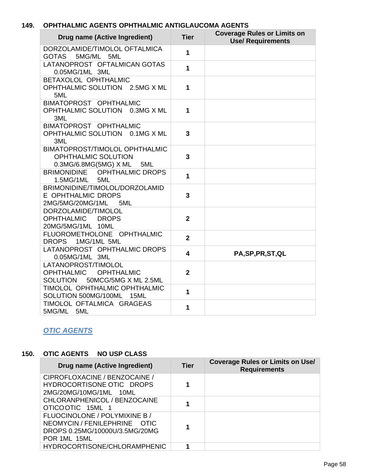## **149. OPHTHALMIC AGENTS OPHTHALMIC ANTIGLAUCOMA AGENTS**

| <b>Drug name (Active Ingredient)</b>                                                              | <b>Tier</b>    | <b>Coverage Rules or Limits on</b><br><b>Use/ Requirements</b> |
|---------------------------------------------------------------------------------------------------|----------------|----------------------------------------------------------------|
| DORZOLAMIDE/TIMOLOL OFTALMICA<br><b>GOTAS</b><br>5MG/ML<br>5ML                                    | $\mathbf 1$    |                                                                |
| LATANOPROST OFTALMICAN GOTAS<br>0.05MG/1ML 3ML                                                    | $\mathbf 1$    |                                                                |
| BETAXOLOL OPHTHALMIC<br>OPHTHALMIC SOLUTION 2.5MG X ML<br>5ML                                     | 1              |                                                                |
| BIMATOPROST OPHTHALMIC<br>OPHTHALMIC SOLUTION 0.3MG X ML<br>3ML                                   | 1              |                                                                |
| BIMATOPROST OPHTHALMIC<br>OPHTHALMIC SOLUTION 0.1MG X ML<br>3ML                                   | 3              |                                                                |
| BIMATOPROST/TIMOLOL OPHTHALMIC<br>OPHTHALMIC SOLUTION<br>0.3MG/6.8MG(5MG) X ML 5ML                | 3              |                                                                |
| <b>OPHTHALMIC DROPS</b><br><b>BRIMONIDINE</b><br>1.5MG/1ML 5ML                                    | $\mathbf 1$    |                                                                |
| BRIMONIDINE/TIMOLOL/DORZOLAMID<br>E OPHTHALMIC DROPS<br>2MG/5MG/20MG/1ML<br>5ML                   | 3              |                                                                |
| DORZOLAMIDE/TIMOLOL<br><b>OPHTHALMIC</b><br><b>DROPS</b><br>20MG/5MG/1ML 10ML                     | $\overline{2}$ |                                                                |
| FLUOROMETHOLONE OPHTHALMIC<br><b>DROPS</b><br>1MG/1ML 5ML                                         | $\overline{2}$ |                                                                |
| LATANOPROST OPHTHALMIC DROPS<br>0.05MG/1ML 3ML                                                    | 4              | PA, SP, PR, ST, QL                                             |
| LATANOPROST/TIMOLOL<br>OPHTHALMIC<br><b>OPHTHALMIC</b><br>50MCG/5MG X ML 2.5ML<br><b>SOLUTION</b> | $\overline{2}$ |                                                                |
| TIMOLOL OPHTHALMIC OPHTHALMIC<br>SOLUTION 500MG/100ML<br>15ML                                     | 1              |                                                                |
| TIMOLOL OFTALMICA GRAGEAS<br>5ML<br>5MG/ML                                                        | 1              |                                                                |

## *OTIC AGENTS*

## **150. OTIC AGENTS NO USP CLASS**

| Drug name (Active Ingredient)                                                                                   | <b>Tier</b> | <b>Coverage Rules or Limits on Use/</b><br><b>Requirements</b> |
|-----------------------------------------------------------------------------------------------------------------|-------------|----------------------------------------------------------------|
| CIPROFLOXACINE / BENZOCAINE /<br>HYDROCORTISONE OTIC DROPS<br>2MG/20MG/10MG/1ML 10ML                            |             |                                                                |
| CHLORANPHENICOL / BENZOCAINE<br>OTICOOTIC 15ML 1                                                                |             |                                                                |
| FLUOCINOLONE / POLYMIXINE B /<br>NEOMYCIN / FENILEPHRINE OTIC<br>DROPS 0.25MG/10000U/3.5MG/20MG<br>POR 1ML 15ML |             |                                                                |
| HYDROCORTISONE/CHLORAMPHENIC                                                                                    |             |                                                                |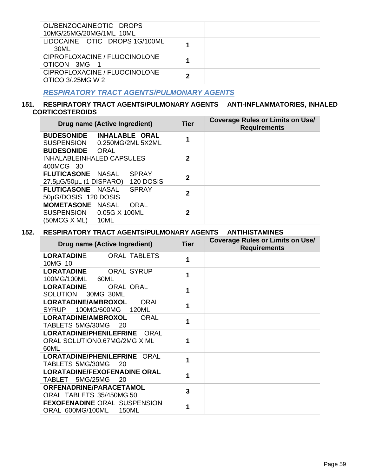| OL/BENZOCAINEOTIC DROPS<br>10MG/25MG/20MG/1ML 10ML |              |  |
|----------------------------------------------------|--------------|--|
| LIDOCAINE OTIC DROPS 1G/100ML<br>30ML              |              |  |
| CIPROFLOXACINE / FLUOCINOLONE<br>OTICON 3MG 1      |              |  |
| CIPROFLOXACINE / FLUOCINOLONE<br>OTICO 3/.25MG W 2 | $\mathbf{p}$ |  |

## *RESPIRATORY TRACT AGENTS/PULMONARY AGENTS*

#### **151. RESPIRATORY TRACT AGENTS/PULMONARY AGENTS ANTI-INFLAMMATORIES, INHALED CORTICOSTEROIDS**

| Drug name (Active Ingredient)                                                                 | <b>Tier</b> | <b>Coverage Rules or Limits on Use/</b><br><b>Requirements</b> |
|-----------------------------------------------------------------------------------------------|-------------|----------------------------------------------------------------|
| <b>BUDESONIDE</b><br><b>INHALABLE ORAL</b><br><b>SUSPENSION</b><br>0.250MG/2ML 5X2ML          |             |                                                                |
| <b>BUDESONIDE</b><br>ORAL<br><b>INHALABLEINHALED CAPSULES</b><br>400MCG 30                    | 2           |                                                                |
| <b>FLUTICASONE NASAL</b><br><b>SPRAY</b><br>120 DOSIS<br>$27.5\mu$ G/50 $\mu$ L (1 DISPARO)   | 2           |                                                                |
| <b>FLUTICASONE NASAL</b><br><b>SPRAY</b><br>50µG/DOSIS 120 DOSIS                              | 2           |                                                                |
| <b>MOMETASONE NASAL</b><br>ORAL<br>0.05G X 100ML<br><b>SUSPENSION</b><br>(50MCG X ML)<br>10ML | 2           |                                                                |

#### **152. RESPIRATORY TRACT AGENTS/PULMONARY AGENTS ANTIHISTAMINES**

| Drug name (Active Ingredient)                                           | Tier | <b>Coverage Rules or Limits on Use/</b><br><b>Requirements</b> |
|-------------------------------------------------------------------------|------|----------------------------------------------------------------|
| <b>ORAL TABLETS</b><br><b>LORATADINE</b><br>10MG 10                     | 1    |                                                                |
| <b>LORATADINE</b><br>ORAL SYRUP<br>100MG/100ML<br>60ML                  | 1    |                                                                |
| <b>LORATADINE</b><br><b>ORAL ORAL</b><br><b>SOLUTION</b><br>30MG 30ML   | 1    |                                                                |
| LORATADINE/AMBROXOL<br><b>ORAL</b><br>100MG/600MG<br>SYRUP<br>120ML     | 1    |                                                                |
| LORATADINE/AMBROXOL<br>ORAL<br>TABLETS 5MG/30MG<br>-20                  | 1    |                                                                |
| LORATADINE/PHENILEFRINE<br>ORAL<br>ORAL SOLUTION0.67MG/2MG X ML<br>60ML | 1    |                                                                |
| LORATADINE/PHENILEFRINE<br>ORAL<br>TABLETS 5MG/30MG<br>20               | 1    |                                                                |
| <b>LORATADINE/FEXOFENADINE ORAL</b><br>5MG/25MG<br>TABI FT<br>20        | 1    |                                                                |
| ORFENADRINE/PARACETAMOL<br>ORAL TABLETS 35/450MG 50                     | 3    |                                                                |
| <b>FEXOFENADINE ORAL SUSPENSION</b><br>ORAL 600MG/100ML<br><b>150ML</b> | 1    |                                                                |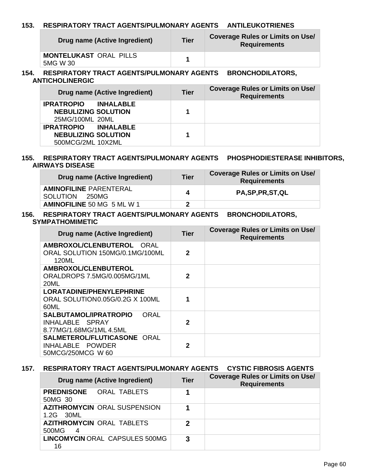#### **153. RESPIRATORY TRACT AGENTS/PULMONARY AGENTS ANTILEUKOTRIENES**

| Drug name (Active Ingredient)             | <b>Tier</b> | <b>Coverage Rules or Limits on Use/</b><br><b>Requirements</b> |
|-------------------------------------------|-------------|----------------------------------------------------------------|
| <b>MONTELUKAST ORAL PILLS</b><br>5MG W 30 |             |                                                                |

#### **154. RESPIRATORY TRACT AGENTS/PULMONARY AGENTS BRONCHODILATORS, ANTICHOLINERGIC**

| Drug name (Active Ingredient)                                                          | <b>Tier</b> | <b>Coverage Rules or Limits on Use/</b><br><b>Requirements</b> |
|----------------------------------------------------------------------------------------|-------------|----------------------------------------------------------------|
| <b>INHALABLE</b><br><b>IPRATROPIO</b><br><b>NEBULIZING SOLUTION</b><br>25MG/100ML 20ML |             |                                                                |
| <b>IPRATROPIO INHALABLE</b><br><b>NEBULIZING SOLUTION</b><br>500MCG/2ML 10X2ML         |             |                                                                |

#### **155. RESPIRATORY TRACT AGENTS/PULMONARY AGENTS PHOSPHODIESTERASE INHIBITORS, AIRWAYS DISEASE**

| Drug name (Active Ingredient)                               | <b>Tier</b> | <b>Coverage Rules or Limits on Use/</b><br><b>Requirements</b> |
|-------------------------------------------------------------|-------------|----------------------------------------------------------------|
| <b>AMINOFILINE PARENTERAL</b><br><b>SOLUTION</b><br>- 250MG |             | <b>PA, SP, PR, ST, QL</b>                                      |
| AMINOFILINE 50 MG 5 ML W 1                                  |             |                                                                |

#### **156. RESPIRATORY TRACT AGENTS/PULMONARY AGENTS BRONCHODILATORS, SYMPATHOMIMETIC**

| Drug name (Active Ingredient)                                                      | <b>Tier</b>  | <b>Coverage Rules or Limits on Use/</b><br><b>Requirements</b> |
|------------------------------------------------------------------------------------|--------------|----------------------------------------------------------------|
| AMBROXOL/CLENBUTEROL ORAL<br>ORAL SOLUTION 150MG/0.1MG/100ML<br>120ML              | $\mathbf{2}$ |                                                                |
| <b>AMBROXOL/CLENBUTEROL</b><br>ORALDROPS 7.5MG/0.005MG/1ML<br>20ML                 | $\mathbf{2}$ |                                                                |
| LORATADINE/PHENYLEPHRINE<br>ORAL SOLUTION0.05G/0.2G X 100ML<br>60ML                | 1            |                                                                |
| ORAL<br><b>SALBUTAMOL/IPRATROPIO</b><br>INHALABLE SPRAY<br>8.77MG/1.68MG/1ML 4.5ML | $\mathbf{2}$ |                                                                |
| SALMETEROL/FLUTICASONE ORAL<br>INHALABLE POWDER<br>50MCG/250MCG W 60               | $\mathbf{2}$ |                                                                |

#### **157. RESPIRATORY TRACT AGENTS/PULMONARY AGENTS CYSTIC FIBROSIS AGENTS**

| Drug name (Active Ingredient)                       | <b>Tier</b> | <b>Coverage Rules or Limits on Use/</b><br><b>Requirements</b> |
|-----------------------------------------------------|-------------|----------------------------------------------------------------|
| <b>PREDNISONE</b> ORAL TABLETS<br>50MG 30           |             |                                                                |
| <b>AZITHROMYCIN ORAL SUSPENSION</b><br>30ML<br>1.2G |             |                                                                |
| <b>AZITHROMYCIN ORAL TABLETS</b><br>500MG<br>4      | 2           |                                                                |
| <b>LINCOMYCIN ORAL CAPSULES 500MG</b><br>16         | 3           |                                                                |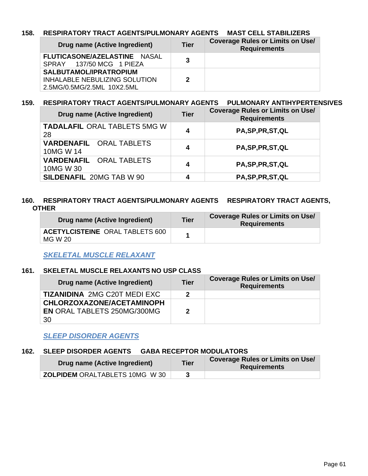### **158. RESPIRATORY TRACT AGENTS/PULMONARY AGENTS MAST CELL STABILIZERS**

| Drug name (Active Ingredient)                                                                | <b>Tier</b> | <b>Coverage Rules or Limits on Use/</b><br><b>Requirements</b> |
|----------------------------------------------------------------------------------------------|-------------|----------------------------------------------------------------|
| FLUTICASONE/AZELASTINE NASAL<br>SPRAY 137/50 MCG 1 PIEZA                                     | 3           |                                                                |
| <b>SALBUTAMOL/IPRATROPIUM</b><br>INHALABLE NEBULIZING SOLUTION<br>2.5MG/0.5MG/2.5ML 10X2.5ML | 2           |                                                                |

## **159. RESPIRATORY TRACT AGENTS/PULMONARY AGENTS PULMONARY ANTIHYPERTENSIVES**

| Drug name (Active Ingredient)               | <b>Tier</b>      | <b>Coverage Rules or Limits on Use/</b><br><b>Requirements</b> |
|---------------------------------------------|------------------|----------------------------------------------------------------|
| <b>TADALAFIL ORAL TABLETS 5MG W</b><br>28   | 4                | PA, SP, PR, ST, QL                                             |
| <b>VARDENAFIL ORAL TABLETS</b><br>10MG W 14 | $\boldsymbol{4}$ | PA, SP, PR, ST, QL                                             |
| <b>VARDENAFIL ORAL TABLETS</b><br>10MG W 30 | 4                | PA, SP, PR, ST, QL                                             |
| <b>SILDENAFIL 20MG TAB W 90</b>             | 4                | PA, SP, PR, ST, QL                                             |

## **160. RESPIRATORY TRACT AGENTS/PULMONARY AGENTS RESPIRATORY TRACT AGENTS, OTHER**

| Drug name (Active Ingredient)                     | <b>Tier</b> | <b>Coverage Rules or Limits on Use/</b><br><b>Requirements</b> |
|---------------------------------------------------|-------------|----------------------------------------------------------------|
| <b>ACETYLCISTEINE ORAL TABLETS 600</b><br>MG W 20 |             |                                                                |

*SKELETAL MUSCLE RELAXANT*

#### **161. SKELETAL MUSCLE RELAXANTS NO USP CLASS**

| Drug name (Active Ingredient)                                         | <b>Tier</b> | <b>Coverage Rules or Limits on Use/</b><br><b>Requirements</b> |
|-----------------------------------------------------------------------|-------------|----------------------------------------------------------------|
| <b>TIZANIDINA 2MG C20T MEDI EXC</b>                                   | 2           |                                                                |
| CHLORZOXAZONE/ACETAMINOPH<br><b>EN ORAL TABLETS 250MG/300MG</b><br>30 |             |                                                                |

*SLEEP DISORDER AGENTS*

#### **162. SLEEP DISORDER AGENTS GABA RECEPTOR MODULATORS**

| <b>Drug name (Active Ingredient)</b>  | <b>Tier</b> | <b>Coverage Rules or Limits on Use/</b><br><b>Requirements</b> |
|---------------------------------------|-------------|----------------------------------------------------------------|
| <b>ZOLPIDEM ORALTABLETS 10MG W 30</b> |             |                                                                |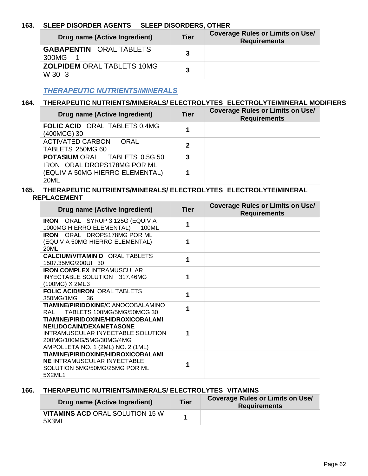## **163. SLEEP DISORDER AGENTS SLEEP DISORDERS, OTHER**

| <b>Drug name (Active Ingredient)</b>        | <b>Tier</b> | <b>Coverage Rules or Limits on Use/</b><br><b>Requirements</b> |
|---------------------------------------------|-------------|----------------------------------------------------------------|
| <b>GABAPENTIN ORAL TABLETS</b><br>300MG     |             |                                                                |
| <b>ZOLPIDEM ORAL TABLETS 10MG</b><br>W 30 3 |             |                                                                |

# *THERAPEUTIC NUTRIENTS/MINERALS*

#### **164. THERAPEUTIC NUTRIENTS/MINERALS/ ELECTROLYTES ELECTROLYTE/MINERAL MODIFIERS**

| Drug name (Active Ingredient)                                                 | <b>Tier</b> | <b>Coverage Rules or Limits on Use/</b><br><b>Requirements</b> |
|-------------------------------------------------------------------------------|-------------|----------------------------------------------------------------|
| <b>FOLIC ACID ORAL TABLETS 0.4MG</b><br>(400MCG) 30                           |             |                                                                |
| <b>ACTIVATED CARBON</b><br>ORAL<br>TABLETS 250MG 60                           | 2           |                                                                |
| <b>POTASIUM ORAL TABLETS 0.5G 50</b>                                          | 3           |                                                                |
| <b>IRON ORAL DROPS178MG POR ML</b><br>(EQUIV A 50MG HIERRO ELEMENTAL)<br>20ML |             |                                                                |

#### **165. THERAPEUTIC NUTRIENTS/MINERALS/ ELECTROLYTES ELECTROLYTE/MINERAL REPLACEMENT**

| Drug name (Active Ingredient)                                                                                                                                        | Tier | <b>Coverage Rules or Limits on Use/</b><br><b>Requirements</b> |
|----------------------------------------------------------------------------------------------------------------------------------------------------------------------|------|----------------------------------------------------------------|
| <b>IRON</b> ORAL SYRUP 3.125G (EQUIV A<br>1000MG HIERRO ELEMENTAL) 100ML                                                                                             | 1    |                                                                |
| <b>IRON</b> ORAL DROPS178MG POR ML<br>(EQUIV A 50MG HIERRO ELEMENTAL)<br>20ML                                                                                        | 1    |                                                                |
| <b>CALCIUM/VITAMIN D ORAL TABLETS</b><br>1507.35MG/200UI 30                                                                                                          | 1    |                                                                |
| <b>IRON COMPLEX INTRAMUSCULAR</b><br>INYECTABLE SOLUTION 317.46MG<br>(100MG) X 2ML3                                                                                  |      |                                                                |
| <b>FOLIC ACID/IRON ORAL TABLETS</b><br>350MG/1MG<br>36                                                                                                               | 1    |                                                                |
| TIAMINE/PIRIDOXINE/CIANOCOBALAMINO<br>TABLETS 100MG/5MG/50MCG 30<br>RAI                                                                                              |      |                                                                |
| TIAMINE/PIRIDOXINE/HIDROXICOBALAMI<br>NE/LIDOCAIN/DEXAMETASONE<br>INTRAMUSCULAR INYECTABLE SOLUTION<br>200MG/100MG/5MG/30MG/4MG<br>AMPOLLETA NO. 1 (2ML) NO. 2 (1ML) |      |                                                                |
| TIAMINE/PIRIDOXINE/HIDROXICOBALAMI<br><b>NE INTRAMUSCULAR INYECTABLE</b><br>SOLUTION 5MG/50MG/25MG POR ML<br>5X2ML1                                                  |      |                                                                |

#### **166. THERAPEUTIC NUTRIENTS/MINERALS/ ELECTROLYTES VITAMINS**

| Drug name (Active Ingredient)                   | <b>Tier</b> | <b>Coverage Rules or Limits on Use/</b><br><b>Requirements</b> |
|-------------------------------------------------|-------------|----------------------------------------------------------------|
| <b>VITAMINS ACD ORAL SOLUTION 15 W</b><br>5X3ML |             |                                                                |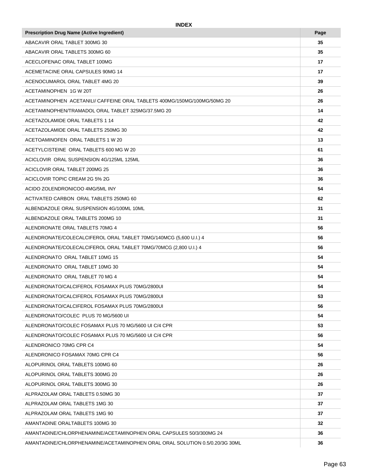| <b>Prescription Drug Name (Active Ingredient)</b>                                | Page |
|----------------------------------------------------------------------------------|------|
| ABACAVIR ORAL TABLET 300MG 30                                                    | 35   |
| ABACAVIR ORAL TABLETS 300MG 60                                                   | 35   |
| ACECLOFENAC ORAL TABLET 100MG                                                    | 17   |
| ACEMETACINE ORAL CAPSULES 90MG 14                                                | 17   |
| ACENOCUMAROL ORAL TABLET 4MG 20                                                  | 39   |
| ACETAMINOPHEN 1G W 20T                                                           | 26   |
| ACETAMINOPHEN_ACETANILI/ CAFFEINE ORAL TABLETS 400MG/150MG/100MG/50MG         20 | 26   |
| ACETAMINOPHEN/TRAMADOL ORAL TABLET 325MG/37.5MG 20                               | 14   |
| ACETAZOLAMIDE ORAL TABLETS 1 14                                                  | 42   |
| ACETAZOLAMIDE ORAL TABLETS 250MG 30                                              | 42   |
| ACETOAMINOFEN ORAL TABLETS 1 W 20                                                | 13   |
| ACETYLCISTEINE ORAL TABLETS 600 MG W 20                                          | 61   |
| ACICLOVIR ORAL SUSPENSION 4G/125ML 125ML                                         | 36   |
| ACICLOVIR ORAL TABLET 200MG 25                                                   | 36   |
| ACICLOVIR TOPIC CREAM 2G 5% 2G                                                   | 36   |
| ACIDO ZOLENDRONICOO 4MG/5ML INY                                                  | 54   |
| ACTIVATED CARBON ORAL TABLETS 250MG 60                                           | 62   |
| ALBENDAZOLE ORAL SUSPENSION 4G/100ML 10ML                                        | 31   |
| ALBENDAZOLE ORAL TABLETS 200MG 10                                                | 31   |
| ALENDRONATE ORAL TABLETS 70MG 4                                                  | 56   |
| ALENDRONATE/COLECALCIFEROL ORAL TABLET 70MG/140MCG (5,600 U.I.) 4                | 56   |
| ALENDRONATE/COLECALCIFEROL ORAL TABLET 70MG/70MCG (2,800 U.I.) 4                 | 56   |
| ALENDRONATO ORAL TABLET 10MG 15                                                  | 54   |
| ALENDRONATO ORAL TABLET 10MG 30                                                  | 54   |
| ALENDRONATO ORAL TABLET 70 MG 4                                                  | 54   |
| ALENDRONATO/CALCIFEROL FOSAMAX PLUS 70MG/2800UI                                  | 54   |
| ALENDRONATO/CALCIFEROL FOSAMAX PLUS 70MG/2800UI                                  | 53   |
| ALENDRONATO/CALCIFEROL FOSAMAX PLUS 70MG/2800UI                                  | 56   |
| ALENDRONATO/COLEC PLUS 70 MG/5600 UI                                             | 54   |
| ALENDRONATO/COLEC FOSAMAX PLUS 70 MG/5600 UI C/4 CPR                             | 53   |
| ALENDRONATO/COLEC FOSAMAX PLUS 70 MG/5600 UI C/4 CPR                             | 56   |
| ALENDRONICO 70MG CPR C4                                                          | 54   |
| ALENDRONICO FOSAMAX 70MG CPR C4                                                  | 56   |
| ALOPURINOL ORAL TABLETS 100MG 60                                                 | 26   |
| ALOPURINOL ORAL TABLETS 300MG 20                                                 | 26   |
| ALOPURINOL ORAL TABLETS 300MG 30                                                 | 26   |
| ALPRAZOLAM ORAL TABLETS 0.50MG 30                                                | 37   |
| ALPRAZOLAM ORAL TABLETS 1MG 30                                                   | 37   |
| ALPRAZOLAM ORAL TABLETS 1MG 90                                                   | 37   |
| AMANTADINE ORALTABLETS 100MG 30                                                  | 32   |
| AMANTADINE/CHLORPHENAMINE/ACETAMINOPHEN ORAL CAPSULES 50/3/300MG 24              | 36   |
| AMANTADINE/CHLORPHENAMINE/ACETAMINOPHEN ORAL ORAL SOLUTION 0.5/0.20/3G 30ML      | 36   |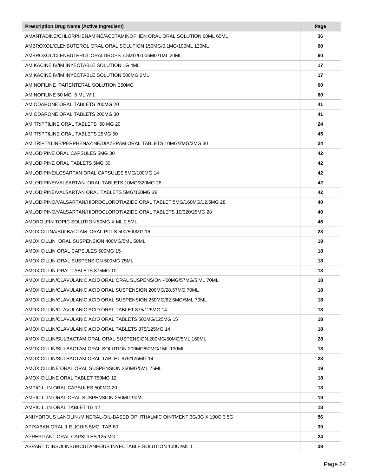| <b>Prescription Drug Name (Active Ingredient)</b>                          | Page |
|----------------------------------------------------------------------------|------|
| AMANTADINE/CHLORPHENAMINE/ACETAMINOPHEN ORAL ORAL SOLUTION 60ML 60ML       | 36   |
| AMBROXOL/CLENBUTEROL ORAL ORAL SOLUTION 150MG/0.1MG/100ML 120ML            | 60   |
| AMBROXOL/CLENBUTEROL ORALDROPS 7.5MG/0.005MG/1ML 20ML                      | 60   |
| AMIKACINE IV/IM INYECTABLE SOLUTION 1G 4ML                                 | 17   |
| AMIKACINE IV/IM INYECTABLE SOLUTION 500MG 2ML                              | 17   |
| AMINOFILINE PARENTERAL SOLUTION 250MG                                      | 60   |
| AMINOFILINE 50 MG 5 ML W 1                                                 | 60   |
| AMIODARONE ORAL TABLETS 200MG 20                                           | 41   |
| AMIODARONE ORAL TABLETS 200MG 30                                           | 41   |
| AMITRIPTILINE ORAL TABLETS 50 MG 20                                        | 24   |
| AMITRIPTILINE ORAL TABLETS 25MG 50                                         | 45   |
| AMITRIPTYLINE/PERPHENAZINE/DIAZEPAM ORAL TABLETS 10MG/2MG/3MG 30           | 24   |
| AMLODIPINE ORAL CAPSULES 5MG 30                                            | 42   |
| AMLODIPINE ORAL TABLETS 5MG 30                                             | 42   |
| AMLODIPINE/LOSARTAN ORAL CAPSULES 5MG/100MG 14                             | 42   |
| AMLODIPINE/VALSARTAN_ORAL TABLETS 10MG/320MG 28                            | 42   |
| AMLODIPINE/VALSARTAN ORAL TABLETS 5MG/160MG 28                             | 42   |
| AMLODIPINO/VALSARTAN/HIDROCLOROTIAZIDE ORAL TABLET 5MG/160MG/12.5MG 28     | 40   |
| AMLODIPINO/VALSARTAN/HIDROCLOROTIAZIDE ORAL TABLETS 10/320/25MG 28         | 40   |
| AMOROLFIN TOPIC SOLUTION 50MG X ML 2.5ML                                   | 46   |
| AMOXICILINA/SULBACTAM ORAL PILLS 500/500MG 16                              | 28   |
| AMOXICILLIN ORAL SUSPENSION 400MG/5ML 50ML                                 | 18   |
| AMOXICILLIN ORAL CAPSULES 500MG 15                                         | 18   |
| AMOXICILLIN ORAL SUSPENSION 500MG 75ML                                     | 18   |
| AMOXICILLIN ORAL TABLETS 875MG 10                                          | 18   |
| AMOXICILLIN/CLAVULANIC ACID ORAL ORAL SUSPENSION 400MG/57MG/5 ML 70ML      | 18   |
| AMOXICILLIN/CLAVULANIC ACID ORAL SUSPENSION 200MG/28.57MG 70ML             | 18   |
| AMOXICILLIN/CLAVULANIC ACID ORAL SUSPENSION 250MG/62.5MG/5ML 70ML          | 18   |
| AMOXICILLIN/CLAVULANIC ACID ORAL TABLET 875/125MG 14                       | 18   |
| AMOXICILLIN/CLAVULANIC ACID ORAL TABLETS 500MG/125MG 15                    | 18   |
| AMOXICILLIN/CLAVULANIC ACID ORAL TABLETS 875/125MG 14                      | 18   |
| AMOXICILLIN/SULBACTAM ORAL ORAL SUSPENSION 200MG/50MG/5ML 160ML            | 28   |
| AMOXICILLIN/SULBACTAM ORAL SOLUTION 200MG/50MG/1ML 130ML                   | 18   |
| AMOXICILLIN/SULBACTAM ORAL TABLET 875/125MG 14                             | 28   |
| AMOXICILLINE ORAL ORAL SUSPENSION 250MG/5ML 75ML                           | 19   |
| AMOXICILLINE ORAL TABLET 750MG 12                                          | 18   |
| AMPICILLIN ORAL CAPSULES 500MG 20                                          | 18   |
| AMPICILLIN ORAL ORAL SUSPENSION 250MG 90ML                                 | 19   |
| AMPICILLIN ORAL TABLET 1G 12                                               | 18   |
| ANHYDROUS LANOLIN /MINERAL-OIL-BASED OPHTHALMIC OINTMENT 3G/3G X 100G 3.5G | 56   |
| APIXABAN ORAL 1 ELICUIS 5MG TAB 60                                         | 39   |
| APREPITANT ORAL CAPSULES 125 MG 1                                          | 24   |
| ASPARTIC INSULINSUBCUTANEOUS INYECTABLE SOLUTION 100UI/ML 1                | 39   |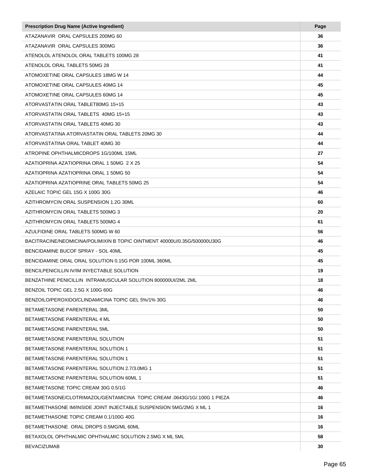| <b>Prescription Drug Name (Active Ingredient)</b>                        | Page |
|--------------------------------------------------------------------------|------|
| ATAZANAVIR ORAL CAPSULES 200MG 60                                        | 36   |
| ATAZANAVIR ORAL CAPSULES 300MG                                           | 36   |
| ATENOLOL ATENOLOL ORAL TABLETS 100MG 28                                  | 41   |
| ATENOLOL ORAL TABLETS 50MG 28                                            | 41   |
| ATOMOXETINE ORAL CAPSULES 18MG W 14                                      | 44   |
| ATOMOXETINE ORAL CAPSULES 40MG 14                                        | 45   |
| ATOMOXETINE ORAL CAPSULES 60MG 14                                        | 45   |
| ATORVASTATIN ORAL TABLET80MG 15+15                                       | 43   |
| ATORVASTATIN ORAL TABLETS 40MG 15+15                                     | 43   |
| ATORVASTATIN ORAL TABLETS 40MG 30                                        | 43   |
| ATORVASTATINA ATORVASTATIN ORAL TABLETS 20MG 30                          | 44   |
| ATORVASTATINA ORAL TABLET 40MG 30                                        | 44   |
| ATROPINE OPHTHALMICDROPS 1G/100ML 15ML                                   | 27   |
| AZATIOPRINA AZATIOPRINA ORAL 1 50MG 2 X 25                               | 54   |
| AZATIOPRINA AZATIOPRINA ORAL 1 50MG 50                                   | 54   |
| AZATIOPRINA AZATIOPRINE ORAL TABLETS 50MG 25                             | 54   |
| AZELAIC TOPIC GEL 15G X 100G 30G                                         | 46   |
| AZITHROMYCIN ORAL SUSPENSION 1.2G 30ML                                   | 60   |
| AZITHROMYCIN ORAL TABLETS 500MG 3                                        | 20   |
| AZITHROMYCIN ORAL TABLETS 500MG 4                                        | 61   |
| AZULFIDINE ORAL TABLETS 500MG W 60                                       | 56   |
| BACITRACINE/NEOMICINA/POLIMIXIN B TOPIC OINTMENT 40000U/0.35G/500000U30G | 46   |
| BENCIDAMINE BUCOF SPRAY - SOL 40ML                                       | 45   |
| BENCIDAMINE ORAL ORAL SOLUTION 0.15G POR 100ML 360ML                     | 45   |
| BENCILPENICILLIN IV/IM INYECTABLE SOLUTION                               | 19   |
| BENZATHINE PENICILLIN INTRAMUSCULAR SOLUTION 800000UI/2ML 2ML            | 18   |
| BENZOIL TOPIC GEL 2.5G X 100G 60G                                        | 46   |
| BENZOILO/PEROXIDO/CLINDAMICINA TOPIC GEL 5%/1% 30G                       | 46   |
| BETAMETASONE PARENTERAL 3ML                                              | 50   |
| BETAMETASONE PARENTERAL 4 ML                                             | 50   |
| BETAMETASONE PARENTERAL 5ML                                              | 50   |
| BETAMETASONE PARENTERAL SOLUTION                                         | 51   |
| BETAMETASONE PARENTERAL SOLUTION 1                                       | 51   |
| <b>BETAMETASONE PARENTERAL SOLUTION 1</b>                                | 51   |
| BETAMETASONE PARENTERAL SOLUTION 2.7/3.0MG 1                             | 51   |
| BETAMETASONE PARENTERAL SOLUTION 60ML 1                                  | 51   |
| BETAMETASONE TOPIC CREAM 30G 0.5/1G                                      | 46   |
| BETAMETASONE/CLOTRIMAZOL/GENTAMICINA TOPIC CREAM .0643G/1G/.100G 1 PIEZA | 46   |
| BETAMETHASONE IM/INSIDE JOINT INJECTABLE SUSPENSION 5MG/2MG X ML 1       | 16   |
| BETAMETHASONE TOPIC CREAM 0.1/100G 40G                                   | 16   |
| BETAMETHASONE ORAL DROPS 0.5MG/ML 60ML                                   | 16   |
| BETAXOLOL OPHTHALMIC OPHTHALMIC SOLUTION 2.5MG X ML 5ML                  | 58   |
| <b>BEVACIZUMAB</b>                                                       | 30   |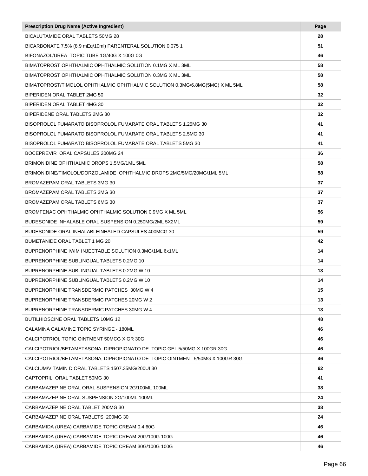| <b>Prescription Drug Name (Active Ingredient)</b>                            | Page |
|------------------------------------------------------------------------------|------|
| <b>BICALUTAMIDE ORAL TABLETS 50MG 28</b>                                     | 28   |
| BICARBONATE 7.5% (8.9 mEq/10ml) PARENTERAL SOLUTION 0.075 1                  | 51   |
| BIFONAZOL/UREA TOPIC TUBE 1G/40G X 100G 0G                                   | 46   |
| BIMATOPROST OPHTHALMIC OPHTHALMIC SOLUTION 0.1MG X ML 3ML                    | 58   |
| BIMATOPROST OPHTHALMIC OPHTHALMIC SOLUTION 0.3MG X ML 3ML                    | 58   |
| BIMATOPROST/TIMOLOL OPHTHALMIC OPHTHALMIC SOLUTION 0.3MG/6.8MG(5MG) X ML 5ML | 58   |
| BIPERIDEN ORAL TABLET 2MG 50                                                 | 32   |
| BIPERIDEN ORAL TABLET 4MG 30                                                 | 32   |
| BIPERIDENE ORAL TABLETS 2MG 30                                               | 32   |
| BISOPROLOL FUMARATO BISOPROLOL FUMARATE ORAL TABLETS 1.25MG 30               | 41   |
| BISOPROLOL FUMARATO BISOPROLOL FUMARATE ORAL TABLETS 2.5MG 30                | 41   |
| BISOPROLOL FUMARATO BISOPROLOL FUMARATE ORAL TABLETS 5MG 30                  | 41   |
| BOCEPREVIR ORAL CAPSULES 200MG 24                                            | 36   |
| BRIMONIDINE OPHTHALMIC DROPS 1.5MG/1ML 5ML                                   | 58   |
| BRIMONIDINE/TIMOLOL/DORZOLAMIDE OPHTHALMIC DROPS 2MG/5MG/20MG/1ML 5ML        | 58   |
| BROMAZEPAM ORAL TABLETS 3MG 30                                               | 37   |
| BROMAZEPAM ORAL TABLETS 3MG 30                                               | 37   |
| BROMAZEPAM ORAL TABLETS 6MG 30                                               | 37   |
| BROMFENAC OPHTHALMIC OPHTHALMIC SOLUTION 0.9MG X ML 5ML                      | 56   |
| BUDESONIDE INHALABLE ORAL SUSPENSION 0.250MG/2ML 5X2ML                       | 59   |
| BUDESONIDE ORAL INHALABLEINHALED CAPSULES 400MCG 30                          | 59   |
| <b>BUMETANIDE ORAL TABLET 1 MG 20</b>                                        | 42   |
| BUPRENORPHINE IV/IM INJECTABLE SOLUTION 0.3MG/1ML 6x1ML                      | 14   |
| BUPRENORPHINE SUBLINGUAL TABLETS 0.2MG 10                                    | 14   |
| BUPRENORPHINE SUBLINGUAL TABLETS 0.2MG W 10                                  | 13   |
| BUPRENORPHINE SUBLINGUAL TABLETS 0.2MG W 10                                  | 14   |
| BUPRENORPHINE TRANSDERMIC PATCHES 30MG W 4                                   | 15   |
| BUPRENORPHINE TRANSDERMIC PATCHES 20MG W 2                                   | 13   |
| BUPRENORPHINE TRANSDERMIC PATCHES 30MG W 4                                   | 13   |
| BUTILHIOSCINE ORAL TABLETS 10MG 12                                           | 48   |
| CALAMINA CALAMINE TOPIC SYRINGE - 180ML                                      | 46   |
| CALCIPOTRIOL TOPIC OINTMENT 50MCG X GR 30G                                   | 46   |
| CALCIPOTRIOL/BETAMETASONA, DIPROPIONATO DE TOPIC GEL 5/50MG X 100GR 30G      | 46   |
| CALCIPOTRIOL/BETAMETASONA, DIPROPIONATO DE TOPIC OINTMENT 5/50MG X 100GR 30G | 46   |
| CALCIUM/VITAMIN D ORAL TABLETS 1507.35MG/200UI 30                            | 62   |
| CAPTOPRIL ORAL TABLET 50MG 30                                                | 41   |
| CARBAMAZEPINE ORAL ORAL SUSPENSION 2G/100ML 100ML                            | 38   |
| CARBAMAZEPINE ORAL SUSPENSION 2G/100ML 100ML                                 | 24   |
| CARBAMAZEPINE ORAL TABLET 200MG 30                                           | 38   |
| CARBAMAZEPINE ORAL TABLETS 200MG 30                                          | 24   |
| CARBAMIDA (UREA) CARBAMIDE TOPIC CREAM 0.4 60G                               | 46   |
| CARBAMIDA (UREA) CARBAMIDE TOPIC CREAM 20G/100G 100G                         | 46   |
| CARBAMIDA (UREA) CARBAMIDE TOPIC CREAM 30G/100G 100G                         | 46   |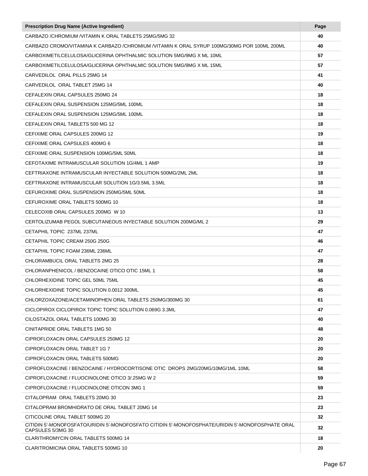| <b>Prescription Drug Name (Active Ingredient)</b>                                                                     | Page |
|-----------------------------------------------------------------------------------------------------------------------|------|
| CARBAZO /CHROMIUM /VITAMIN K ORAL TABLETS 25MG/5MG 32                                                                 | 40   |
| CARBAZO CROMO/VITAMINA K CARBAZO /CHROMIUM /VITAMIN K ORAL SYRUP 100MG/30MG POR 100ML 200ML                           | 40   |
| CARBOXIMETILCELULOSA/GLICERINA OPHTHALMIC SOLUTION 5MG/9MG X ML 10ML                                                  | 57   |
| CARBOXIMETILCELULOSA/GLICERINA OPHTHALMIC SOLUTION 5MG/9MG X ML 15ML                                                  | 57   |
| CARVEDILOL ORAL PILLS 25MG 14                                                                                         | 41   |
| CARVEDILOL ORAL TABLET 25MG 14                                                                                        | 40   |
| CEFALEXIN ORAL CAPSULES 250MG 24                                                                                      | 18   |
| CEFALEXIN ORAL SUSPENSION 125MG/5ML 100ML                                                                             | 18   |
| CEFALEXIN ORAL SUSPENSION 125MG/5ML 100ML                                                                             | 18   |
| CEFALEXIN ORAL TABLETS 500 MG 12                                                                                      | 18   |
| CEFIXIME ORAL CAPSULES 200MG 12                                                                                       | 19   |
| CEFIXIME ORAL CAPSULES 400MG 6                                                                                        | 18   |
| CEFIXIME ORAL SUSPENSION 100MG/5ML 50ML                                                                               | 18   |
| CEFOTAXIME INTRAMUSCULAR SOLUTION 1G/4ML 1 AMP                                                                        | 19   |
| CEFTRIAXONE INTRAMUSCULAR INYECTABLE SOLUTION 500MG/2ML 2ML                                                           | 18   |
| CEFTRIAXONE INTRAMUSCULAR SOLUTION 1G/3.5ML 3.5ML                                                                     | 18   |
| CEFUROXIME ORAL SUSPENSION 250MG/5ML 50ML                                                                             | 18   |
| CEFUROXIME ORAL TABLETS 500MG 10                                                                                      | 18   |
| CELECOXIB ORAL CAPSULES 200MG W 10                                                                                    | 13   |
| CERTOLIZUMAB PEGOL SUBCUTANEOUS INYECTABLE SOLUTION 200MG/ML 2                                                        | 29   |
| CETAPHIL TOPIC 237ML 237ML                                                                                            | 47   |
| CETAPHIL TOPIC CREAM 250G 250G                                                                                        | 46   |
| CETAPHIL TOPIC FOAM 236ML 236ML                                                                                       | 47   |
| CHLORAMBUCIL ORAL TABLETS 2MG 25                                                                                      | 28   |
| CHLORANPHENICOL / BENZOCAINE OTICO OTIC 15ML 1                                                                        | 58   |
| CHLORHEXIDINE TOPIC GEL 50ML 75ML                                                                                     | 45   |
| CHLORHEXIDINE TOPIC SOLUTION 0.0012 300ML                                                                             | 45   |
| CHLORZOXAZONE/ACETAMINOPHEN ORAL TABLETS 250MG/300MG 30                                                               | 61   |
| CICLOPIROX CICLOPIROX TOPIC TOPIC SOLUTION 0.069G 3.3ML                                                               | 47   |
| CILOSTAZOL ORAL TABLETS 100MG 30                                                                                      | 40   |
| CINITAPRIDE ORAL TABLETS 1MG 50                                                                                       | 48   |
| CIPROFLOXACIN ORAL CAPSULES 250MG 12                                                                                  | 20   |
| CIPROFLOXACIN ORAL TABLET 1G 7                                                                                        | 20   |
| CIPROFLOXACIN ORAL TABLETS 500MG                                                                                      | 20   |
| CIPROFLOXACINE / BENZOCAINE / HYDROCORTISONE OTIC DROPS 2MG/20MG/10MG/1ML 10ML                                        | 58   |
| CIPROFLOXACINE / FLUOCINOLONE OTICO 3/.25MG W 2                                                                       | 59   |
| CIPROFLOXACINE / FLUOCINOLONE OTICON 3MG 1                                                                            | 59   |
| CITALOPRAM ORAL TABLETS 20MG 30                                                                                       | 23   |
| CITALOPRAM BROMHIDRATO DE ORAL TABLET 20MG 14                                                                         | 23   |
| CITICOLINE ORAL TABLET 500MG 20                                                                                       | 32   |
| CITIDIN 5'-MONOFOSFATO/URIDIN 5'-MONOFOSFATO CITIDIN 5'-MONOFOSPHATE/URIDIN 5'-MONOFOSPHATE ORAL<br>CAPSULES 5/3MG 30 | 32   |
| CLARITHROMYCIN ORAL TABLETS 500MG 14                                                                                  | 18   |
| CLARITROMICINA ORAL TABLETS 500MG 10                                                                                  | 20   |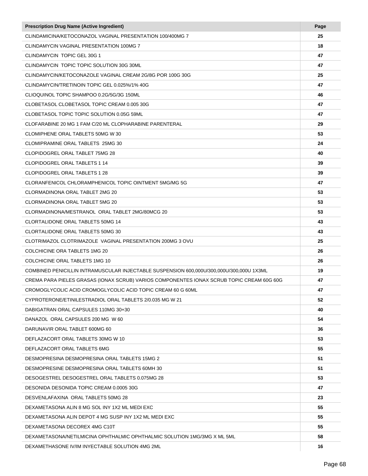| <b>Prescription Drug Name (Active Ingredient)</b>                                         | Page |
|-------------------------------------------------------------------------------------------|------|
| CLINDAMICINA/KETOCONAZOL VAGINAL PRESENTATION 100/400MG 7                                 | 25   |
| CLINDAMYCIN VAGINAL PRESENTATION 100MG 7                                                  | 18   |
| CLINDAMYCIN TOPIC GEL 30G 1                                                               | 47   |
| CLINDAMYCIN TOPIC TOPIC SOLUTION 30G 30ML                                                 | 47   |
| CLINDAMYCIN/KETOCONAZOLE VAGINAL CREAM 2G/8G POR 100G 30G                                 | 25   |
| CLINDAMYCIN/TRETINOIN TOPIC GEL 0.025%/1% 40G                                             | 47   |
| CLIOQUINOL TOPIC SHAMPOO 0.2G/5G/3G 150ML                                                 | 46   |
| CLOBETASOL CLOBETASOL TOPIC CREAM 0.005 30G                                               | 47   |
| CLOBETASOL TOPIC TOPIC SOLUTION 0.05G 59ML                                                | 47   |
| CLOFARABINE 20 MG 1 FAM C/20 ML CLOPHARABINE PARENTERAL                                   | 29   |
| CLOMIPHENE ORAL TABLETS 50MG W 30                                                         | 53   |
| CLOMIPRAMINE ORAL TABLETS 25MG 30                                                         | 24   |
| CLOPIDOGREL ORAL TABLET 75MG 28                                                           | 40   |
| CLOPIDOGREL ORAL TABLETS 1 14                                                             | 39   |
| <b>CLOPIDOGREL ORAL TABLETS 1 28</b>                                                      | 39   |
| CLORANFENICOL CHLORAMPHENICOL TOPIC OINTMENT 5MG/MG 5G                                    | 47   |
| CLORMADINONA ORAL TABLET 2MG 20                                                           | 53   |
| <b>CLORMADINONA ORAL TABLET 5MG 20</b>                                                    | 53   |
| CLORMADINONA/MESTRANOL ORAL TABLET 2MG/80MCG 20                                           | 53   |
| <b>CLORTALIDONE ORAL TABLETS 50MG 14</b>                                                  | 43   |
| CLORTALIDONE ORAL TABLETS 50MG 30                                                         | 43   |
| CLOTRIMAZOL CLOTRIMAZOLE VAGINAL PRESENTATION 200MG 3 OVU                                 | 25   |
| COLCHICINE ORA TABLETS 1MG 20                                                             | 26   |
| COLCHICINE ORAL TABLETS 1MG 10                                                            | 26   |
| COMBINED PENICILLIN INTRAMUSCULAR INJECTABLE SUSPENSION 600,000U/300,000U/300,000U 1X3ML  | 19   |
| CREMA PARA PIELES GRASAS (IONAX SCRUB) VARIOS COMPONENTES IONAX SCRUB TOPIC CREAM 60G 60G | 47   |
| CROMOGI YCOLIC ACID CROMOGI YCOLIC ACID TOPIC CREAM 60 G 60ML                             | 47   |
| CYPROTERONE/ETINILESTRADIOL ORAL TABLETS 2/0.035 MG W 21                                  | 52   |
| DABIGATRAN ORAL CAPSULES 110MG 30+30                                                      | 40   |
| DANAZOL ORAL CAPSULES 200 MG W 60                                                         | 54   |
| DARUNAVIR ORAL TABLET 600MG 60                                                            | 36   |
| DEFLAZACORT ORAL TABLETS 30MG W 10                                                        | 53   |
| DEFLAZACORT ORAL TABLETS 6MG                                                              | 55   |
| DESMOPRESINA DESMOPRESINA ORAL TABLETS 15MG 2                                             | 51   |
| DESMOPRESINE DESMOPRESINA ORAL TABLETS 60MH 30                                            | 51   |
| DESOGESTREL DESOGESTREL ORAL TABLETS 0.075MG 28                                           | 53   |
| DESONIDA DESONIDA TOPIC CREAM 0.0005 30G                                                  | 47   |
| DESVENLAFAXINA ORAL TABLETS 50MG 28                                                       | 23   |
| DEXAMETASONA ALIN 8 MG SOL INY 1X2 ML MEDI EXC                                            | 55   |
| DEXAMETASONA ALIN DEPOT 4 MG SUSP INY 1X2 ML MEDI EXC                                     | 55   |
| DEXAMETASONA DECOREX 4MG C10T                                                             | 55   |
| DEXAMETASONA/NETILMICINA OPHTHALMIC OPHTHALMIC SOLUTION 1MG/3MG X ML 5ML                  | 58   |
| DEXAMETHASONE IV/IM INYECTABLE SOLUTION 4MG 2ML                                           | 16   |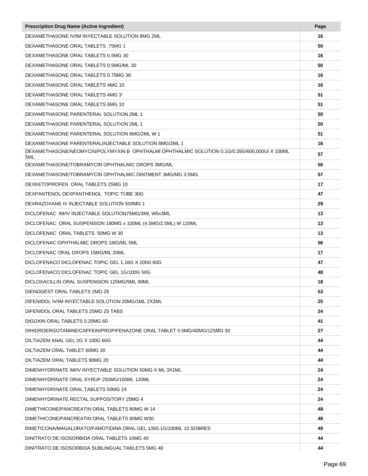| <b>Prescription Drug Name (Active Ingredient)</b>                                                    | Page |
|------------------------------------------------------------------------------------------------------|------|
| DEXAMETHASONE IV/IM INYECTABLE SOLUTION 8MG 2ML                                                      | 16   |
| DEXAMETHASONE ORAL TABLETS .75MG 1                                                                   | 50   |
| DEXAMETHASONE ORAL TABLETS 0.5MG 30                                                                  | 16   |
| DEXAMETHASONE ORAL TABLETS 0.5MG/ML 30                                                               | 50   |
| DEXAMETHASONE ORAL TABLETS 0.75MG 30                                                                 | 16   |
| DEXAMETHASONE ORAL TABLETS 4MG 10                                                                    | 16   |
| DEXAMETHASONE ORAL TABLETS 4MG 3'                                                                    | 51   |
| DEXAMETHASONE ORAL TABLETS 6MG 10                                                                    | 51   |
| DEXAMETHASONE PARENTERAL SOLUTION 2ML 1                                                              | 50   |
| DEXAMETHASONE PARENTERAL SOLUTION 2ML 1                                                              | 50   |
| DEXAMETHASONE PARENTERAL SOLUTION 8MG/2ML W 1                                                        | 51   |
| DEXAMETHASONE PARENTERALINJECTABLE SOLUTION 8MG/2ML 1                                                | 16   |
| DEXAMETHASONE/NEOMYCIN/POLYMYXIN B OPHTHALMI OPHTHALMIC SOLUTION 0.1G/0.35G/600,000UI X 100ML<br>5ML | 57   |
| DEXAMETHASONE/TOBRAMYCIN OPHTHALMIC DROPS 3MG/ML                                                     | 56   |
| DEXAMETHASONE/TOBRAMYCIN OPHTHALMIC OINTMENT 3MG/MG 3.5MG                                            | 57   |
| DEXKETOPROFEN ORAL TABLETS 25MG 10                                                                   | 17   |
| DEXPANTENOL DEXPANTHENOL TOPIC TUBE 30G                                                              | 47   |
| DEXRAZOXANE IV INJECTABLE SOLUTION 500MG 1                                                           | 29   |
| DICLOFENAC IM/IV INJECTABLE SOLUTION75MG/3ML W5x3ML                                                  | 13   |
| DICLOFENAC ORAL SUSPENSION 180MG x 100ML (4.5MG/2.5ML) W 120ML                                       | 13   |
| DICLOFENAC ORAL TABLETS 50MG W 30                                                                    | 13   |
| DICLOFENAC OPHTHALMIC DROPS 1MG/ML 5ML                                                               | 56   |
| DICLOFENAC ORAL DROPS 15MG/ML 20ML                                                                   | 17   |
| DICLOFENACO DICLOFENAC TOPIC GEL 1.16G X 100G 60G                                                    | 47   |
| DICLOFENACO DICLOFENAC TOPIC GEL 1G/100G 50G                                                         | 48   |
| DICLOXACILLIN ORAL SUSPENSION 125MG/5ML 90ML                                                         | 18   |
| DIENOGEST ORAL TABLETS 2MG 28                                                                        | 53   |
| DIFENIDOL IV/IM INYECTABLE SOLUTION 20MG/1ML 2X2ML                                                   | 25   |
| DIFENIDOL ORAL TABLETS 25MG 25 TABS                                                                  | 24   |
| DIGOXIN ORAL TABLETS 0.25MG 60                                                                       | 41   |
| DIHIDROERGOTAMINE/CAFFEIN/PROPIFENAZONE ORAL TABLET 0.5MG/40MG/125MG 30                              | 27   |
| DILTIAZEM ANAL GEL 2G X 100G 60G                                                                     | 44   |
| DILTIAZEM ORAL TABLET 60MG 30                                                                        | 44   |
| DILTIAZEM ORAL TABLETS 90MG 20                                                                       | 44   |
| DIMENHYDRINATE IM/IV INYECTABLE SOLUTION 50MG X ML 3X1ML                                             | 24   |
| DIMENHYDRINATE ORAL SYRUP 250MG/100ML 120ML                                                          | 24   |
| DIMENHYDRINATE ORAL TABLETS 50MG 24                                                                  | 24   |
| DIMENHYDRINATE RECTAL SUPPOSITORY 25MG 4                                                             | 24   |
| DIMETHICONE/PANCREATIN ORAL TABLETS 80MG W 14                                                        | 48   |
| DIMETHICONE/PANCREATIN ORAL TABLETS 80MG W30                                                         | 48   |
| DIMETICONA/MAGALDRATO/FAMOTIDINA ORAL GEL 1/8/0.1G/100ML 10 SOBRES                                   | 49   |
| DINITRATO DE ISOSORBIDA ORAL TABLETS 10MG 40                                                         | 44   |
| DINITRATO DE ISOSORBIDA SUBLINGUAL TABLETS 5MG 40                                                    | 44   |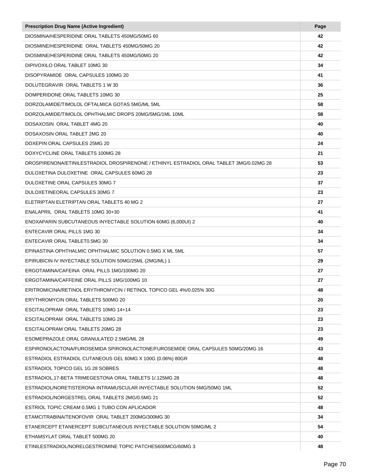| <b>Prescription Drug Name (Active Ingredient)</b>                                       | Page |
|-----------------------------------------------------------------------------------------|------|
| DIOSMINA/HESPERIDINE ORAL TABLETS 450MG/50MG 60                                         | 42   |
| DIOSMINE/HESPERIDINE ORAL TABLETS 450MG/50MG 20                                         | 42   |
| DIOSMINE/HESPERIDINE ORAL TABLETS 450MG/50MG 20                                         | 42   |
| DIPIVOXILO ORAL TABLET 10MG 30                                                          | 34   |
| DISOPYRAMIDE ORAL CAPSULES 100MG 20                                                     | 41   |
| DOLUTEGRAVIR ORAL TABLETS 1 W 30                                                        | 36   |
| DOMPERIDONE ORAL TABLETS 10MG 30                                                        | 25   |
| DORZOLAMIDE/TIMOLOL OFTALMICA GOTAS 5MG/ML 5ML                                          | 58   |
| DORZOLAMIDE/TIMOLOL OPHTHALMIC DROPS 20MG/5MG/1ML 10ML                                  | 58   |
| DOSAXOSIN ORAL TABLET 4MG 20                                                            | 40   |
| DOSAXOSIN ORAL TABLET 2MG 20                                                            | 40   |
| DOXEPIN ORAL CAPSULES 25MG 20                                                           | 24   |
| DOXYCYCLINE ORAL TABLETS 100MG 28                                                       | 21   |
| DROSPIRENONA/ETINILESTRADIOL DROSPIRENONE / ETHINYL ESTRADIOL ORAL TABLET 3MG/0.02MG 28 | 53   |
| DULOXETINA DULOXETINE ORAL CAPSULES 60MG 28                                             | 23   |
| DULOXETINE ORAL CAPSULES 30MG 7                                                         | 37   |
| DULOXETINEORAL CAPSULES 30MG 7                                                          | 23   |
| ELETRIPTAN ELETRIPTAN ORAL TABLETS 40 MG 2                                              | 27   |
| ENALAPRIL ORAL TABLETS 10MG 30+30                                                       | 41   |
| ENOXAPARIN SUBCUTANEOUS INYECTABLE SOLUTION 60MG (6,000UI) 2                            | 40   |
| ENTECAVIR ORAL PILLS 1MG 30                                                             | 34   |
| ENTECAVIR ORAL TABLET0.5MG 30                                                           | 34   |
| EPINASTINA OPHTHALMIC OPHTHALMIC SOLUTION 0.5MG X ML 5ML                                | 57   |
| EPIRUBICIN IV INYECTABLE SOLUTION 50MG/25ML (2MG/ML) 1                                  | 29   |
| ERGOTAMINA/CAFEINA ORAL PILLS 1MG/100MG 20                                              | 27   |
| ERGOTAMINA/CAFFEINE ORAL PILLS 1MG/100MG 10                                             | 27   |
| FRITROMICINA/RETINOL FRYTHROMYCIN / RETINOL TOPICO GEL 4%/0.025% 30G                    | 48   |
| ERYTHROMYCIN ORAL TABLETS 500MG 20                                                      | 20   |
| ESCITALOPRAM ORAL TABLETS 10MG 14+14                                                    | 23   |
| ESCITALOPRAM ORAL TABLETS 10MG 28                                                       | 23   |
| ESCITALOPRAM ORAL TABLETS 20MG 28                                                       | 23   |
| ESOMEPRAZOLE ORAL GRANULATED 2.5MG/ML 28                                                | 49   |
| ESPIRONOLACTONA/FUROSEMIDA SPIRONOLACTONE/FUROSEMIDE ORAL CAPSULES 50MG/20MG 16         | 43   |
| ESTRADIOL ESTRADIOL CUTANEOUS GEL 60MG X 100G (0.06%) 80GR                              | 48   |
| ESTRADIOL TOPICO GEL 1G 28 SOBRES                                                       | 48   |
| ESTRADIOL,17-BETA TRIMEGESTONA ORAL TABLETS 1/.125MG 28                                 | 48   |
| ESTRADIOL/NORETISTERONA INTRAMUSCULAR INYECTABLE SOLUTION 5MG/50MG 1ML                  | 52   |
| ESTRADIOL/NORGESTREL ORAL TABLETS 2MG/0.5MG 21                                          | 52   |
| ESTRIOL TOPIC CREAM 0.5MG 1 TUBO CON APLICADOR                                          | 48   |
| ETAMCITRABINA/TENOFOVIR ORAL TABLET 200MG/300MG 30                                      | 34   |
| ETANERCEPT ETANERCEPT SUBCUTANEOUS INYECTABLE SOLUTION 50MG/ML 2                        | 54   |
| ETHAMSYLAT ORAL TABLET 500MG 20                                                         | 40   |
| ETINILESTRADIOL/NORELGESTROMINE TOPIC PATCHES600MCG/60MG 3                              | 48   |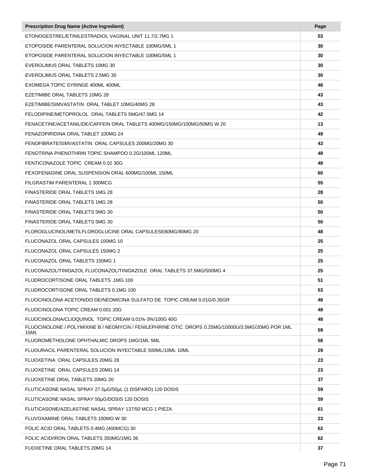| <b>Prescription Drug Name (Active Ingredient)</b>                                                         | Page |
|-----------------------------------------------------------------------------------------------------------|------|
| ETONOGESTREL/ETINILESTRADIOL VAGINAL UNIT 11.7/2.7MG 1                                                    | 53   |
| ETOPOSIDE PARENTERAL SOLUCION INYECTABLE 100MG/5ML 1                                                      | 30   |
| ETOPOSIDE PARENTERAL SOLUCION INYECTABLE 100MG/5ML 1                                                      | 30   |
| EVEROLIMUS ORAL TABLETS 10MG 30                                                                           | 30   |
| EVEROLIMUS ORAL TABLETS 2.5MG 30                                                                          | 30   |
| EXOMEGA TOPIC SYRINGE 400ML 400ML                                                                         | 46   |
| EZETIMIBE ORAL TABLETS 10MG 28                                                                            | 43   |
| EZETIMIBE/SIMVASTATIN ORAL TABLET 10MG/40MG 28                                                            | 43   |
| FELODIPINE/METOPROLOL ORAL TABLETS 5MG/47.5MG 14                                                          | 42   |
| FENACETINE/ACETANILIDE/CAFFEIN ORAL TABLETS 400MG/150MG/100MG/50MG W 20                                   | 13   |
| FENAZOPIRIDINA ORAL TABLET 100MG 24                                                                       | 49   |
| FENOFIBRATE/SIMVASTATIN ORAL CAPSULES 200MG/20MG 30                                                       | 43   |
| FENOTRINA PHENOTHRIN TOPIC SHAMPOO 0.2G/100ML 120ML                                                       | 48   |
| FENTICONAZOLE TOPIC CREAM 0.02 30G                                                                        | 48   |
| FEXOFENADINE ORAL SUSPENSION ORAL 600MG/100ML 150ML                                                       | 60   |
| FILGRASTIM PARENTERAL 1 300MCG                                                                            | 55   |
| FINASTERIDE ORAL TABLETS 1MG 28                                                                           | 28   |
| FINASTERIDE ORAL TABLETS 1MG 28                                                                           | 50   |
| FINASTERIDE ORAL TABLETS 5MG 30                                                                           | 50   |
| FINASTERIDE ORAL TABLETS 5MG 30                                                                           | 50   |
| FLOROGLUCINOL/METILFLOROGLUCINE ORAL CAPSULESE80MG/80MG 20                                                | 48   |
| FLUCONAZOL ORAL CAPSULES 100MG 10                                                                         | 25   |
| FLUCONAZOL ORAL CAPSULES 150MG 2                                                                          | 25   |
| FLUCONAZOL ORAL TABLETS 150MG 1                                                                           | 25   |
| FLUCONAZOL/TINIDAZOL FLUCONAZOL/TINIDAZOLE ORAL TABLETS 37.5MG/500MG 4                                    | 25   |
| FLUDROCORTISONE ORAL TABLETS .1MG 100                                                                     | 51   |
| FLUDROCORTISONE ORAL TABLETS 0.1MG 100                                                                    | 53   |
| FLUOCINOLONA ACETONIDO DE/NEOMICINA SULFATO DE TOPIC CREAM 0.01G/0.35GR                                   | 48   |
| FLUOCINOLONA TOPIC CREAM 0.001 20G                                                                        | 48   |
| FLUOCINOLONA/CLIOQUINOL TOPIC CREAM 0.01%-3%/100G 40G                                                     | 48   |
| FLUOCINOLONE / POLYMIXINE B / NEOMYCIN / FENILEPHRINE OTIC DROPS 0.25MG/10000U/3.5MG/20MG POR 1ML<br>15ML | 59   |
| FLUOROMETHOLONE OPHTHALMIC DROPS 1MG/1ML 5ML                                                              | 58   |
| FLUOURACIL PARENTERAL SOLUCION INYECTABLE 500ML/10ML 10ML                                                 | 29   |
| FLUOXETINA ORAL CAPSULES 20MG 28                                                                          | 23   |
| FLUOXETINE ORAL CAPSULES 20MG 14                                                                          | 23   |
| FLUOXETINE ORAL TABLETS 20MG 20                                                                           | 37   |
| FLUTICASONE NASAL SPRAY 27.5µG/50µL (1 DISPARO) 120 DOSIS                                                 | 59   |
| FLUTICASONE NASAL SPRAY 50µG/DOSIS 120 DOSIS                                                              | 59   |
| FLUTICASONE/AZELASTINE NASAL SPRAY 137/50 MCG 1 PIEZA                                                     | 61   |
| FLUVOXAMINE ORAL TABLETS 100MG W 30                                                                       | 23   |
| FOLIC ACID ORAL TABLETS 0.4MG (400MCG) 30                                                                 | 62   |
| FOLIC ACID/IRON ORAL TABLETS 350MG/1MG 36                                                                 | 62   |
| FUOXETINE ORAL TABLETS 20MG 14                                                                            | 37   |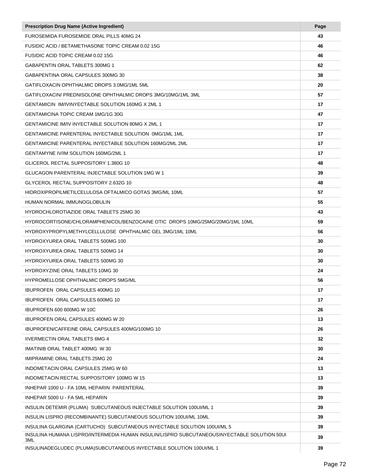| <b>Prescription Drug Name (Active Ingredient)</b>                                                  | Page |
|----------------------------------------------------------------------------------------------------|------|
| FUROSEMIDA FUROSEMIDE ORAL PILLS 40MG 24                                                           | 43   |
| FUSIDIC ACID / BETAMETHASONE TOPIC CREAM 0.02 15G                                                  | 46   |
| FUSIDIC ACID TOPIC CREAM 0.02 15G                                                                  | 46   |
| <b>GABAPENTIN ORAL TABLETS 300MG 1</b>                                                             | 62   |
| GABAPENTINA ORAL CAPSULES 300MG 30                                                                 | 38   |
| GATIFLOXACIN OPHTHALMIC DROPS 3.0MG/1ML 5ML                                                        | 20   |
| GATIFLOXACIN/ PREDNISOLONE OPHTHALMIC DROPS 3MG/10MG/1ML 3ML                                       | 57   |
| <b>GENTAMICIN IM/IVINYECTABLE SOLUTION 160MG X 2ML 1</b>                                           | 17   |
| <b>GENTAMICINA TOPIC CREAM 1MG/1G 30G</b>                                                          | 47   |
| <b>GENTAMICINE IM/IV INYECTABLE SOLUTION 80MG X 2ML 1</b>                                          | 17   |
| GENTAMICINE PARENTERAL INYECTABLE SOLUTION 0MG/1ML 1ML                                             | 17   |
| GENTAMICINE PARENTERAL INYECTABLE SOLUTION 160MG/2ML 2ML                                           | 17   |
| <b>GENTAMYNE IV/IM SOLUTION 160MG/2ML 1</b>                                                        | 17   |
| GLICEROL RECTAL SUPPOSITORY 1.380G 10                                                              | 48   |
| GLUCAGON PARENTERAL INJECTABLE SOLUTION 1MG W 1                                                    | 39   |
| GLYCEROL RECTAL SUPPOSITORY 2.632G 10                                                              | 48   |
| HIDROXIPROPILMETILCELULOSA OFTALMICO GOTAS 3MG/ML 10ML                                             | 57   |
| HUMAN NORMAL IMMUNOGLOBULIN                                                                        | 55   |
| HYDROCHLOROTIAZIDE ORAL TABLETS 25MG 30                                                            | 43   |
| HYDROCORTISONE/CHLORAMPHENICOL/BENZOCAINE OTIC DROPS 10MG/25MG/20MG/1ML 10ML                       | 59   |
| HYDROXYPROPYLMETHYLCELLULOSE OPHTHALMIC GEL 3MG/1ML 10ML                                           | 56   |
| <b>HYDROXYUREA ORAL TABLETS 500MG 100</b>                                                          | 30   |
| <b>HYDROXYUREA ORAL TABLETS 500MG 14</b>                                                           | 30   |
| <b>HYDROXYUREA ORAL TABLETS 500MG 30</b>                                                           | 30   |
| HYDROXYZINE ORAL TABLETS 10MG 30                                                                   | 24   |
| HYPROMELLOSE OPHTHALMIC DROPS 5MG/ML                                                               | 56   |
| IBUPROFEN ORAL CAPSULES 400MG 10                                                                   | 17   |
| <b>IBUPROFEN ORAL CAPSULES 600MG 10</b>                                                            | 17   |
| IBUPROFEN 600 600MG W 10C                                                                          | 26   |
| <b>IBUPROFEN ORAL CAPSULES 400MG W 20</b>                                                          | 13   |
| IBUPROFEN/CAFFEINE ORAL CAPSULES 400MG/100MG 10                                                    | 26   |
| <b>IIVERMECTIN ORAL TABLETS 6MG 4</b>                                                              | 32   |
| IMATINIB ORAL TABLET 400MG W 30                                                                    | 30   |
| IMIPRAMINE ORAL TABLETS 25MG 20                                                                    | 24   |
| INDOMETACIN ORAL CAPSULES 25MG W 60                                                                | 13   |
| INDOMETACIN RECTAL SUPPOSITORY 100MG W 15                                                          | 13   |
| INHEPAR 1000 U - FA 10ML HEPARIN PARENTERAL                                                        | 39   |
| INHEPAR 5000 U - FA 5ML HEPARIN                                                                    | 39   |
| INSULIN DETEMIR (PLUMA) SUBCUTANEOUS INJECTABLE SOLUTION 100UI/ML 1                                | 39   |
| INSULIN LISPRO (RECOMBINANTE) SUBCUTANEOUS SOLUTION 100UI/ML 10ML                                  | 39   |
| INSULINA GLARGINA (CARTUCHO) SUBCUTANEOUS INYECTABLE SOLUTION 100UI/ML 5                           | 39   |
| INSULINA HUMANA LISPRO/INTERMEDIA HUMAN INSULIN/LISPRO SUBCUTANEOUSINYECTABLE SOLUTION 50UI<br>3ML | 39   |
| INSULINADEGLUDEC (PLUMA)SUBCUTANEOUS INYECTABLE SOLUTION 100UI/ML 1                                | 39   |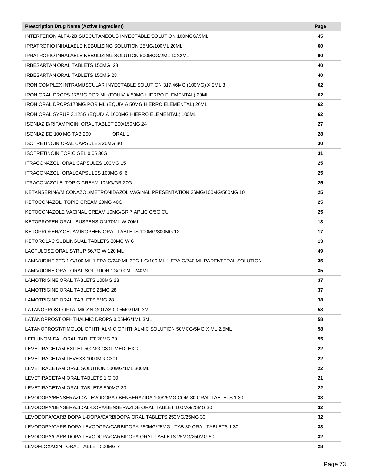| <b>Prescription Drug Name (Active Ingredient)</b>                                          | Page |
|--------------------------------------------------------------------------------------------|------|
| INTERFERON ALFA-2B SUBCUTANEOUS INYECTABLE SOLUTION 100MCG/.5ML                            | 45   |
| IPRATROPIO INHALABLE NEBULIZING SOLUTION 25MG/100ML 20ML                                   | 60   |
| IPRATROPIO INHALABLE NEBULIZING SOLUTION 500MCG/2ML 10X2ML                                 | 60   |
| IRBESARTAN ORAL TABLETS 150MG 28                                                           | 40   |
| IRBESARTAN ORAL TABLETS 150MG 28                                                           | 40   |
| IRON COMPLEX INTRAMUSCULAR INYECTABLE SOLUTION 317.46MG (100MG) X 2ML 3                    | 62   |
| IRON ORAL DROPS 178MG POR ML (EQUIV A 50MG HIERRO ELEMENTAL) 20ML                          | 62   |
| IRON ORAL DROPS178MG POR ML (EQUIV A 50MG HIERRO ELEMENTAL) 20ML                           | 62   |
| IRON ORAL SYRUP 3.125G (EQUIV A 1000MG HIERRO ELEMENTAL) 100ML                             | 62   |
| ISONIAZID/RIFAMPICIN ORAL TABLET 200/150MG 24                                              | 27   |
| ORAL <sub>1</sub><br>ISONIAZIDE 100 MG TAB 200                                             | 28   |
| ISOTRETINOIN ORAL CAPSULES 20MG 30                                                         | 30   |
| ISOTRETINOIN TOPIC GEL 0.05 30G                                                            | 31   |
| <b>ITRACONAZOL ORAL CAPSULES 100MG 15</b>                                                  | 25   |
| ITRACONAZOL ORALCAPSULES 100MG 6+6                                                         | 25   |
| ITRACONAZOLE TOPIC CREAM 10MG/GR 20G                                                       | 25   |
| KETANSERINA/MICONAZOL/METRONIDAZOL VAGINAL PRESENTATION 36MG/100MG/500MG 10                | 25   |
| KETOCONAZOL TOPIC CREAM 20MG 40G                                                           | 25   |
| KETOCONAZOLE VAGINAL CREAM 10MG/GR 7 APLIC C/5G CU                                         | 25   |
| KETOPROFEN ORAL SUSPENSION 70ML W 70ML                                                     | 13   |
| KETOPROFEN/ACETAMINOPHEN ORAL TABLETS 100MG/300MG 12                                       | 17   |
| KETOROLAC SUBLINGUAL TABLETS 30MG W 6                                                      | 13   |
| LACTULOSE ORAL SYRUP 66.7G W 120 ML                                                        | 49   |
| LAMIVUDINE 3TC 1 G/100 ML 1 FRA C/240 ML 3TC 1 G/100 ML 1 FRA C/240 ML PARENTERAL SOLUTION | 35   |
| LAMIVUDINE ORAL ORAL SOLUTION 1G/100ML 240ML                                               | 35   |
| LAMOTRIGINE ORAL TABLETS 100MG 28                                                          | 37   |
| LAMOTRIGINE ORAL TABLETS 25MG 28                                                           | 37   |
| LAMOTRIGINE ORAL TABLETS 5MG 28                                                            | 38   |
| LATANOPROST OFTALMICAN GOTAS 0.05MG/1ML 3ML                                                | 58   |
| LATANOPROST OPHTHALMIC DROPS 0.05MG/1ML 3ML                                                | 58   |
| LATANOPROST/TIMOLOL OPHTHALMIC OPHTHALMIC SOLUTION 50MCG/5MG X ML 2.5ML                    | 58   |
| LEFLUNOMIDA ORAL TABLET 20MG 30                                                            | 55   |
| LEVETIRACETAM EXITEL 500MG C30T MEDI EXC                                                   | 22   |
| LEVETIRACETAM LEVEXX 1000MG C30T                                                           | 22   |
| LEVETIRACETAM ORAL SOLUTION 100MG/1ML 300ML                                                | 22   |
| LEVETIRACETAM ORAL TABLETS 1 G 30                                                          | 21   |
| LEVETIRACETAM ORAL TABLETS 500MG 30                                                        | 22   |
| LEVODOPA/BENSERAZIDA LEVODOPA / BENSERAZIDA 100/25MG COM 30 ORAL TABLETS 1 30              | 33   |
| LEVODOPA/BENSERAZIDAL-DOPA/BENSERAZIDE ORAL TABLET 100MG/25MG 30                           | 32   |
| LEVODOPA/CARBIDOPA L-DOPA/CARBIDOPA ORAL TABLETS 250MG/25MG 30                             | 32   |
| LEVODOPA/CARBIDOPA LEVODOPA/CARBIDOPA 250MG/25MG - TAB 30 ORAL TABLETS 1 30                | 33   |
| LEVODOPA/CARBIDOPA LEVODOPA/CARBIDOPA ORAL TABLETS 25MG/250MG 50                           | 32   |
| LEVOFLOXACIN ORAL TABLET 500MG 7                                                           | 28   |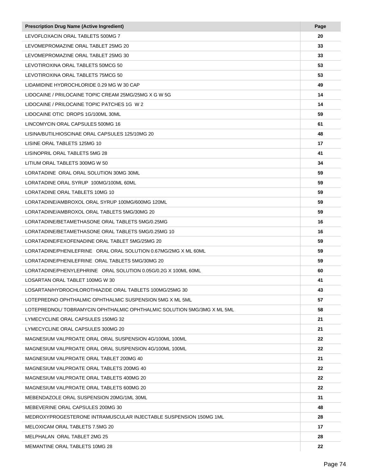| <b>Prescription Drug Name (Active Ingredient)</b>                       | Page |
|-------------------------------------------------------------------------|------|
| LEVOFLOXACIN ORAL TABLETS 500MG 7                                       | 20   |
| LEVOMEPROMAZINE ORAL TABLET 25MG 20                                     | 33   |
| LEVOMEPROMAZINE ORAL TABLET 25MG 30                                     | 33   |
| LEVOTIROXINA ORAL TABLETS 50MCG 50                                      | 53   |
| LEVOTIROXINA ORAL TABLETS 75MCG 50                                      | 53   |
| LIDAMIDINE HYDROCHLORIDE 0.29 MG W 30 CAP                               | 49   |
| LIDOCAINE / PRILOCAINE TOPIC CREAM 25MG/25MG X G W 5G                   | 14   |
| LIDOCAINE / PRILOCAINE TOPIC PATCHES 1G W 2                             | 14   |
| LIDOCAINE OTIC DROPS 1G/100ML 30ML                                      | 59   |
| LINCOMYCIN ORAL CAPSULES 500MG 16                                       | 61   |
| LISINA/BUTILHIOSCINAE ORAL CAPSULES 125/10MG 20                         | 48   |
| LISINE ORAL TABLETS 125MG 10                                            | 17   |
| LISINOPRIL ORAL TABLETS 5MG 28                                          | 41   |
| LITIUM ORAL TABLETS 300MG W 50                                          | 34   |
| LORATADINE ORAL ORAL SOLUTION 30MG 30ML                                 | 59   |
| LORATADINE ORAL SYRUP 100MG/100ML 60ML                                  | 59   |
| LORATADINE ORAL TABLETS 10MG 10                                         | 59   |
| LORATADINE/AMBROXOL ORAL SYRUP 100MG/600MG 120ML                        | 59   |
| LORATADINE/AMBROXOL ORAL TABLETS 5MG/30MG 20                            | 59   |
| LORATADINE/BETAMETHASONE ORAL TABLETS 5MG/0.25MG                        | 16   |
| LORATADINE/BETAMETHASONE ORAL TABLETS 5MG/0.25MG 10                     | 16   |
| LORATADINE/FEXOFENADINE ORAL TABLET 5MG/25MG 20                         | 59   |
| LORATADINE/PHENILEFRINE ORAL ORAL SOLUTION 0.67MG/2MG X ML 60ML         | 59   |
| LORATADINE/PHENILEFRINE ORAL TABLETS 5MG/30MG 20                        | 59   |
| LORATADINE/PHENYLEPHRINE ORAL SOLUTION 0.05G/0.2G X 100ML 60ML          | 60   |
| LOSARTAN ORAL TABLET 100MG W 30                                         | 41   |
| LOSARTAN/HYDROCHLOROTHIAZIDE ORAL TABLETS 100MG/25MG 30                 | 43   |
| LOTEPREDNO OPHTHALMIC OPHTHALMIC SUSPENSION 5MG X ML 5ML                | 57   |
| LOTEPREDNOL/ TOBRAMYCIN OPHTHALMIC OPHTHALMIC SOLUTION 5MG/3MG X ML 5ML | 58   |
| LYMECYCLINE ORAL CAPSULES 150MG 32                                      | 21   |
| LYMECYCLINE ORAL CAPSULES 300MG 20                                      | 21   |
| MAGNESIUM VALPROATE ORAL ORAL SUSPENSION 4G/100ML 100ML                 | 22   |
| MAGNESIUM VALPROATE ORAL ORAL SUSPENSION 4G/100ML 100ML                 | 22   |
| MAGNESIUM VALPROATE ORAL TABLET 200MG 40                                | 21   |
| MAGNESIUM VALPROATE ORAL TABLETS 200MG 40                               | 22   |
| MAGNESIUM VALPROATE ORAL TABLETS 400MG 20                               | 22   |
| MAGNESIUM VALPROATE ORAL TABLETS 600MG 20                               | 22   |
| MEBENDAZOLE ORAL SUSPENSION 20MG/1ML 30ML                               | 31   |
| MEBEVERINE ORAL CAPSULES 200MG 30                                       | 48   |
| MEDROXYPROGESTERONE INTRAMUSCULAR INJECTABLE SUSPENSION 150MG 1ML       | 28   |
| MELOXICAM ORAL TABLETS 7.5MG 20                                         | 17   |
| MELPHALAN ORAL TABLET 2MG 25                                            | 28   |
| MEMANTINE ORAL TABLETS 10MG 28                                          | 22   |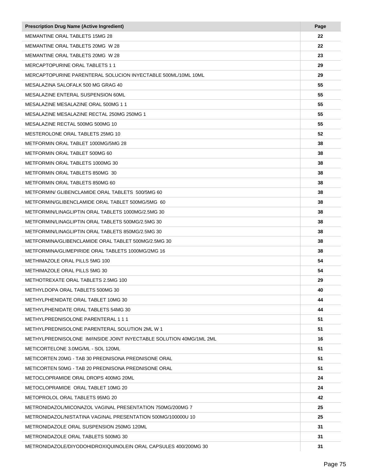| <b>Prescription Drug Name (Active Ingredient)</b>                   | Page |
|---------------------------------------------------------------------|------|
| <b>MEMANTINE ORAL TABLETS 15MG 28</b>                               | 22   |
| MEMANTINE ORAL TABLETS 20MG W 28                                    | 22   |
| MEMANTINE ORAL TABLETS 20MG W 28                                    | 23   |
| <b>MERCAPTOPURINE ORAL TABLETS 1 1</b>                              | 29   |
| MERCAPTOPURINE PARENTERAL SOLUCION INYECTABLE 500ML/10ML 10ML       | 29   |
| MESALAZINA SALOFALK 500 MG GRAG 40                                  | 55   |
| MESALAZINE ENTERAL SUSPENSION 60ML                                  | 55   |
| MESALAZINE MESALAZINE ORAL 500MG 1 1                                | 55   |
| MESALAZINE MESALAZINE RECTAL 250MG 250MG 1                          | 55   |
| MESALAZINE RECTAL 500MG 500MG 10                                    | 55   |
| MESTEROLONE ORAL TABLETS 25MG 10                                    | 52   |
| METFORMIN ORAL TABLET 1000MG/5MG 28                                 | 38   |
| METFORMIN ORAL TABLET 500MG 60                                      | 38   |
| METFORMIN ORAL TABLETS 1000MG 30                                    | 38   |
| METFORMIN ORAL TABLETS 850MG 30                                     | 38   |
| METFORMIN ORAL TABLETS 850MG 60                                     | 38   |
| METFORMIN/ GLIBENCLAMIDE ORAL TABLETS 500/5MG 60                    | 38   |
| METFORMIN/GLIBENCLAMIDE ORAL TABLET 500MG/5MG 60                    | 38   |
| METFORMIN/LINAGLIPTIN ORAL TABLETS 1000MG/2.5MG 30                  | 38   |
| METFORMIN/LINAGLIPTIN ORAL TABLETS 500MG/2.5MG 30                   | 38   |
| METFORMIN/LINAGLIPTIN ORAL TABLETS 850MG/2.5MG 30                   | 38   |
| METFORMINA/GLIBENCLAMIDE ORAL TABLET 500MG/2.5MG 30                 | 38   |
| METFORMINA/GLIMEPIRIDE ORAL TABLETS 1000MG/2MG 16                   | 38   |
| METHIMAZOLE ORAL PILLS 5MG 100                                      | 54   |
| METHIMAZOLE ORAL PILLS 5MG 30                                       | 54   |
| METHOTREXATE ORAL TABLETS 2.5MG 100                                 | 29   |
| METHYLDOPA ORAL TABLETS 500MG 30                                    | 40   |
| METHYLPHENIDATE ORAL TABLET 10MG 30                                 | 44   |
| METHYLPHENIDATE ORAL TABLETS 54MG 30                                | 44   |
| METHYLPREDNISOLONE PARENTERAL 1 1 1                                 | 51   |
| METHYLPREDNISOLONE PARENTERAL SOLUTION 2ML W 1                      | 51   |
| METHYLPREDNISOLONE IM/INSIDE JOINT INYECTABLE SOLUTION 40MG/1ML 2ML | 16   |
| METICORTELONE 3.0MG/ML - SOL 120ML                                  | 51   |
| METICORTEN 20MG - TAB 30 PREDNISONA PREDNISONE ORAL                 | 51   |
| METICORTEN 50MG - TAB 20 PREDNISONA PREDNISONE ORAL                 | 51   |
| METOCLOPRAMIDE ORAL DROPS 400MG 20ML                                | 24   |
| METOCLOPRAMIDE ORAL TABLET 10MG 20                                  | 24   |
| METOPROLOL ORAL TABLETS 95MG 20                                     | 42   |
| METRONIDAZOL/MICONAZOL VAGINAL PRESENTATION 750MG/200MG 7           | 25   |
| METRONIDAZOL/NISTATINA VAGINAL PRESENTATION 500MG/100000U 10        | 25   |
| METRONIDAZOLE ORAL SUSPENSION 250MG 120ML                           | 31   |
| METRONIDAZOLE ORAL TABLETS 500MG 30                                 | 31   |
| METRONIDAZOLE/DIYODOHIDROXIQUINOLEIN ORAL CAPSULES 400/200MG 30     | 31   |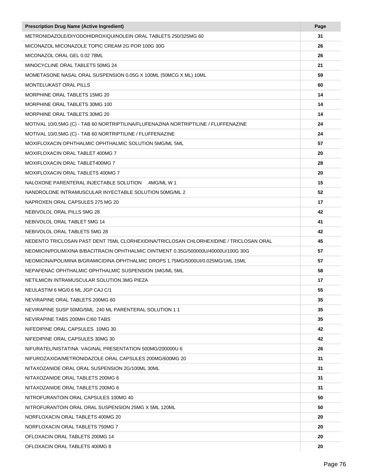| <b>Prescription Drug Name (Active Ingredient)</b>                                      | Page |
|----------------------------------------------------------------------------------------|------|
| METRONIDAZOLE/DIYODOHIDROXIQUINOLEIN ORAL TABLETS 250/325MG 60                         | 31   |
| MICONAZOL MICONAZOLE TOPIC CREAM 2G POR 100G 30G                                       | 26   |
| MICONAZOL ORAL GEL 0.02 78ML                                                           | 26   |
| MINOCYCLINE ORAL TABLETS 50MG 24                                                       | 21   |
| MOMETASONE NASAL ORAL SUSPENSION 0.05G X 100ML (50MCG X ML) 10ML                       | 59   |
| MONTELUKAST ORAL PILLS                                                                 | 60   |
| MORPHINE ORAL TABLETS 15MG 20                                                          | 14   |
| MORPHINE ORAL TABLETS 30MG 100                                                         | 14   |
| MORPHINE ORAL TABLETS 30MG 20                                                          | 14   |
| MOTIVAL 10/0.5MG (C) - TAB 60 NORTRIPTILINA/FLUFENAZINA NORTRIPTILINE / FLUFFENAZINE   | 24   |
| MOTIVAL 10/0.5MG (C) - TAB 60 NORTRIPTILINE / FLUFFENAZINE                             | 24   |
| MOXIFLOXACIN OPHTHALMIC OPHTHALMIC SOLUTION 5MG/ML 5ML                                 | 57   |
| MOXIFLOXACIN ORAL TABLET 400MG 7                                                       | 20   |
| MOXIFLOXACIN ORAL TABLET400MG 7                                                        | 28   |
| MOXIFLOXACIN ORAL TABLETS 400MG 7                                                      | 20   |
| NALOXONE PARENTERAL INJECTABLE SOLUTION .4MG/ML W 1                                    | 15   |
| NANDROLONE INTRAMUSCULAR INYECTABLE SOLUTION 50MG/ML 2                                 | 52   |
| NAPROXEN ORAL CAPSULES 275 MG 20                                                       | 17   |
| NEBIVOLOL ORAL PILLS 5MG 28                                                            | 42   |
| NEBIVOLOL ORAL TABLET 5MG 14                                                           | 41   |
| NEBIVOLOL ORAL TABLETS 5MG 28                                                          | 42   |
| NEDENTO TRICLOSAN PAST DENT 75ML CLORHEXIDINA/TRICLOSAN CHLORHEXIDINE / TRICLOSAN ORAL | 45   |
| NEOMICIN/POLIMIXINA B/BACITRACIN OPHTHALMIC OINTMENT 0.35G/500000U/40000U/100G 30G     | 57   |
| NEOMICINA/POLIMINA B/GRAMICIDINA OPHTHALMIC DROPS 1.75MG/5000UI/0.025MG/1ML 15ML       | 57   |
| NEPAFENAC OPHTHALMIC OPHTHALMIC SUSPENSION 1MG/ML 5ML                                  | 58   |
| NETILMICIN INTRAMUSCULAR SOLUTION 3MG PIEZA                                            | 17   |
| NEULASTIM 6 MG/0.6 ML JGP CAJ C/1                                                      | 55   |
| NEVIRAPINE ORAL TABLETS 200MG 60                                                       | 35   |
| NEVIRAPINE SUSP 50MG/5ML 240 ML PARENTERAL SOLUTION 1 1                                | 35   |
| NEVIRAPINE TABS 200MH C/60 TABS                                                        | 35   |
| NIFEDIPINE ORAL CAPSULES 10MG 30                                                       | 42   |
| NIFEDIPINE ORAL CAPSULES 30MG 30                                                       | 42   |
| NIFURATEL/NISTATINA VAGINAL PRESENTATION 500MG/200000U 6                               | 26   |
| NIFUROZAXIDA/METRONIDAZOLE ORAL CAPSULES 200MG/600MG 20                                | 31   |
| NITAXOZANIDE ORAL ORAL SUSPENSION 2G/100ML 30ML                                        | 31   |
| NITAXOZANIDE ORAL TABLETS 200MG 6                                                      | 31   |
| NITAXOZANIDE ORAL TABLETS 200MG 6                                                      | 31   |
| NITROFURANTOIN ORAL CAPSULES 100MG 40                                                  | 50   |
| NITROFURANTOIN ORAL ORAL SUSPENSION 25MG X 5ML 120ML                                   | 50   |
| NORFLOXACIN ORAL TABLETS 400MG 20                                                      | 20   |
| NORFLOXACIN ORAL TABLETS 750MG 7                                                       | 20   |
| OFLOXACIN ORAL TABLETS 200MG 14                                                        | 20   |
| OFLOXACIN ORAL TABLETS 400MG 8                                                         | 20   |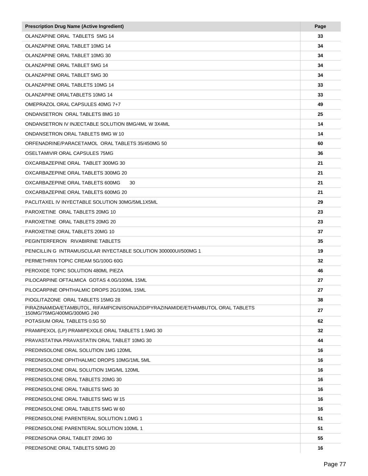| <b>Prescription Drug Name (Active Ingredient)</b>                                                               | Page |
|-----------------------------------------------------------------------------------------------------------------|------|
| OLANZAPINE ORAL TABLETS 5MG 14                                                                                  | 33   |
| OLANZAPINE ORAL TABLET 10MG 14                                                                                  | 34   |
| OLANZAPINE ORAL TABLET 10MG 30                                                                                  | 34   |
| OLANZAPINE ORAL TABLET 5MG 14                                                                                   | 34   |
| OLANZAPINE ORAL TABLET 5MG 30                                                                                   | 34   |
| <b>OLANZAPINE ORAL TABLETS 10MG 14</b>                                                                          | 33   |
| OLANZAPINE ORALTABLETS 10MG 14                                                                                  | 33   |
| OMEPRAZOL ORAL CAPSULES 40MG 7+7                                                                                | 49   |
| ONDANSETRON ORAL TABLETS 8MG 10                                                                                 | 25   |
| ONDANSETRON IV INJECTABLE SOLUTION 8MG/4ML W 3X4ML                                                              | 14   |
| ONDANSETRON ORAL TABLETS 8MG W 10                                                                               | 14   |
| ORFENADRINE/PARACETAMOL ORAL TABLETS 35/450MG 50                                                                | 60   |
| OSELTAMIVIR ORAL CAPSULES 75MG                                                                                  | 36   |
| OXCARBAZEPINE ORAL TABLET 300MG 30                                                                              | 21   |
| OXCARBAZEPINE ORAL TABLETS 300MG 20                                                                             | 21   |
| OXCARBAZEPINE ORAL TABLETS 600MG<br>30                                                                          | 21   |
| OXCARBAZEPINE ORAL TABLETS 600MG 20                                                                             | 21   |
| PACLITAXEL IV INYECTABLE SOLUTION 30MG/5ML1X5ML                                                                 | 29   |
| PAROXETINE ORAL TABLETS 20MG 10                                                                                 | 23   |
| PAROXETINE ORAL TABLETS 20MG 20                                                                                 | 23   |
| PAROXETINE ORAL TABLETS 20MG 10                                                                                 | 37   |
| PEGINTERFERON RIVABIRINE TABLETS                                                                                | 35   |
| PENICILLIN G INTRAMUSCULAR INYECTABLE SOLUTION 300000UI/500MG 1                                                 | 19   |
| PERMETHRIN TOPIC CREAM 5G/100G 60G                                                                              | 32   |
| PEROXIDE TOPIC SOLUTION 480ML PIEZA                                                                             | 46   |
| PILOCARPINE OFTALMICA GOTAS 4.0G/100ML 15ML                                                                     | 27   |
| PILOCARPINE OPHTHALMIC DROPS 2G/100ML 15ML                                                                      | 27   |
| PIOGLITAZONE ORAL TABLETS 15MG 28                                                                               | 38   |
| PIRAZINAMIDA/ETAMBUTOL, RIFAMPICIN/ISONIAZID/PYRAZINAMIDE/ETHAMBUTOL ORAL TABLETS<br>150MG/75MG/400MG/300MG 240 | 27   |
| POTASIUM ORAL TABLETS 0.5G 50                                                                                   | 62   |
| PRAMIPEXOL (LP) PRAMIPEXOLE ORAL TABLETS 1.5MG 30                                                               | 32   |
| PRAVASTATINA PRAVASTATIN ORAL TABLET 10MG 30                                                                    | 44   |
| PREDINSOLONE ORAL SOLUTION 1MG 120ML                                                                            | 16   |
| PREDNISOLONE OPHTHALMIC DROPS 10MG/1ML 5ML                                                                      | 16   |
| PREDNISOLONE ORAL SOLUTION 1MG/ML 120ML                                                                         | 16   |
| PREDNISOLONE ORAL TABLETS 20MG 30                                                                               | 16   |
| PREDNISOLONE ORAL TABLETS 5MG 30                                                                                | 16   |
| PREDNISOLONE ORAL TABLETS 5MG W 15                                                                              | 16   |
| PREDNISOLONE ORAL TABLETS 5MG W 60                                                                              | 16   |
| PREDNISOLONE PARENTERAL SOLUTION 1.0MG 1                                                                        | 51   |
| PREDNISOLONE PARENTERAL SOLUTION 100ML 1                                                                        | 51   |
| PREDNISONA ORAL TABLET 20MG 30                                                                                  | 55   |
| PREDNISONE ORAL TABLETS 50MG 20                                                                                 | 16   |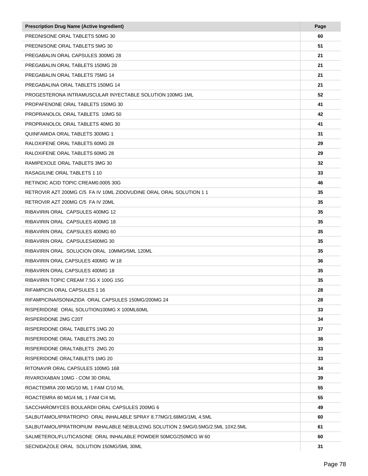| <b>Prescription Drug Name (Active Ingredient)</b>                               | Page |
|---------------------------------------------------------------------------------|------|
| PREDNISONE ORAL TABLETS 50MG 30                                                 | 60   |
| PREDNISONE ORAL TABLETS 5MG 30                                                  | 51   |
| PREGABALIN ORAL CAPSULES 300MG 28                                               | 21   |
| PREGABALIN ORAL TABLETS 150MG 28                                                | 21   |
| PREGABALIN ORAL TABLETS 75MG 14                                                 | 21   |
| PREGABALINA ORAL TABLETS 150MG 14                                               | 21   |
| PROGESTERONA INTRAMUSCULAR INYECTABLE SOLUTION 100MG 1ML                        | 52   |
| PROPAFENONE ORAL TABLETS 150MG 30                                               | 41   |
| PROPRANOLOL ORAL TABLETS 10MG 50                                                | 42   |
| PROPRANOLOL ORAL TABLETS 40MG 30                                                | 41   |
| QUINFAMIDA ORAL TABLETS 300MG 1                                                 | 31   |
| RALOXIFENE ORAL TABLETS 60MG 28                                                 | 29   |
| RALOXIFENE ORAL TABLETS 60MG 28                                                 | 29   |
| RAMIPEXOLE ORAL TABLETS 3MG 30                                                  | 32   |
| RASAGILINE ORAL TABLETS 1 10                                                    | 33   |
| RETINOIC ACID TOPIC CREAM0.0005 30G                                             | 46   |
| RETROVIR AZT 200MG C/5 FA IV 10ML ZIDOVUDINE ORAL ORAL SOLUTION 1 1             | 35   |
| RETROVIR AZT 200MG C/5 FA IV 20ML                                               | 35   |
| <b>RIBAVIRIN ORAL CAPSULES 400MG 12</b>                                         | 35   |
| RIBAVIRIN ORAL CAPSULES 400MG 18                                                | 35   |
| RIBAVIRIN ORAL CAPSULES 400MG 60                                                | 35   |
| RIBAVIRIN ORAL CAPSULES400MG 30                                                 | 35   |
| RIBAVIRIN ORAL SOLUCION ORAL 10MMG/5ML 120ML                                    | 35   |
| RIBAVIRIN ORAL CAPSULES 400MG W 18                                              | 36   |
| RIBAVIRIN ORAL CAPSULES 400MG 18                                                | 35   |
| RIBAVIRIN TOPIC CREAM 7.5G X 100G 15G                                           | 35   |
| RIFAMPICIN ORAL CAPSULES 1 16                                                   | 28   |
| RIFAMPICINA/ISONIAZIDA ORAL CAPSULES 150MG/200MG 24                             | 28   |
| RISPERIDONE ORAL SOLUTION100MG X 100ML60ML                                      | 33   |
| RISPERIDONE 2MG C20T                                                            | 34   |
| RISPERIDONE ORAL TABLETS 1MG 20                                                 | 37   |
| RISPERIDONE ORAL TABLETS 2MG 20                                                 | 38   |
| RISPERIDONE ORALTABLETS 2MG 20                                                  | 33   |
| RISPERIDONE ORALTABLETS 1MG 20                                                  | 33   |
| RITONAVIR ORAL CAPSULES 100MG 168                                               | 34   |
| RIVAROXABAN 10MG - COM 30 ORAL                                                  | 39   |
| ROACTEMRA 200 MG/10 ML 1 FAM C/10 ML                                            | 55   |
| ROACTEMRA 80 MG/4 ML 1 FAM C/4 ML                                               | 55   |
| SACCHAROMYCES BOULARDII ORAL CAPSULES 200MG 6                                   | 49   |
| SALBUTAMOL/IPRATROPIO_ORAL INHALABLE SPRAY 8.77MG/1.68MG/1ML 4.5ML              | 60   |
| SALBUTAMOL/IPRATROPIUM_INHALABLE_NEBULIZING SOLUTION 2.5MG/0.5MG/2.5ML 10X2.5ML | 61   |
| SALMETEROL/FLUTICASONE ORAL INHALABLE POWDER 50MCG/250MCG W 60                  | 60   |
| SECNIDAZOLE ORAL SOLUTION 150MG/5ML 30ML                                        | 31   |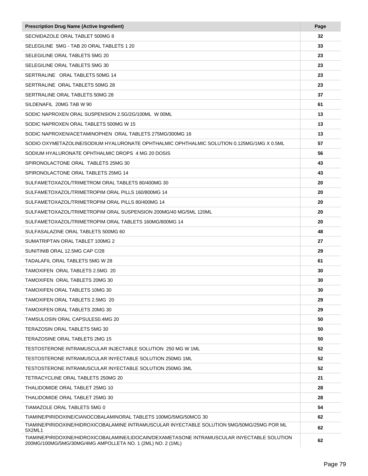| <b>Prescription Drug Name (Active Ingredient)</b>                                                                                                          | Page |
|------------------------------------------------------------------------------------------------------------------------------------------------------------|------|
| SECNIDAZOLE ORAL TABLET 500MG 8                                                                                                                            | 32   |
| SELEGILINE 5MG - TAB 20 ORAL TABLETS 1 20                                                                                                                  | 33   |
| SELEGILINE ORAL TABLETS 5MG 20                                                                                                                             | 23   |
| SELEGILINE ORAL TABLETS 5MG 30                                                                                                                             | 23   |
| SERTRALINE ORAL TABLETS 50MG 14                                                                                                                            | 23   |
| SERTRALINE ORAL TABLETS 50MG 28                                                                                                                            | 23   |
| SERTRALINE ORAL TABLETS 50MG 28                                                                                                                            | 37   |
| SILDENAFIL 20MG TAB W 90                                                                                                                                   | 61   |
| SODIC NAPROXEN ORAL SUSPENSION 2.5G/2G/100ML W 00ML                                                                                                        | 13   |
| SODIC NAPROXEN ORAL TABLETS 500MG W 15                                                                                                                     | 13   |
| SODIC NAPROXEN/ACETAMINOPHEN ORAL TABLETS 275MG/300MG 16                                                                                                   | 13   |
| SODIO OXYMETAZOLINE/SODIUM HYALURONATE OPHTHALMIC OPHTHALMIC SOLUTION 0.125MG/1MG X 0.5ML                                                                  | 57   |
| SODIUM HYALURONATE OPHTHALMIC DROPS 4 MG 20 DOSIS                                                                                                          | 56   |
| SPIRONOLACTONE ORAL TABLETS 25MG 30                                                                                                                        | 43   |
| SPIRONOLACTONE ORAL TABLETS 25MG 14                                                                                                                        | 43   |
| SULFAMETOXAZOL/TRIMETROM ORAL TABLETS 80/400MG 30                                                                                                          | 20   |
| SULFAMETOXAZOL/TRIMETROPIM ORAL PILLS 160/800MG 14                                                                                                         | 20   |
| SULFAMETOXAZOL/TRIMETROPIM ORAL PILLS 80/400MG 14                                                                                                          | 20   |
| SULFAMETOXAZOL/TRIMETROPIM ORAL SUSPENSION 200MG/40 MG/5ML 120ML                                                                                           | 20   |
| SULFAMETOXAZOL/TRIMETROPIM ORAL TABLETS 160MG/800MG 14                                                                                                     | 20   |
| SULFASALAZINE ORAL TABLETS 500MG 60                                                                                                                        | 48   |
| SUMATRIPTAN ORAL TABLET 100MG 2                                                                                                                            | 27   |
| SUNITINIB ORAL 12.5MG CAP C/28                                                                                                                             | 29   |
| TADALAFIL ORAL TABLETS 5MG W 28                                                                                                                            | 61   |
| TAMOXIFEN ORAL TABLETS 2.5MG 20                                                                                                                            | 30   |
| TAMOXIFEN ORAL TABLETS 20MG 30                                                                                                                             | 30   |
| TAMOXIFEN ORAL TABLETS 10MG 30                                                                                                                             | 30   |
| TAMOXIFEN ORAL TABLETS 2.5MG 20                                                                                                                            | 29   |
| TAMOXIFEN ORAL TABLETS 20MG 30                                                                                                                             | 29   |
| TAMSULOSIN ORAL CAPSULES0.4MG 20                                                                                                                           | 50   |
| TERAZOSIN ORAL TABLETS 5MG 30                                                                                                                              | 50   |
| TERAZOSINE ORAL TABLETS 2MG 15                                                                                                                             | 50   |
| TESTOSTERONE INTRAMUSCULAR INJECTABLE SOLUTION 250 MG W 1ML                                                                                                | 52   |
| TESTOSTERONE INTRAMUSCULAR INYECTABLE SOLUTION 250MG 1ML                                                                                                   | 52   |
| TESTOSTERONE INTRAMUSCULAR INYECTABLE SOLUTION 250MG 3ML                                                                                                   | 52   |
| TETRACYCLINE ORAL TABLETS 250MG 20                                                                                                                         | 21   |
| THALIDOMIDE ORAL TABLET 25MG 10                                                                                                                            | 28   |
| THALIDOMIDE ORAL TABLET 25MG 30                                                                                                                            | 28   |
| TIAMAZOLE ORAL TABLETS 5MG 0                                                                                                                               | 54   |
| TIAMINE/PIRIDOXINE/CIANOCOBALAMINORAL TABLETS 100MG/5MG/50MCG 30                                                                                           | 62   |
| TIAMINE/PIRIDOXINE/HIDROXICOBALAMINE INTRAMUSCULAR INYECTABLE SOLUTION 5MG/50MG/25MG POR ML<br>5X2ML1                                                      | 62   |
| TIAMINE/PIRIDOXINE/HIDROXICOBALAMINE/LIDOCAIN/DEXAMETASONE INTRAMUSCULAR INYECTABLE SOLUTION<br>200MG/100MG/5MG/30MG/4MG AMPOLLETA NO. 1 (2ML) NO. 2 (1ML) | 62   |